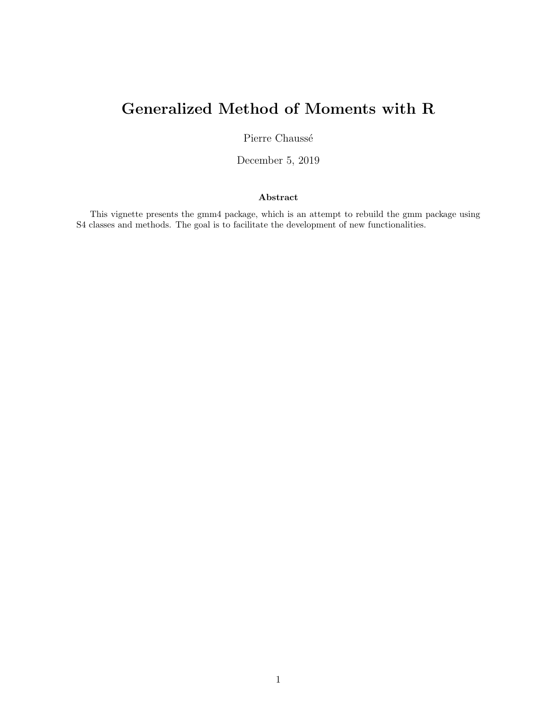# Generalized Method of Moments with R

Pierre Chaussé

December 5, 2019

### Abstract

This vignette presents the gmm4 package, which is an attempt to rebuild the gmm package using S4 classes and methods. The goal is to facilitate the development of new functionalities.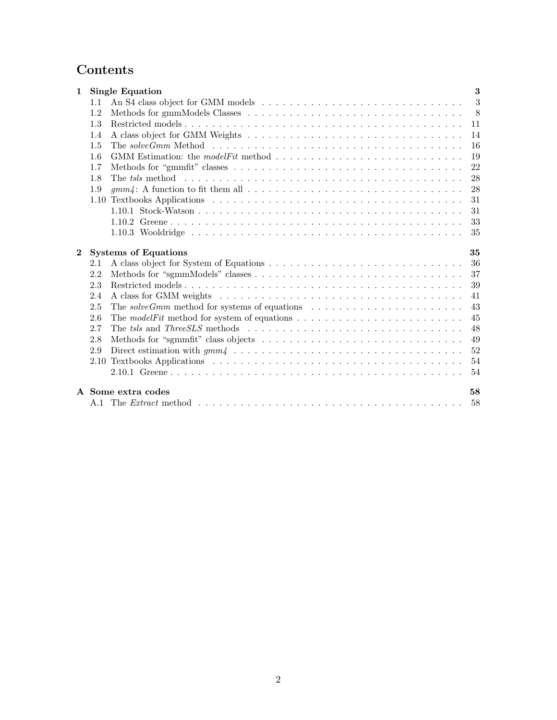## Contents

| $\mathbf 1$  |      | <b>Single Equation</b>                                                                                          | 3  |
|--------------|------|-----------------------------------------------------------------------------------------------------------------|----|
|              | 1.1  |                                                                                                                 | 3  |
|              | 1.2  |                                                                                                                 | 8  |
|              | 1.3  |                                                                                                                 | 11 |
|              | 1.4  |                                                                                                                 | 14 |
|              | 1.5  | The solveGmm Method $\dots \dots \dots \dots \dots \dots \dots \dots \dots \dots \dots \dots \dots \dots \dots$ | 16 |
|              | 1.6  |                                                                                                                 | 19 |
|              | 1.7  |                                                                                                                 | 22 |
|              | 1.8  |                                                                                                                 | 28 |
|              | 1.9  |                                                                                                                 | 28 |
|              |      |                                                                                                                 | 31 |
|              |      |                                                                                                                 | 31 |
|              |      |                                                                                                                 | 33 |
|              |      |                                                                                                                 | 35 |
| $\mathbf{2}$ |      | <b>Systems of Equations</b>                                                                                     | 35 |
|              | 2.1  |                                                                                                                 | 36 |
|              | 2.2  |                                                                                                                 | 37 |
|              | 2.3  |                                                                                                                 | 39 |
|              | 2.4  |                                                                                                                 | 41 |
|              | 2.5  | The solve Gmm method for systems of equations $\dots \dots \dots \dots \dots \dots \dots \dots$                 | 43 |
|              | 2.6  |                                                                                                                 | 45 |
|              | 2.7  |                                                                                                                 | 48 |
|              | 2.8  |                                                                                                                 | 49 |
|              | 2.9  |                                                                                                                 | 52 |
|              | 2.10 |                                                                                                                 | 54 |
|              |      |                                                                                                                 | 54 |
|              |      | A Some extra codes                                                                                              | 58 |
|              |      |                                                                                                                 | 58 |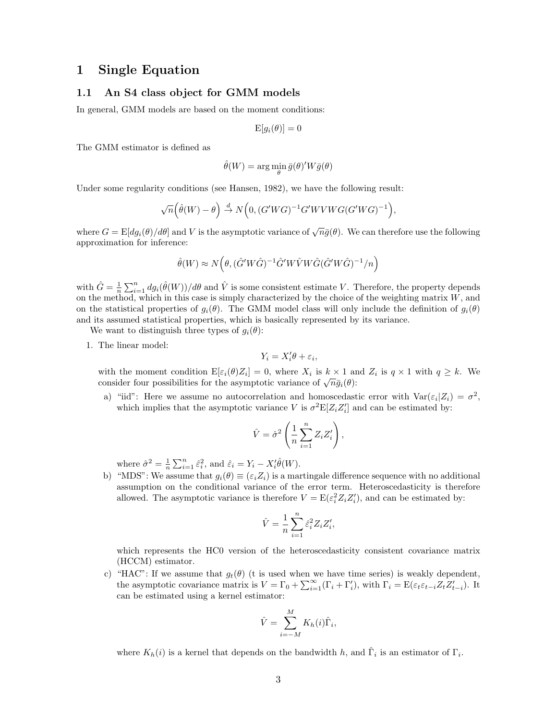### <span id="page-2-0"></span>1 Single Equation

### <span id="page-2-1"></span>1.1 An S4 class object for GMM models

In general, GMM models are based on the moment conditions:

$$
\mathrm{E}[g_i(\theta)] = 0
$$

The GMM estimator is defined as

$$
\hat{\theta}(W) = \arg\min_{\theta} \bar{g}(\theta)'W\bar{g}(\theta)
$$

Under some regularity conditions (see [Hansen,](#page-56-0) [1982\)](#page-56-0), we have the following result:

$$
\sqrt{n}\Big(\hat{\theta}(W)-\theta\Big) \stackrel{d}{\to} N\Big(0,(G'WG)^{-1}G'WVWG(G'WG)^{-1}\Big),
$$

where  $G = \mathbb{E}[dg_i(\theta)/d\theta]$  and V is the asymptotic variance of  $\sqrt{n}\bar{g}(\theta)$ . We can therefore use the following approximation for inference:

$$
\hat{\theta}(W) \approx N\Big(\theta, (\hat{G}'W\hat{G})^{-1}\hat{G}'W\hat{V}W\hat{G}(\hat{G}'W\hat{G})^{-1}/n\Big)
$$

with  $\hat{G} = \frac{1}{n} \sum_{i=1}^{n} dg_i(\hat{\theta}(W))/d\theta$  and  $\hat{V}$  is some consistent estimate V. Therefore, the property depends on the method, which in this case is simply characterized by the choice of the weighting matrix  $W$ , and on the statistical properties of  $g_i(\theta)$ . The GMM model class will only include the definition of  $g_i(\theta)$ and its assumed statistical properties, which is basically represented by its variance.

We want to distinguish three types of  $g_i(\theta)$ :

1. The linear model:

$$
Y_i = X_i' \theta + \varepsilon_i,
$$

with the moment condition  $E[\varepsilon_i(\theta)Z_i] = 0$ , where  $X_i$  is  $k \times 1$  and  $Z_i$  is  $q \times 1$  with  $q \geq k$ . We with the moment condition  $E[\varepsilon_i(\sigma)Z_i] = 0$ , where  $\Lambda_i$  is  $\kappa \times 1$  and consider four possibilities for the asymptotic variance of  $\sqrt{n}\bar{g}_i(\theta)$ :

a) "iid": Here we assume no autocorrelation and homoscedastic error with  $\text{Var}(\varepsilon_i | Z_i) = \sigma^2$ , which implies that the asymptotic variance V is  $\sigma^2 \mathbb{E}[Z_i Z'_i]$  and can be estimated by:

$$
\hat{V} = \hat{\sigma}^2 \left( \frac{1}{n} \sum_{i=1}^n Z_i Z'_i \right),
$$

where  $\hat{\sigma}^2 = \frac{1}{n} \sum_{i=1}^n \hat{\varepsilon}_i^2$ , and  $\hat{\varepsilon}_i = Y_i - X_i' \hat{\theta}(W)$ .

b) "MDS": We assume that  $g_i(\theta) \equiv (\varepsilon_i Z_i)$  is a martingale difference sequence with no additional assumption on the conditional variance of the error term. Heteroscedasticity is therefore allowed. The asymptotic variance is therefore  $V = \mathbb{E}(\varepsilon_i^2 Z_i Z_i')$ , and can be estimated by:

$$
\hat{V} = \frac{1}{n} \sum_{i=1}^{n} \hat{\varepsilon}_i^2 Z_i Z_i',
$$

which represents the HC0 version of the heteroscedasticity consistent covariance matrix (HCCM) estimator.

c) "HAC": If we assume that  $g_t(\theta)$  (t is used when we have time series) is weakly dependent, the asymptotic covariance matrix is  $V = \Gamma_0 + \sum_{i=1}^{\infty} (\Gamma_i + \Gamma'_i)$ , with  $\Gamma_i = \mathrm{E}(\varepsilon_t \varepsilon_{t-i} Z_t Z'_{t-i})$ . It can be estimated using a kernel estimator:

$$
\hat{V} = \sum_{i=-M}^{M} K_h(i)\hat{\Gamma}_i,
$$

where  $K_h(i)$  is a kernel that depends on the bandwidth h, and  $\hat{\Gamma}_i$  is an estimator of  $\Gamma_i$ .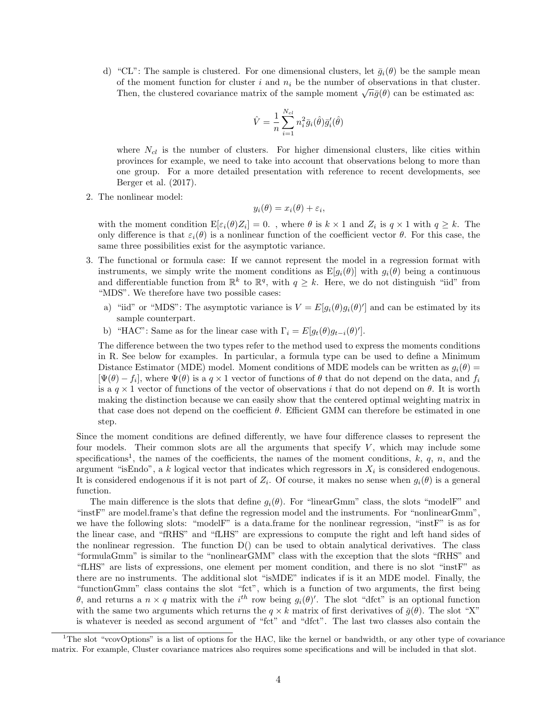d) "CL": The sample is clustered. For one dimensional clusters, let  $\bar{q}_i(\theta)$  be the sample mean of the moment function for cluster i and  $n_i$  be the number of observations in that cluster. Then, the clustered covariance matrix of the sample moment  $\sqrt{n}\bar{g}(\theta)$  can be estimated as:

$$
\hat{V} = \frac{1}{n} \sum_{i=1}^{N_{cl}} n_i^2 \bar{g}_i(\hat{\theta}) \bar{g}'_i(\hat{\theta})
$$

where  $N_{cl}$  is the number of clusters. For higher dimensional clusters, like cities within provinces for example, we need to take into account that observations belong to more than one group. For a more detailed presentation with reference to recent developments, see [Berger et al.](#page-56-1) [\(2017\)](#page-56-1).

2. The nonlinear model:

$$
y_i(\theta) = x_i(\theta) + \varepsilon_i,
$$

with the moment condition  $\mathbb{E}[\varepsilon_i(\theta)Z_i]=0$ ., where  $\theta$  is  $k \times 1$  and  $Z_i$  is  $q \times 1$  with  $q \geq k$ . The only difference is that  $\varepsilon_i(\theta)$  is a nonlinear function of the coefficient vector  $\theta$ . For this case, the same three possibilities exist for the asymptotic variance.

- 3. The functional or formula case: If we cannot represent the model in a regression format with instruments, we simply write the moment conditions as  $E[q_i(\theta)]$  with  $q_i(\theta)$  being a continuous and differentiable function from  $\mathbb{R}^k$  to  $\mathbb{R}^q$ , with  $q \geq k$ . Here, we do not distinguish "iid" from "MDS". We therefore have two possible cases:
	- a) "iid" or "MDS": The asymptotic variance is  $V = E[g_i(\theta)g_i(\theta)']$  and can be estimated by its sample counterpart.
	- b) "HAC": Same as for the linear case with  $\Gamma_i = E[g_t(\theta)g_{t-i}(\theta)']$ .

The difference between the two types refer to the method used to express the moments conditions in R. See below for examples. In particular, a formula type can be used to define a Minimum Distance Estimator (MDE) model. Moment conditions of MDE models can be written as  $g_i(\theta)$  =  $[\Psi(\theta) - f_i]$ , where  $\Psi(\theta)$  is a  $q \times 1$  vector of functions of  $\theta$  that do not depend on the data, and  $f_i$ is a  $q \times 1$  vector of functions of the vector of observations i that do not depend on  $\theta$ . It is worth making the distinction because we can easily show that the centered optimal weighting matrix in that case does not depend on the coefficient  $\theta$ . Efficient GMM can therefore be estimated in one step.

Since the moment conditions are defined differently, we have four difference classes to represent the four models. Their common slots are all the arguments that specify  $V$ , which may include some specifications<sup>[1](#page-3-0)</sup>, the names of the coefficients, the names of the moment conditions,  $k, q, n$ , and the argument "isEndo", a k logical vector that indicates which regressors in  $X_i$  is considered endogenous. It is considered endogenous if it is not part of  $Z_i$ . Of course, it makes no sense when  $g_i(\theta)$  is a general function.

The main difference is the slots that define  $q_i(\theta)$ . For "linearGmm" class, the slots "modelF" and "instF" are model.frame's that define the regression model and the instruments. For "nonlinearGmm", we have the following slots: "modelF" is a data.frame for the nonlinear regression, "instF" is as for the linear case, and "fRHS" and "fLHS" are expressions to compute the right and left hand sides of the nonlinear regression. The function  $D()$  can be used to obtain analytical derivatives. The class "formulaGmm" is similar to the "nonlinearGMM" class with the exception that the slots "fRHS" and "fLHS" are lists of expressions, one element per moment condition, and there is no slot "instF" as there are no instruments. The additional slot "isMDE" indicates if is it an MDE model. Finally, the "functionGmm" class contains the slot "fct", which is a function of two arguments, the first being θ, and returns a  $n \times q$  matrix with the i<sup>th</sup> row being  $g_i(θ)'$ . The slot "dfct" is an optional function with the same two arguments which returns the  $q \times k$  matrix of first derivatives of  $\bar{g}(\theta)$ . The slot "X" is whatever is needed as second argument of "fct" and "dfct". The last two classes also contain the

<span id="page-3-0"></span><sup>&</sup>lt;sup>1</sup>The slot "vcovOptions" is a list of options for the HAC, like the kernel or bandwidth, or any other type of covariance matrix. For example, Cluster covariance matrices also requires some specifications and will be included in that slot.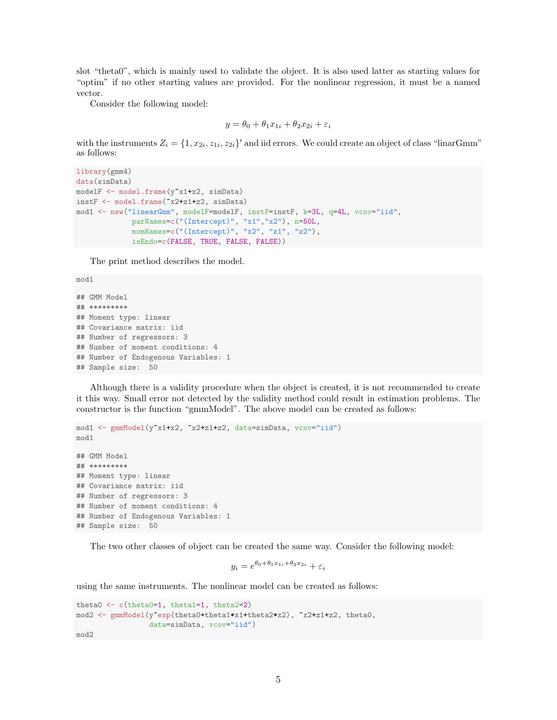slot "theta0", which is mainly used to validate the object. It is also used latter as starting values for "optim" if no other starting values are provided. For the nonlinear regression, it must be a named vector.

Consider the following model:

$$
y = \theta_0 + \theta_1 x_{1i} + \theta_2 x_{2i} + \varepsilon_i
$$

with the instruments  $Z_i = \{1, x_{2i}, z_{1i}, z_{2i}\}$  and iid errors. We could create an object of class "linarGmm" as follows:

```
library(gmm4)
data(simData)
modelF <- model.frame(y<sup>-x1+x2</sup>, simData)
instF <- model.frame(~x2+z1+z2, simData)
mod1 <- new("linearGmm", modelF=modelF, instF=instF, k=3L, q=4L, vcov="iid",
             parNames=c("(Intercept)", "x1","x2"), n=50L,
             momNames=c("(Intercept)", "x2", "z1", "z2"),
             isEndo=c(FALSE, TRUE, FALSE, FALSE))
```
The print method describes the model.

```
## GMM Model
## *********
## Moment type: linear
## Covariance matrix: iid
## Number of regressors: 3
## Number of moment conditions: 4
## Number of Endogenous Variables: 1
## Sample size: 50
```
mod1

Although there is a validity procedure when the object is created, it is not recommended to create it this way. Small error not detected by the validity method could result in estimation problems. The constructor is the function "gmmModel". The above model can be created as follows:

```
mod1 <- gmmModel(y~x1+x2, ~x2+z1+z2, data=simData, vcov="iid")
mod1
## GMM Model
## *********
## Moment type: linear
## Covariance matrix: iid
## Number of regressors: 3
## Number of moment conditions: 4
## Number of Endogenous Variables: 1
## Sample size: 50
```
The two other classes of object can be created the same way. Consider the following model:

$$
y_i = e^{\theta_0 + \theta_1 x_{1i} + \theta_2 x_{2i}} + \varepsilon_i
$$

using the same instruments. The nonlinear model can be created as follows:

```
theta0 <- c(theta0=1, theta1=1, theta2=2)
mod2 <- gmmModel(y"exp(theta0+theta1*x1+theta2*x2), "x2+z1+z2, theta0,
                 data=simData, vcov="iid")
mod2
```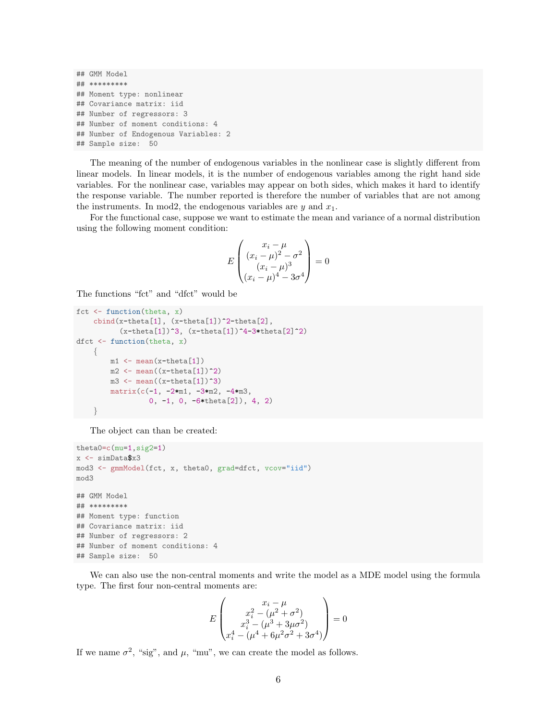```
## GMM Model
## *********
## Moment type: nonlinear
## Covariance matrix: iid
## Number of regressors: 3
## Number of moment conditions: 4
## Number of Endogenous Variables: 2
## Sample size: 50
```
The meaning of the number of endogenous variables in the nonlinear case is slightly different from linear models. In linear models, it is the number of endogenous variables among the right hand side variables. For the nonlinear case, variables may appear on both sides, which makes it hard to identify the response variable. The number reported is therefore the number of variables that are not among the instruments. In mod2, the endogenous variables are  $y$  and  $x_1$ .

For the functional case, suppose we want to estimate the mean and variance of a normal distribution using the following moment condition:

$$
E\begin{pmatrix} x_i - \mu \\ (x_i - \mu)^2 - \sigma^2 \\ (x_i - \mu)^3 \\ (x_i - \mu)^4 - 3\sigma^4 \end{pmatrix} = 0
$$

The functions "fct" and "dfct" would be

```
fct \leftarrow function(theta, x)
     \text{cbind}(x-\text{theta}[1], (x-\text{theta}[1])^2-\text{theta}[2],(x-theta[1])^3, (x-theta[1])^4-3*theta[2]^2)
dfct <- function(theta, x)
     {
          m1 \leftarrow \text{mean}(x-\text{theta}[1])m2 \leftarrow \text{mean}((x-\text{theta}[1])^2)m3 \leftarrow mean((x-theta[1])<sup>\sim</sup>3)
          matrix(c(-1, -2*m1, -3*m2, -4*m3,0, -1, 0, -6*theta[2]), 4, 2)
     }
```
The object can than be created:

```
theta0=c(mu=1,sig2=1)
x <- simData$x3
mod3 <- gmmModel(fct, x, theta0, grad=dfct, vcov="iid")
mod3
## GMM Model
## *********
## Moment type: function
## Covariance matrix: iid
## Number of regressors: 2
## Number of moment conditions: 4
## Sample size: 50
```
We can also use the non-central moments and write the model as a MDE model using the formula type. The first four non-central moments are:

$$
E\begin{pmatrix} x_i - \mu \\ x_i^2 - (\mu^2 + \sigma^2) \\ x_i^3 - (\mu^3 + 3\mu\sigma^2) \\ x_i^4 - (\mu^4 + 6\mu^2\sigma^2 + 3\sigma^4) \end{pmatrix} = 0
$$

If we name  $\sigma^2$ , "sig", and  $\mu$ , "mu", we can create the model as follows.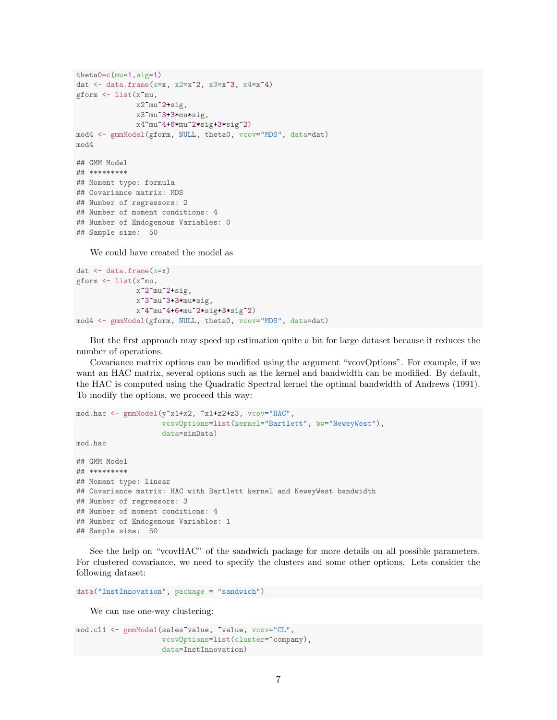```
theta0=c(mu=1,sig=1)
dat \leftarrow data.frame(x=x, x2=x^2, x3=x^3, x4=x^4)
gform <- list(x~mu,
              x2~mu^2+sig,
              x3~mu^3+3*mu*sig,
              x4~mu^4+6*mu^2*sig+3*sig^2)
mod4 <- gmmModel(gform, NULL, theta0, vcov="MDS", data=dat)
mod4
## GMM Model
## *********
## Moment type: formula
## Covariance matrix: MDS
## Number of regressors: 2
## Number of moment conditions: 4
## Number of Endogenous Variables: 0
## Sample size: 50
```
We could have created the model as

```
dat \leftarrow data.frame(x=x)gform <- list(x~mu,
              x^2~mu^2+sig,
              x^3~mu^3+3*mu*sig,
              x^4~mu^4+6*mu^2*sig+3*sig^2)
mod4 <- gmmModel(gform, NULL, theta0, vcov="MDS", data=dat)
```
But the first approach may speed up estimation quite a bit for large dataset because it reduces the number of operations.

Covariance matrix options can be modified using the argument "vcovOptions". For example, if we want an HAC matrix, several options such as the kernel and bandwidth can be modified. By default, the HAC is computed using the Quadratic Spectral kernel the optimal bandwidth of [Andrews](#page-55-0) [\(1991\)](#page-55-0). To modify the options, we proceed this way:

```
mod.hac <- gmmModel(y~x1+x2, ~x1+z2+z3, vcov="HAC",
                    vcovOptions=list(kernel="Bartlett", bw="NeweyWest"),
                    data=simData)
mod.hac
```

```
## GMM Model
## *********
## Moment type: linear
## Covariance matrix: HAC with Bartlett kernel and NeweyWest bandwidth
## Number of regressors: 3
## Number of moment conditions: 4
## Number of Endogenous Variables: 1
## Sample size: 50
```
See the help on "vcovHAC" of the sandwich package for more details on all possible parameters. For clustered covariance, we need to specify the clusters and some other options. Lets consider the following dataset:

```
data("InstInnovation", package = "sandwich")
```
We can use one-way clustering:

```
mod.cl1 <- gmmModel(sales~value, ~value, vcov="CL",
                    vcovOptions=list(cluster="company),
                    data=InstInnovation)
```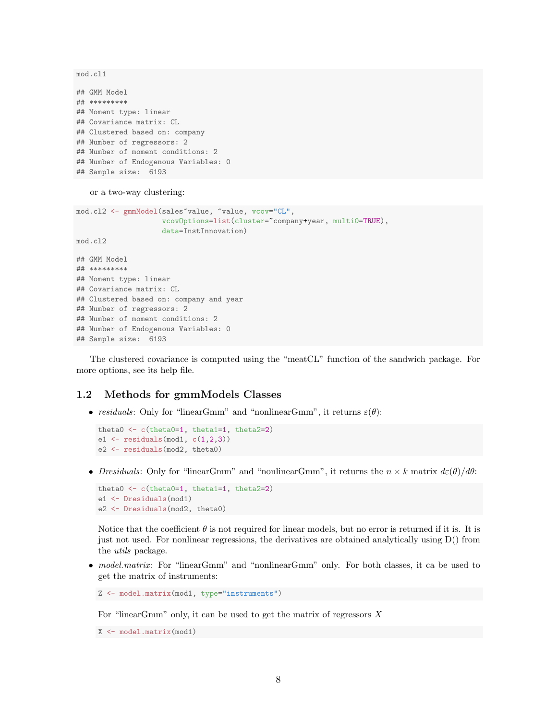mod.cl1

## GMM Model ## \*\*\*\*\*\*\*\*\* ## Moment type: linear ## Covariance matrix: CL ## Clustered based on: company ## Number of regressors: 2 ## Number of moment conditions: 2 ## Number of Endogenous Variables: 0 ## Sample size: 6193

or a two-way clustering:

```
mod.cl2 <- gmmModel(sales~value, ~value, vcov="CL",
                    vcovOptions=list(cluster=~company+year, multi0=TRUE),
                    data=InstInnovation)
mod.cl2
## GMM Model
## *********
## Moment type: linear
## Covariance matrix: CL
## Clustered based on: company and year
## Number of regressors: 2
## Number of moment conditions: 2
## Number of Endogenous Variables: 0
## Sample size: 6193
```
The clustered covariance is computed using the "meatCL" function of the sandwich package. For more options, see its help file.

### <span id="page-7-0"></span>1.2 Methods for gmmModels Classes

• residuals: Only for "linearGmm" and "nonlinearGmm", it returns  $\varepsilon(\theta)$ :

```
theta0 <- c(theta0=1, theta1=1, theta2=2)
e1 \leftarrow residuals(mod1, c(1,2,3))
e2 <- residuals(mod2, theta0)
```
• Dresiduals: Only for "linearGmm" and "nonlinearGmm", it returns the  $n \times k$  matrix  $d\varepsilon(\theta)/d\theta$ :

```
theta0 <- c(theta0=1, theta1=1, theta2=2)
e1 <- Dresiduals(mod1)
e2 <- Dresiduals(mod2, theta0)
```
Notice that the coefficient  $\theta$  is not required for linear models, but no error is returned if it is. It is just not used. For nonlinear regressions, the derivatives are obtained analytically using D() from the utils package.

• model.matrix: For "linearGmm" and "nonlinearGmm" only. For both classes, it ca be used to get the matrix of instruments:

```
Z <- model.matrix(mod1, type="instruments")
```
For "linearGmm" only, it can be used to get the matrix of regressors  $X$ 

```
X <- model.matrix(mod1)
```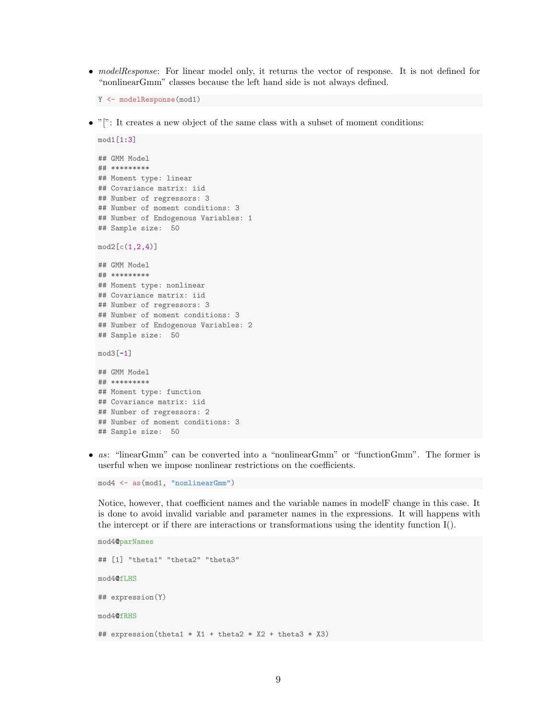• modelResponse: For linear model only, it returns the vector of response. It is not defined for "nonlinearGmm" classes because the left hand side is not always defined.

```
Y <- modelResponse(mod1)
```
 $\bullet$  "[": It creates a new object of the same class with a subset of moment conditions:

```
mod1[1:3]
## GMM Model
## *********
## Moment type: linear
## Covariance matrix: iid
## Number of regressors: 3
## Number of moment conditions: 3
## Number of Endogenous Variables: 1
## Sample size: 50
mod2[c(1,2,4)]
## GMM Model
## *********
## Moment type: nonlinear
## Covariance matrix: iid
## Number of regressors: 3
## Number of moment conditions: 3
## Number of Endogenous Variables: 2
## Sample size: 50
mod3[-1]
## GMM Model
## *********
## Moment type: function
## Covariance matrix: iid
## Number of regressors: 2
## Number of moment conditions: 3
## Sample size: 50
```
• as: "linearGmm" can be converted into a "nonlinearGmm" or "functionGmm". The former is userful when we impose nonlinear restrictions on the coefficients.

mod4 <- as(mod1, "nonlinearGmm")

Notice, however, that coefficient names and the variable names in modelF change in this case. It is done to avoid invalid variable and parameter names in the expressions. It will happens with the intercept or if there are interactions or transformations using the identity function I().

```
mod4@parNames
## [1] "theta1" "theta2" "theta3"
mod4@fLHS
## expression(Y)
mod4@fRHS
## expression(theta1 * X1 + theta2 * X2 + theta3 * X3)
```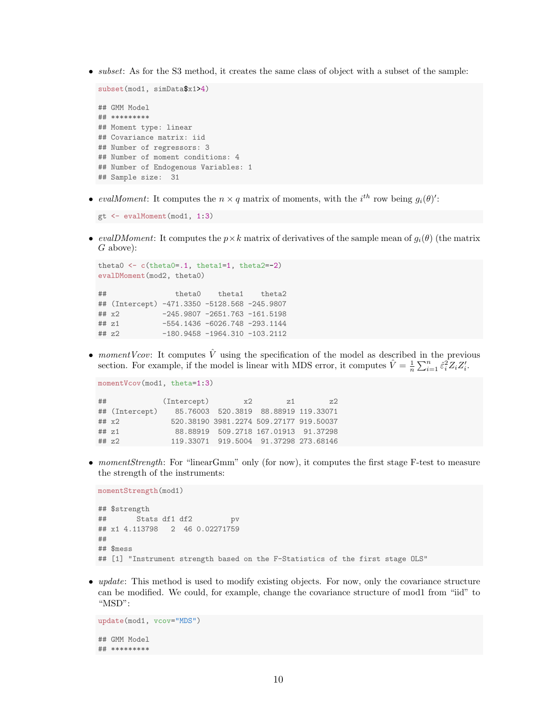• *subset*: As for the S3 method, it creates the same class of object with a subset of the sample:

```
subset(mod1, simData$x1>4)
## GMM Model
## *********
## Moment type: linear
## Covariance matrix: iid
## Number of regressors: 3
## Number of moment conditions: 4
## Number of Endogenous Variables: 1
## Sample size: 31
```
• evalMoment: It computes the  $n \times q$  matrix of moments, with the i<sup>th</sup> row being  $g_i(\theta)$ .

```
gt <- evalMoment(mod1, 1:3)
```
• evalDMoment: It computes the  $p \times k$  matrix of derivatives of the sample mean of  $g_i(\theta)$  (the matrix G above):

```
theta0 <- c(theta0=.1, theta1=1, theta2=-2)
evalDMoment(mod2, theta0)
## theta0 theta1 theta2
## (Intercept) -471.3350 -5128.568 -245.9807
## x2 -245.9807 -2651.763 -161.5198
## z1 -554.1436 -6026.748 -293.1144
## z2 -180.9458 -1964.310 -103.2112
```
• momentVcov: It computes  $\hat{V}$  using the specification of the model as described in the previous section. For example, if the model is linear with MDS error, it computes  $\hat{V} = \frac{1}{n} \sum_{i=1}^{n} \hat{\varepsilon}_i^2 Z_i Z'_i$ .

momentVcov(mod1, theta=1:3)

| ## |                | (Intercept)                          | x2.                                     | 2.1 | 7.2 |
|----|----------------|--------------------------------------|-----------------------------------------|-----|-----|
|    | ## (Intercept) | 85.76003 520.3819 88.88919 119.33071 |                                         |     |     |
|    | ## x2          |                                      | 520.38190 3981.2274 509.27177 919.50037 |     |     |
|    | $##$ $z1$      |                                      | 88.88919 509.2718 167.01913 91.37298    |     |     |
|    | ## z2          |                                      | 119.33071 919.5004 91.37298 273.68146   |     |     |

• momentStrength: For "linearGmm" only (for now), it computes the first stage F-test to measure the strength of the instruments:

```
momentStrength(mod1)
## $strength
## Stats df1 df2 pv
## x1 4.113798 2 46 0.02271759
##
## $mess
## [1] "Instrument strength based on the F-Statistics of the first stage OLS"
```
• *update*: This method is used to modify existing objects. For now, only the covariance structure can be modified. We could, for example, change the covariance structure of mod1 from "iid" to "MSD":

```
update(mod1, vcov="MDS")
## GMM Model
## *********
```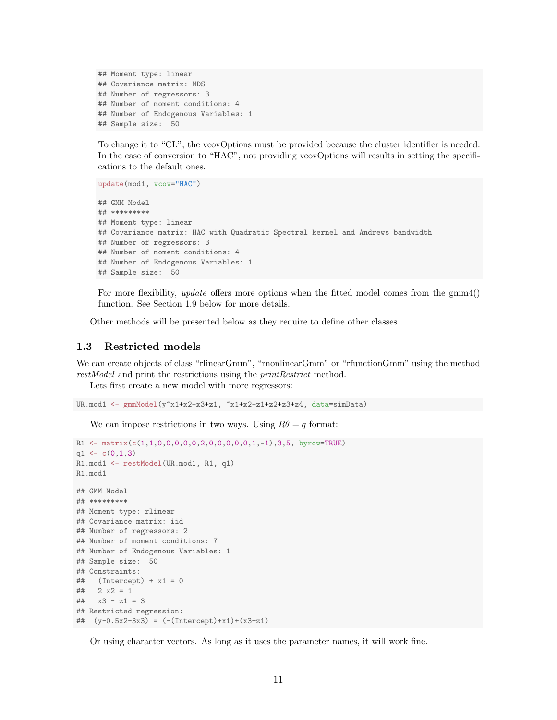```
## Moment type: linear
## Covariance matrix: MDS
## Number of regressors: 3
## Number of moment conditions: 4
## Number of Endogenous Variables: 1
## Sample size: 50
```
To change it to "CL", the vcovOptions must be provided because the cluster identifier is needed. In the case of conversion to "HAC", not providing vcovOptions will results in setting the specifications to the default ones.

```
update(mod1, vcov="HAC")
## GMM Model
## *********
## Moment type: linear
## Covariance matrix: HAC with Quadratic Spectral kernel and Andrews bandwidth
## Number of regressors: 3
## Number of moment conditions: 4
## Number of Endogenous Variables: 1
## Sample size: 50
```
For more flexibility, *update* offers more options when the fitted model comes from the gmm4() function. See Section [1.9](#page-27-1) below for more details.

Other methods will be presented below as they require to define other classes.

### <span id="page-10-0"></span>1.3 Restricted models

We can create objects of class "rlinearGmm", "rnonlinearGmm" or "rfunctionGmm" using the method restModel and print the restrictions using the *printRestrict* method.

Lets first create a new model with more regressors:

```
UR.mod1 <- gmmModel(y"x1+x2+x3+z1, "x1+x2+z1+z2+z3+z4, data=simData)
```
We can impose restrictions in two ways. Using  $R\theta = q$  format:

```
R1 <- matrix(c(1,1,0,0,0,0,0,2,0,0,0,0,0,1,-1),3,5, byrow=TRUE)
q1 \leftarrow c(0,1,3)R1.mod1 <- restModel(UR.mod1, R1, q1)
R1.mod1
## GMM Model
## *********
## Moment type: rlinear
## Covariance matrix: iid
## Number of regressors: 2
## Number of moment conditions: 7
## Number of Endogenous Variables: 1
## Sample size: 50
## Constraints:
\## (Intercept) + x1 = 0\# 2 x2 = 1
## x3 - z1 = 3## Restricted regression:
## (y-0.5x2-3x3) = (-(Intercept)+x1)+(x3+z1)
```
Or using character vectors. As long as it uses the parameter names, it will work fine.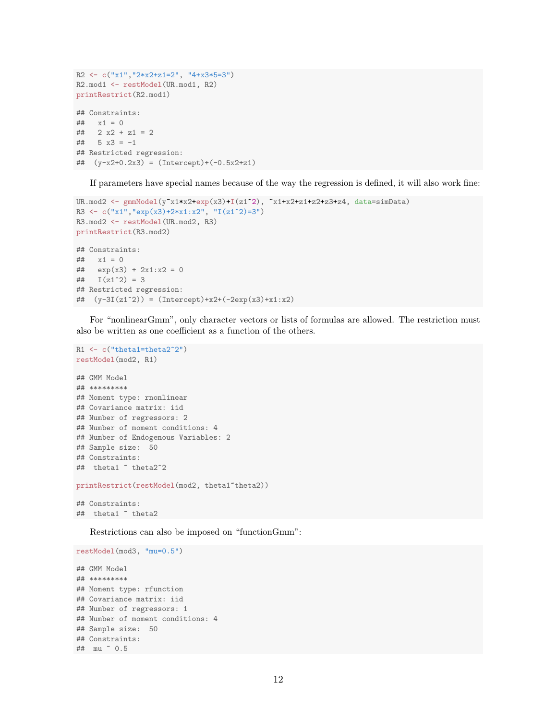```
R2 \leftarrow c("x1", "2*x2+z1=2", "4+x3*5=3")R2.mod1 <- restModel(UR.mod1, R2)
printRestrict(R2.mod1)
## Constraints:
## x1 = 0\# 2 x2 + z1 = 2
## 5 x3 = -1## Restricted regression:
## (y-x2+0.2x3) = (Intercept)+(-0.5x2+z1)
```
If parameters have special names because of the way the regression is defined, it will also work fine:

```
UR.mod2 <- gmmModel(y"x1*x2+exp(x3)+I(z1^2), "x1+x2+z1+z2+z3+z4, data=simData)
R3 <- c("x1","exp(x3)+2*x1:x2", "I(z1^2)=3")
R3.mod2 <- restModel(UR.mod2, R3)
printRestrict(R3.mod2)
## Constraints:
## x1 = 0\# exp(x3) + 2x1:x2 = 0
## I(z1^2) = 3## Restricted regression:
## (y-3I(z1^2)) = (Intercept)+x2+(-2exp(x3)+x1:x2)
```
For "nonlinearGmm", only character vectors or lists of formulas are allowed. The restriction must also be written as one coefficient as a function of the others.

```
R1 <- c("theta1=theta2^2")
restModel(mod2, R1)
## GMM Model
## *********
## Moment type: rnonlinear
## Covariance matrix: iid
## Number of regressors: 2
## Number of moment conditions: 4
## Number of Endogenous Variables: 2
## Sample size: 50
## Constraints:
## theta1 ~ theta2^2
printRestrict(restModel(mod2, theta1~theta2))
## Constraints:
```
## theta1 ~ theta2

Restrictions can also be imposed on "functionGmm":

```
restModel(mod3, "mu=0.5")
## GMM Model
## *********
## Moment type: rfunction
## Covariance matrix: iid
## Number of regressors: 1
## Number of moment conditions: 4
## Sample size: 50
## Constraints:
## mu ~ 0.5
```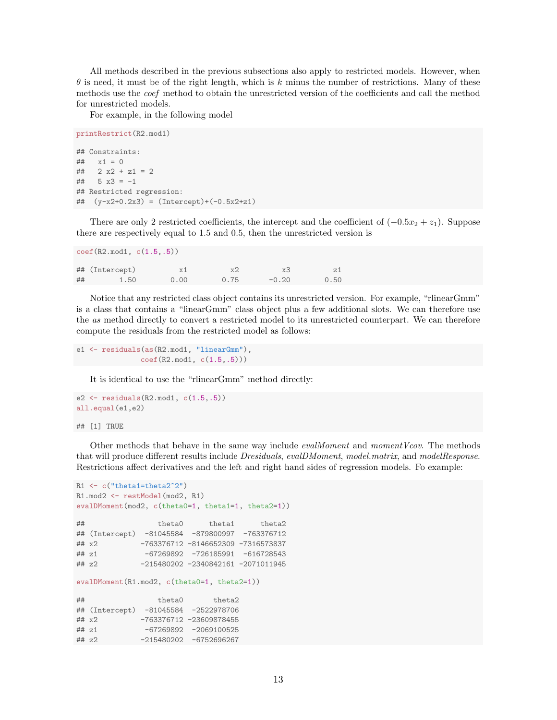All methods described in the previous subsections also apply to restricted models. However, when  $\theta$  is need, it must be of the right length, which is k minus the number of restrictions. Many of these methods use the coef method to obtain the unrestricted version of the coefficients and call the method for unrestricted models.

For example, in the following model

```
printRestrict(R2.mod1)
## Constraints:
## x1 = 0\# 2 x2 + z1 = 2
## 5 x3 = -1## Restricted regression:
   (y-x2+0.2x3) = (Intercept)+(0.5x2+z1)
```
There are only 2 restricted coefficients, the intercept and the coefficient of  $(-0.5x_2 + z_1)$ . Suppose there are respectively equal to 1.5 and 0.5, then the unrestricted version is

| $\text{coef}(R2 \text{ mod}1, c(1.5,.5))$ |                |            |      |         |      |  |
|-------------------------------------------|----------------|------------|------|---------|------|--|
|                                           | ## (Intercept) | $\times 1$ | x2   | x3      | z1   |  |
| ##                                        | 1.50           | 0.00       | 0.75 | $-0.20$ | 0.50 |  |

Notice that any restricted class object contains its unrestricted version. For example, "rlinearGmm" is a class that contains a "linearGmm" class object plus a few additional slots. We can therefore use the as method directly to convert a restricted model to its unrestricted counterpart. We can therefore compute the residuals from the restricted model as follows:

e1 <- residuals(as(R2.mod1, "linearGmm"), coef(R2.mod1, c(1.5,.5)))

It is identical to use the "rlinearGmm" method directly:

```
e2 \leftarrow residuals(R2.mod1, c(1.5,.5))
all.equal(e1,e2)
```
## [1] TRUE

Other methods that behave in the same way include *evalMoment* and *momentVcov*. The methods that will produce different results include *Dresiduals, evalDMoment, model.matrix,* and modelResponse. Restrictions affect derivatives and the left and right hand sides of regression models. Fo example:

```
R1 \leftarrow c("theta1=theta2^2")R1.mod2 <- restModel(mod2, R1)
evalDMoment(mod2, c(theta0=1, theta1=1, theta2=1))
## theta0 theta1 theta2
## (Intercept) -81045584 -879800997 -763376712
## x2 -763376712 -8146652309 -7316573837
## z1 -67269892 -726185991 -616728543
## z2 -215480202 -2340842161 -2071011945
evalDMoment(R1.mod2, c(theta0=1, theta2=1))
## theta0 theta2
## (Intercept) -81045584 -2522978706
## x2 -763376712 -23609878455
## z1 -67269892 -2069100525
## z2 -215480202 -6752696267
```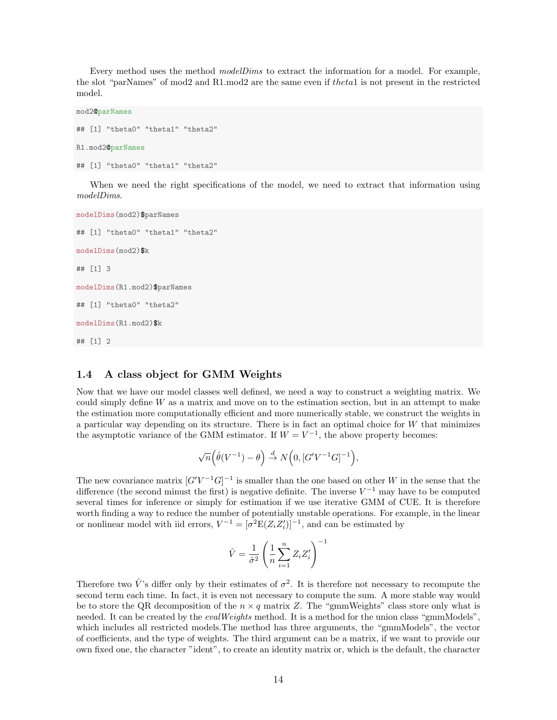Every method uses the method *modelDims* to extract the information for a model. For example, the slot "parNames" of mod2 and R1.mod2 are the same even if theta1 is not present in the restricted model.

```
mod2@parNames
## [1] "theta0" "theta1" "theta2"
R1.mod2@parNames
## [1] "theta0" "theta1" "theta2"
```
When we need the right specifications of the model, we need to extract that information using modelDims.

```
modelDims(mod2)$parNames
## [1] "theta0" "theta1" "theta2"
modelDims(mod2)$k
## [1] 3
modelDims(R1.mod2)$parNames
## [1] "theta0" "theta2"
modelDims(R1.mod2)$k
## [1] 2
```
### <span id="page-13-0"></span>1.4 A class object for GMM Weights

Now that we have our model classes well defined, we need a way to construct a weighting matrix. We could simply define  $W$  as a matrix and move on to the estimation section, but in an attempt to make the estimation more computationally efficient and more numerically stable, we construct the weights in a particular way depending on its structure. There is in fact an optimal choice for W that minimizes the asymptotic variance of the GMM estimator. If  $W = V^{-1}$ , the above property becomes:

$$
\sqrt{n}\Big(\hat{\theta}(V^{-1})-\theta\Big) \stackrel{d}{\to} N\Big(0,[G'V^{-1}G]^{-1}\Big),\,
$$

The new covariance matrix  $[G'V^{-1}G]^{-1}$  is smaller than the one based on other W in the sense that the difference (the second minust the first) is negative definite. The inverse  $V^{-1}$  may have to be computed several times for inference or simply for estimation if we use iterative GMM of CUE. It is therefore worth finding a way to reduce the number of potentially unstable operations. For example, in the linear or nonlinear model with iid errors,  $V^{-1} = [\sigma^2 E(Z_i Z_i')]^{-1}$ , and can be estimated by

$$
\hat{V} = \frac{1}{\hat{\sigma}^2} \left( \frac{1}{n} \sum_{i=1}^n Z_i Z_i' \right)^{-1}
$$

Therefore two  $\hat{V}$ 's differ only by their estimates of  $\sigma^2$ . It is therefore not necessary to recompute the second term each time. In fact, it is even not necessary to compute the sum. A more stable way would be to store the QR decomposition of the  $n \times q$  matrix Z. The "gmmWeights" class store only what is needed. It can be created by the *evalWeights* method. It is a method for the union class "gmmModels", which includes all restricted models.The method has three arguments, the "gmmModels", the vector of coefficients, and the type of weights. The third argument can be a matrix, if we want to provide our own fixed one, the character "ident", to create an identity matrix or, which is the default, the character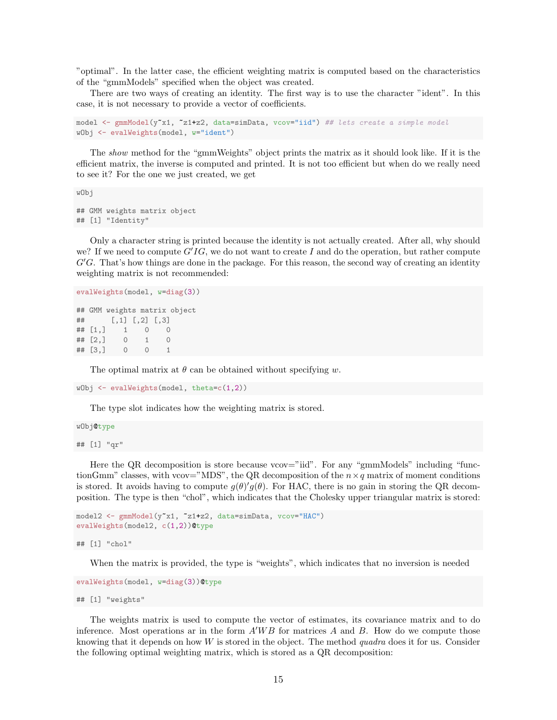"optimal". In the latter case, the efficient weighting matrix is computed based on the characteristics of the "gmmModels" specified when the object was created.

There are two ways of creating an identity. The first way is to use the character "ident". In this case, it is not necessary to provide a vector of coefficients.

```
model <- gmmModel(y"x1, "z1+z2, data=simData, vcov="iid") ## lets create a simple model
wObj <- evalWeights(model, w="ident")
```
The show method for the "gmmWeights" object prints the matrix as it should look like. If it is the efficient matrix, the inverse is computed and printed. It is not too efficient but when do we really need to see it? For the one we just created, we get

wObj

```
## GMM weights matrix object
## [1] "Identity"
```
Only a character string is printed because the identity is not actually created. After all, why should we? If we need to compute  $G'IG$ , we do not want to create I and do the operation, but rather compute  $G'G$ . That's how things are done in the package. For this reason, the second way of creating an identity weighting matrix is not recommended:

```
evalWeights(model, w=diag(3))
## GMM weights matrix object
## [,1] [,2] [,3]
## [1,] 1 0 0
\# [2,] 0 1 0
```
## [3,] 0 0 1

The optimal matrix at  $\theta$  can be obtained without specifying w.

```
wObj <- evalWeights(model, theta=c(1,2))
```
The type slot indicates how the weighting matrix is stored.

```
wObj@type
## [1] "qr"
```
Here the QR decomposition is store because vcov="iid". For any "gmmModels" including "functionGmm" classes, with vcov="MDS", the QR decomposition of the  $n \times q$  matrix of moment conditions is stored. It avoids having to compute  $g(\theta)'g(\theta)$ . For HAC, there is no gain in storing the QR decomposition. The type is then "chol", which indicates that the Cholesky upper triangular matrix is stored:

```
model2 <- gmmModel(y~x1, ~z1+z2, data=simData, vcov="HAC")
evalWeights(model2, c(1,2))@type
```
## [1] "chol"

When the matrix is provided, the type is "weights", which indicates that no inversion is needed

```
evalWeights(model, w=diag(3))@type
```

```
## [1] "weights"
```
The weights matrix is used to compute the vector of estimates, its covariance matrix and to do inference. Most operations ar in the form  $A'WB$  for matrices A and B. How do we compute those knowing that it depends on how  $W$  is stored in the object. The method quadra does it for us. Consider the following optimal weighting matrix, which is stored as a QR decomposition: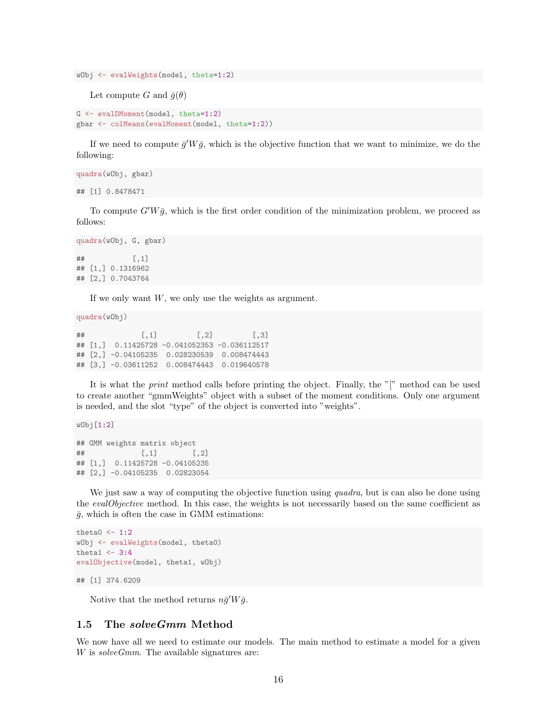```
wObj <- evalWeights(model, theta=1:2)
```
Let compute G and  $\bar{g}(\theta)$ 

```
G <- evalDMoment(model, theta=1:2)
gbar <- colMeans(evalMoment(model, theta=1:2))
```
If we need to compute  $\bar{g}'W\bar{g}$ , which is the objective function that we want to minimize, we do the following:

```
quadra(wObj, gbar)
## [1] 0.8478471
```
To compute  $G'W\bar{q}$ , which is the first order condition of the minimization problem, we proceed as follows:

```
quadra(wObj, G, gbar)
## [,1]
## [1,] 0.1316962
## [2,] 0.7043764
```
If we only want  $W$ , we only use the weights as argument.

quadra(wObj)

##  $[ ,1]$   $[ ,2]$   $[ ,3]$ ## [1,] 0.11425728 -0.041052353 -0.036112517 ## [2,] -0.04105235 0.028230539 0.008474443 ## [3,] -0.03611252 0.008474443 0.019640578

It is what the *print* method calls before printing the object. Finally, the "[" method can be used to create another "gmmWeights" object with a subset of the moment conditions. Only one argument is needed, and the slot "type" of the object is converted into "weights".

wObj[1:2]

```
## GMM weights matrix object
\sharp # [, 1 [, 1 [, 2 ]## [1,] 0.11425728 -0.04105235
## [2,] -0.04105235 0.02823054
```
We just saw a way of computing the objective function using *quadra*, but is can also be done using the *evalObjective* method. In this case, the weights is not necessarily based on the same coefficient as  $\bar{g}$ , which is often the case in GMM estimations:

```
theta0 \leftarrow 1:2wObj <- evalWeights(model, theta0)
theta1 \leftarrow 3:4
evalObjective(model, theta1, wObj)
## [1] 374.6209
```
Notive that the method returns  $n\bar{g}'W\bar{g}$ .

### <span id="page-15-0"></span>1.5 The solveGmm Method

We now have all we need to estimate our models. The main method to estimate a model for a given  $W$  is solve  $Gmm$ . The available signatures are: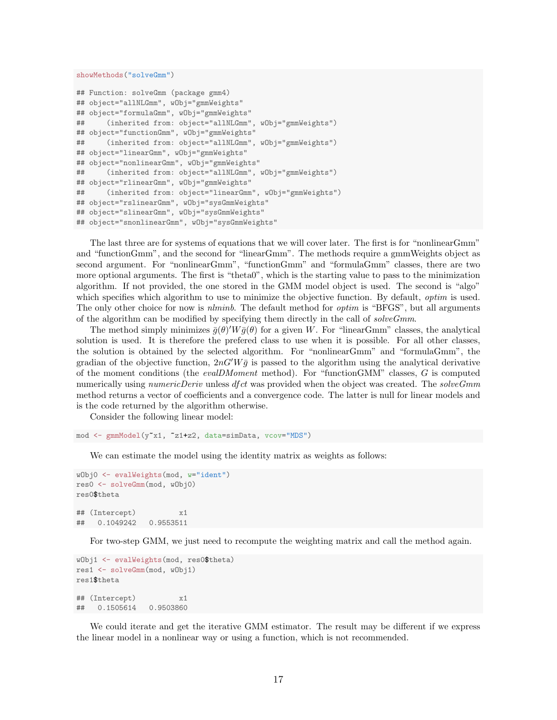#### showMethods("solveGmm")

```
## Function: solveGmm (package gmm4)
## object="allNLGmm", wObj="gmmWeights"
## object="formulaGmm", wObj="gmmWeights"
## (inherited from: object="allNLGmm", wObj="gmmWeights")
## object="functionGmm", wObj="gmmWeights"
## (inherited from: object="allNLGmm", wObj="gmmWeights")
## object="linearGmm", wObj="gmmWeights"
## object="nonlinearGmm", wObj="gmmWeights"
## (inherited from: object="allNLGmm", wObj="gmmWeights")
## object="rlinearGmm", wObj="gmmWeights"
## (inherited from: object="linearGmm", wObj="gmmWeights")
## object="rslinearGmm", wObj="sysGmmWeights"
## object="slinearGmm", wObj="sysGmmWeights"
## object="snonlinearGmm", wObj="sysGmmWeights"
```
The last three are for systems of equations that we will cover later. The first is for "nonlinearGmm" and "functionGmm", and the second for "linearGmm". The methods require a gmmWeights object as second argument. For "nonlinearGmm", "functionGmm" and "formulaGmm" classes, there are two more optional arguments. The first is "theta0", which is the starting value to pass to the minimization algorithm. If not provided, the one stored in the GMM model object is used. The second is "algo" which specifies which algorithm to use to minimize the objective function. By default, *optim* is used. The only other choice for now is *nlminb*. The default method for *optim* is "BFGS", but all arguments of the algorithm can be modified by specifying them directly in the call of  $solveGmm$ .

The method simply minimizes  $\bar{g}(\theta)'W\bar{g}(\theta)$  for a given W. For "linearGmm" classes, the analytical solution is used. It is therefore the prefered class to use when it is possible. For all other classes, the solution is obtained by the selected algorithm. For "nonlinearGmm" and "formulaGmm", the gradian of the objective function,  $2nG'W\bar{g}$  is passed to the algorithm using the analytical derivative of the moment conditions (the evalDMoment method). For "functionGMM" classes, G is computed numerically using numericDeriv unless dfct was provided when the object was created. The solveGmm method returns a vector of coefficients and a convergence code. The latter is null for linear models and is the code returned by the algorithm otherwise.

Consider the following linear model:

mod <- gmmModel(y~x1, ~z1+z2, data=simData, vcov="MDS")

We can estimate the model using the identity matrix as weights as follows:

```
wObj0 <- evalWeights(mod, w="ident")
res0 <- solveGmm(mod, wObj0)
res0$theta
## (Intercept) x1
## 0.1049242 0.9553511
```
For two-step GMM, we just need to recompute the weighting matrix and call the method again.

```
wObj1 <- evalWeights(mod, res0$theta)
res1 <- solveGmm(mod, wObj1)
res1$theta
## (Intercept) x1
## 0.1505614 0.9503860
```
We could iterate and get the iterative GMM estimator. The result may be different if we express the linear model in a nonlinear way or using a function, which is not recommended.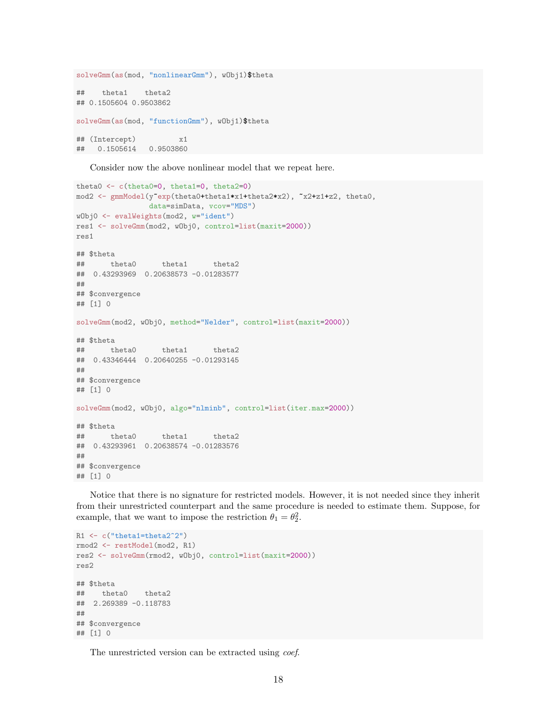```
solveGmm(as(mod, "nonlinearGmm"), wObj1)$theta
## theta1 theta2
## 0.1505604 0.9503862
solveGmm(as(mod, "functionGmm"), wObj1)$theta
## (Intercept) x1
## 0.1505614 0.9503860
```
Consider now the above nonlinear model that we repeat here.

```
theta0 <- c(theta0=0, theta1=0, theta2=0)
mod2 <- gmmModel(y~exp(theta0+theta1*x1+theta2*x2), ~x2+z1+z2, theta0,
               data=simData, vcov="MDS")
wObj0 <- evalWeights(mod2, w="ident")
res1 <- solveGmm(mod2, wObj0, control=list(maxit=2000))
res1
## $theta
## theta0 theta1 theta2
## 0.43293969 0.20638573 -0.01283577
##
## $convergence
## [1] 0
solveGmm(mod2, wObj0, method="Nelder", control=list(maxit=2000))
## $theta
## theta0 theta1 theta2
## 0.43346444 0.20640255 -0.01293145
##
## $convergence
## [1] 0
solveGmm(mod2, wObj0, algo="nlminb", control=list(iter.max=2000))
## $theta
## theta0 theta1 theta2
## 0.43293961 0.20638574 -0.01283576
##
## $convergence
## [1] 0
```
Notice that there is no signature for restricted models. However, it is not needed since they inherit from their unrestricted counterpart and the same procedure is needed to estimate them. Suppose, for example, that we want to impose the restriction  $\theta_1 = \theta_2^2$ .

```
R1 \leftarrow c("theta1=theta2^2")rmod2 <- restModel(mod2, R1)
res2 <- solveGmm(rmod2, wObj0, control=list(maxit=2000))
res2
## $theta
## theta0 theta2
## 2.269389 -0.118783
##
## $convergence
## [1] 0
```
The unrestricted version can be extracted using coef.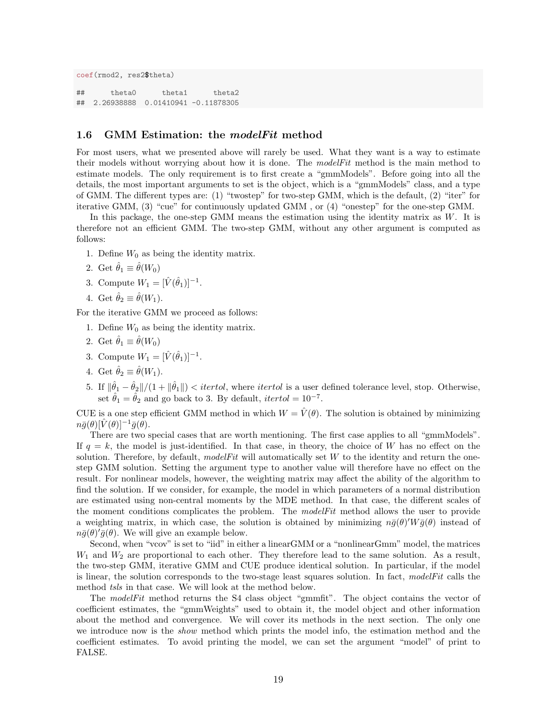```
coef(rmod2, res2$theta)
## theta0 theta1 theta2
## 2.26938888 0.01410941 -0.11878305
```
#### <span id="page-18-0"></span>1.6 GMM Estimation: the modelFit method

For most users, what we presented above will rarely be used. What they want is a way to estimate their models without worrying about how it is done. The  $modelFit$  method is the main method to estimate models. The only requirement is to first create a "gmmModels". Before going into all the details, the most important arguments to set is the object, which is a "gmmModels" class, and a type of GMM. The different types are: (1) "twostep" for two-step GMM, which is the default, (2) "iter" for iterative GMM, (3) "cue" for continuously updated GMM , or (4) "onestep" for the one-step GMM.

In this package, the one-step GMM means the estimation using the identity matrix as  $W$ . It is therefore not an efficient GMM. The two-step GMM, without any other argument is computed as follows:

- 1. Define  $W_0$  as being the identity matrix.
- 2. Get  $\hat{\theta}_1 \equiv \hat{\theta}(W_0)$
- 3. Compute  $W_1 = [\hat{V}(\hat{\theta}_1)]^{-1}$ .
- 4. Get  $\hat{\theta}_2 \equiv \hat{\theta}(W_1)$ .

For the iterative GMM we proceed as follows:

- 1. Define  $W_0$  as being the identity matrix.
- 2. Get  $\hat{\theta}_1 \equiv \hat{\theta}(W_0)$
- 3. Compute  $W_1 = [\hat{V}(\hat{\theta}_1)]^{-1}$ .
- 4. Get  $\hat{\theta}_2 \equiv \hat{\theta}(W_1)$ .
- 5. If  $\|\hat{\theta}_1 \hat{\theta}_2\|/(1 + \|\hat{\theta}_1\|)$  < *itertol*, where *itertol* is a user defined tolerance level, stop. Otherwise, set  $\hat{\theta}_1 = \hat{\theta}_2$  and go back to 3. By default, *itertol* = 10<sup>-7</sup>.

CUE is a one step efficient GMM method in which  $W = \hat{V}(\theta)$ . The solution is obtained by minimizing  $n\bar{g}(\theta)[\hat{V}(\theta)]^{-1}\bar{g}(\tilde{\theta}).$ 

There are two special cases that are worth mentioning. The first case applies to all "gmmModels". If  $q = k$ , the model is just-identified. In that case, in theory, the choice of W has no effect on the solution. Therefore, by default, modelFit will automatically set  $W$  to the identity and return the onestep GMM solution. Setting the argument type to another value will therefore have no effect on the result. For nonlinear models, however, the weighting matrix may affect the ability of the algorithm to find the solution. If we consider, for example, the model in which parameters of a normal distribution are estimated using non-central moments by the MDE method. In that case, the different scales of the moment conditions complicates the problem. The *modelFit* method allows the user to provide a weighting matrix, in which case, the solution is obtained by minimizing  $n\bar{g}(\theta)'W\bar{g}(\theta)$  instead of  $n\bar{g}(\theta)'\bar{g}(\theta)$ . We will give an example below.

Second, when "vcov" is set to "iid" in either a linearGMM or a "nonlinearGmm" model, the matrices  $W_1$  and  $W_2$  are proportional to each other. They therefore lead to the same solution. As a result, the two-step GMM, iterative GMM and CUE produce identical solution. In particular, if the model is linear, the solution corresponds to the two-stage least squares solution. In fact, modelFit calls the method tsls in that case. We will look at the method below.

The modelFit method returns the S4 class object "gmmfit". The object contains the vector of coefficient estimates, the "gmmWeights" used to obtain it, the model object and other information about the method and convergence. We will cover its methods in the next section. The only one we introduce now is the *show* method which prints the model info, the estimation method and the coefficient estimates. To avoid printing the model, we can set the argument "model" of print to FALSE.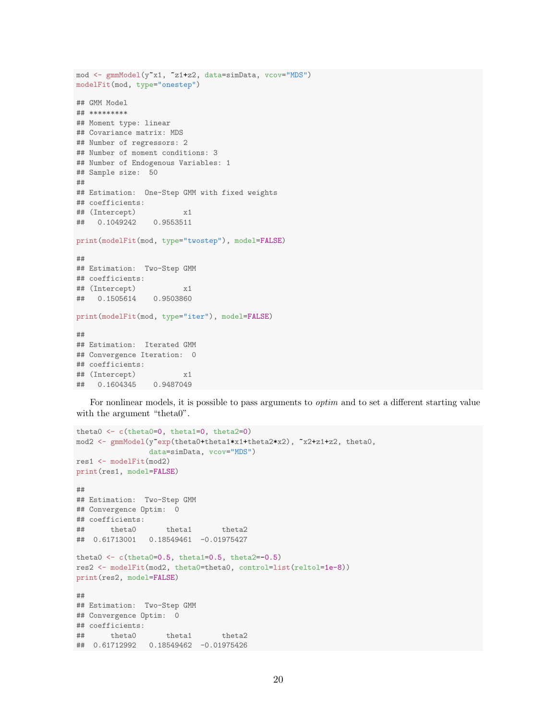```
mod <- gmmModel(y~x1, ~z1+z2, data=simData, vcov="MDS")
modelFit(mod, type="onestep")
## GMM Model
## *********
## Moment type: linear
## Covariance matrix: MDS
## Number of regressors: 2
## Number of moment conditions: 3
## Number of Endogenous Variables: 1
## Sample size: 50
##
## Estimation: One-Step GMM with fixed weights
## coefficients:
## (Intercept) x1
## 0.1049242 0.9553511
print(modelFit(mod, type="twostep"), model=FALSE)
##
## Estimation: Two-Step GMM
## coefficients:
## (Intercept) x1
## 0.1505614 0.9503860
print(modelFit(mod, type="iter"), model=FALSE)
##
## Estimation: Iterated GMM
## Convergence Iteration: 0
## coefficients:
## (Intercept) x1
## 0.1604345 0.9487049
```
For nonlinear models, it is possible to pass arguments to *optim* and to set a different starting value with the argument "theta0".

```
theta0 <- c(theta0=0, theta1=0, theta2=0)
mod2 <- gmmModel(y"exp(theta0+theta1*x1+theta2*x2), "x2+z1+z2, theta0,
                data=simData, vcov="MDS")
res1 <- modelFit(mod2)
print(res1, model=FALSE)
##
## Estimation: Two-Step GMM
## Convergence Optim: 0
## coefficients:
## theta0 theta1 theta2
## 0.61713001 0.18549461 -0.01975427
theta0 \leftarrow c(theta0=0.5, theta1=0.5, theta2=-0.5)
res2 <- modelFit(mod2, theta0=theta0, control=list(reltol=1e-8))
print(res2, model=FALSE)
##
## Estimation: Two-Step GMM
## Convergence Optim: 0
## coefficients:
## theta0 theta1 theta2
## 0.61712992 0.18549462 -0.01975426
```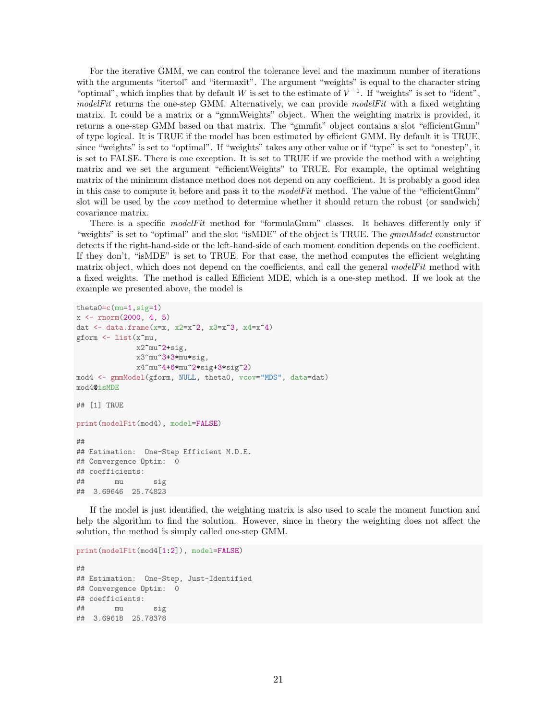For the iterative GMM, we can control the tolerance level and the maximum number of iterations with the arguments "itertol" and "itermaxit". The argument "weights" is equal to the character string "optimal", which implies that by default W is set to the estimate of  $V^{-1}$ . If "weights" is set to "ident", modelFit returns the one-step GMM. Alternatively, we can provide modelFit with a fixed weighting matrix. It could be a matrix or a "gmmWeights" object. When the weighting matrix is provided, it returns a one-step GMM based on that matrix. The "gmmfit" object contains a slot "efficientGmm" of type logical. It is TRUE if the model has been estimated by efficient GMM. By default it is TRUE, since "weights" is set to "optimal". If "weights" takes any other value or if "type" is set to "onestep", it is set to FALSE. There is one exception. It is set to TRUE if we provide the method with a weighting matrix and we set the argument "efficientWeights" to TRUE. For example, the optimal weighting matrix of the minimum distance method does not depend on any coefficient. It is probably a good idea in this case to compute it before and pass it to the  $modelFit$  method. The value of the "efficient  $Gmm$ " slot will be used by the *vcov* method to determine whether it should return the robust (or sandwich) covariance matrix.

There is a specific modelFit method for "formulaGmm" classes. It behaves differently only if "weights" is set to "optimal" and the slot "isMDE" of the object is TRUE. The gmmModel constructor detects if the right-hand-side or the left-hand-side of each moment condition depends on the coefficient. If they don't, "isMDE" is set to TRUE. For that case, the method computes the efficient weighting matrix object, which does not depend on the coefficients, and call the general modelFit method with a fixed weights. The method is called Efficient MDE, which is a one-step method. If we look at the example we presented above, the model is

```
theta0=c(mu=1,sig=1)
x \le rnorm(2000, 4, 5)
dat <- data.frame(x=x, x2=x^2, x3=x^3, x4=x^4)
gform \leq list(xmu,
             x2~mu^2+sig,
             x3~mu^3+3*mu*sig,
             x4~mu^4+6*mu^2*sig+3*sig^2)
mod4 <- gmmModel(gform, NULL, theta0, vcov="MDS", data=dat)
mod4@isMDE
## [1] TRUE
print(modelFit(mod4), model=FALSE)
##
## Estimation: One-Step Efficient M.D.E.
## Convergence Optim: 0
## coefficients:
## mu sig
## 3.69646 25.74823
```
If the model is just identified, the weighting matrix is also used to scale the moment function and help the algorithm to find the solution. However, since in theory the weighting does not affect the solution, the method is simply called one-step GMM.

```
print(modelFit(mod4[1:2]), model=FALSE)
```

```
##
## Estimation: One-Step, Just-Identified
## Convergence Optim: 0
## coefficients:
## mu sig
## 3.69618 25.78378
```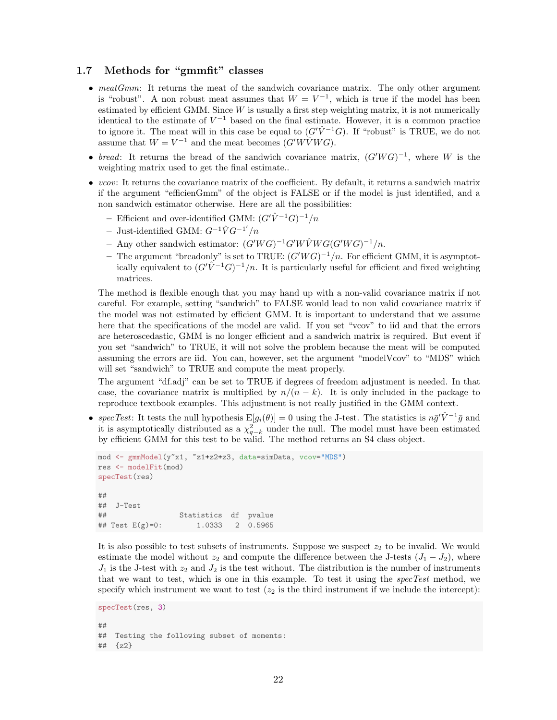### <span id="page-21-0"></span>1.7 Methods for "gmmfit" classes

- meatGmm: It returns the meat of the sandwich covariance matrix. The only other argument is "robust". A non robust meat assumes that  $W = V^{-1}$ , which is true if the model has been estimated by efficient GMM. Since  $W$  is usually a first step weighting matrix, it is not numerically identical to the estimate of  $V^{-1}$  based on the final estimate. However, it is a common practice to ignore it. The meat will in this case be equal to  $(G'V^{-1}G)$ . If "robust" is TRUE, we do not assume that  $W = V^{-1}$  and the meat becomes  $(G'W\hat{V}WG)$ .
- bread: It returns the bread of the sandwich covariance matrix,  $(G'WG)^{-1}$ , where W is the weighting matrix used to get the final estimate..
- vcov: It returns the covariance matrix of the coefficient. By default, it returns a sandwich matrix if the argument "efficienGmm" of the object is FALSE or if the model is just identified, and a non sandwich estimator otherwise. Here are all the possibilities:
	- Efficient and over-identified GMM:  $(G' \hat{V}^{-1}G)^{-1}/n$
	- Just-identified GMM:  $G^{-1}\hat{V}G^{-1'}/n$
	- Any other sandwich estimator:  $(G'WG)^{-1}G'W\hat{V}WG(G'WG)^{-1}/n$ .
	- The argument "breadonly" is set to TRUE:  $(G'WG)^{-1}/n$ . For efficient GMM, it is asymptotically equivalent to  $(G'V)^{-1}(G)^{-1}/n$ . It is particularly useful for efficient and fixed weighting matrices.

The method is flexible enough that you may hand up with a non-valid covariance matrix if not careful. For example, setting "sandwich" to FALSE would lead to non valid covariance matrix if the model was not estimated by efficient GMM. It is important to understand that we assume here that the specifications of the model are valid. If you set "vcov" to iid and that the errors are heteroscedastic, GMM is no longer efficient and a sandwich matrix is required. But event if you set "sandwich" to TRUE, it will not solve the problem because the meat will be computed assuming the errors are iid. You can, however, set the argument "modelVcov" to "MDS" which will set "sandwich" to TRUE and compute the meat properly.

The argument "df.adj" can be set to TRUE if degrees of freedom adjustment is needed. In that case, the covariance matrix is multiplied by  $n/(n - k)$ . It is only included in the package to reproduce textbook examples. This adjustment is not really justified in the GMM context.

• specTest: It tests the null hypothesis  $E[g_i(\theta)] = 0$  using the J-test. The statistics is  $n\bar{g}'\hat{V}^{-1}\bar{g}$  and it is asymptotically distributed as a  $\chi^2_{q-k}$  under the null. The model must have been estimated by efficient GMM for this test to be valid. The method returns an S4 class object.

```
mod <- gmmModel(y~x1, ~z1+z2+z3, data=simData, vcov="MDS")
res <- modelFit(mod)
specTest(res)
##
## J-Test
## Statistics df pvalue
## Test E(g)=0: 1.0333 2 0.5965
```
It is also possible to test subsets of instruments. Suppose we suspect  $z_2$  to be invalid. We would estimate the model without  $z_2$  and compute the difference between the J-tests  $(J_1 - J_2)$ , where  $J_1$  is the J-test with  $z_2$  and  $J_2$  is the test without. The distribution is the number of instruments that we want to test, which is one in this example. To test it using the specTest method, we specify which instrument we want to test  $(z_2$  is the third instrument if we include the intercept):

```
specTest(res, 3)
##
## Testing the following subset of moments:
## {z2}
```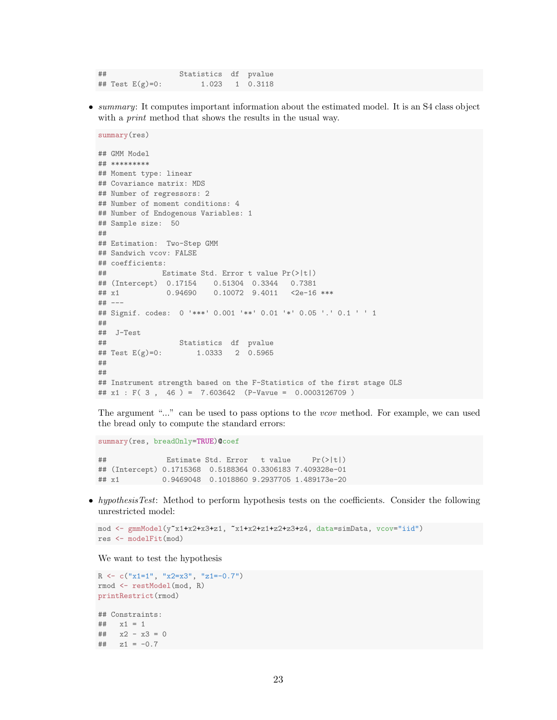## Statistics df pvalue ## Test E(g)=0: 1.023 1 0.3118

• summary: It computes important information about the estimated model. It is an S4 class object with a *print* method that shows the results in the usual way.

```
summary(res)
## GMM Model
## *********
## Moment type: linear
## Covariance matrix: MDS
## Number of regressors: 2
## Number of moment conditions: 4
## Number of Endogenous Variables: 1
## Sample size: 50
##
## Estimation: Two-Step GMM
## Sandwich vcov: FALSE
## coefficients:
## Estimate Std. Error t value Pr(>|t|)
## (Intercept) 0.17154 0.51304 0.3344 0.7381
## x1 0.94690 0.10072 9.4011 <2e-16 ***
## ---
## Signif. codes: 0 '***' 0.001 '**' 0.01 '*' 0.05 '.' 0.1 ' ' 1
##
## J-Test
## Test E(g)=0: Statistics df pvalue<br>## Test E(g)=0: 1.0333 2 0.5965
                     1.0333 2 0.5965
##
##
## Instrument strength based on the F-Statistics of the first stage OLS
## x1 : F( 3 , 46 ) = 7.603642 (P-Vavue = 0.0003126709 )
```
The argument "..." can be used to pass options to the *vcov* method. For example, we can used the bread only to compute the standard errors:

summary(res, breadOnly=TRUE)@coef ## Estimate Std. Error t value Pr(>|t|) ## (Intercept) 0.1715368 0.5188364 0.3306183 7.409328e-01 ## x1 0.9469048 0.1018860 9.2937705 1.489173e-20

• hypothesisTest: Method to perform hypothesis tests on the coefficients. Consider the following unrestricted model:

```
mod <- gmmModel(y~x1+x2+x3+z1, ~x1+x2+z1+z2+z3+z4, data=simData, vcov="iid")
res <- modelFit(mod)
```
We want to test the hypothesis

```
R \leftarrow c("x1=1", "x2=x3", "z1=-0.7")
rmod <- restModel(mod, R)
printRestrict(rmod)
## Constraints:
## x1 = 1## x2 - x3 = 0
## z1 = -0.7
```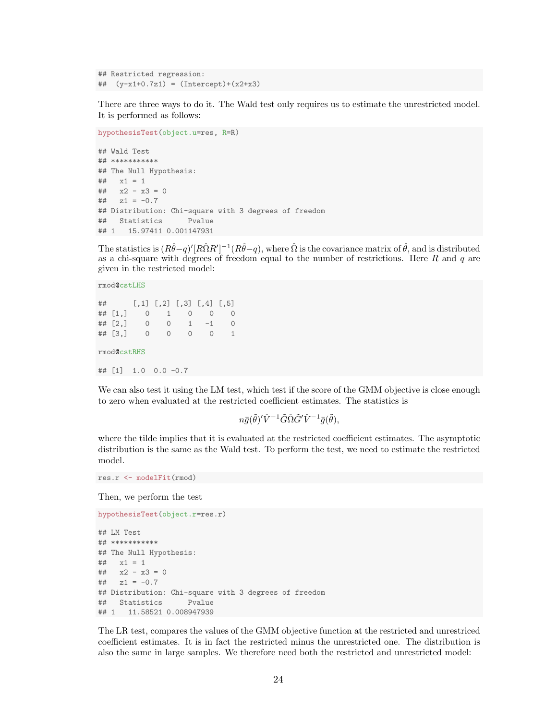## Restricted regression: ## (y-x1+0.7z1) = (Intercept)+(x2+x3)

There are three ways to do it. The Wald test only requires us to estimate the unrestricted model. It is performed as follows:

```
hypothesisTest(object.u=res, R=R)
## Wald Test
## ***********
## The Null Hypothesis:
## x1 = 1## x2 - x3 = 0\# \# z1 = -0.7
## Distribution: Chi-square with 3 degrees of freedom
## Statistics Pvalue
## 1 15.97411 0.001147931
```
The statistics is  $(R\hat{\theta}-q)'[R\hat{\Omega}R']^{-1}(R\hat{\theta}-q)$ , where  $\hat{\Omega}$  is the covariance matrix of  $\hat{\theta}$ , and is distributed as a chi-square with degrees of freedom equal to the number of restrictions. Here  $R$  and  $q$  are given in the restricted model:

rmod@cstLHS ## [,1] [,2] [,3] [,4] [,5] ## [1,] 0 1 0 0 0  $\#$   $[2,]$  0 0 1 -1 0 ## [3,] 0 0 0 0 1 rmod@cstRHS ## [1] 1.0 0.0 -0.7

We can also test it using the LM test, which test if the score of the GMM objective is close enough to zero when evaluated at the restricted coefficient estimates. The statistics is

 $n\bar{g}(\tilde{\theta})'\hat{V}^{-1}\tilde{G}\hat{\Omega}\tilde{G}'\hat{V}^{-1}\bar{g}(\tilde{\theta}),$ 

where the tilde implies that it is evaluated at the restricted coefficient estimates. The asymptotic distribution is the same as the Wald test. To perform the test, we need to estimate the restricted model.

```
res.r <- modelFit(rmod)
```
Then, we perform the test

```
hypothesisTest(object.r=res.r)
## LM Test
## ***********
## The Null Hypothesis:
## x1 = 1
## x2 - x3 = 0
\# z1 = -0.7## Distribution: Chi-square with 3 degrees of freedom
## Statistics Pvalue
## 1 11.58521 0.008947939
```
The LR test, compares the values of the GMM objective function at the restricted and unrestriced coefficient estimates. It is in fact the restricted minus the unrestricted one. The distribution is also the same in large samples. We therefore need both the restricted and unrestricted model: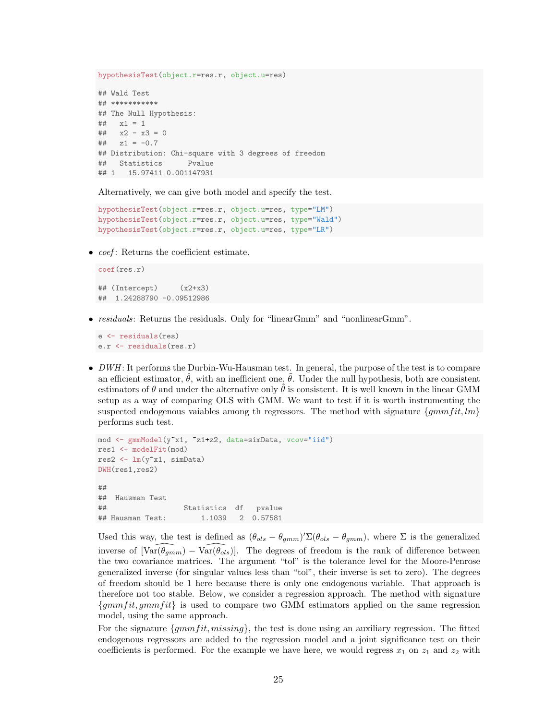hypothesisTest(object.r=res.r, object.u=res) ## Wald Test ## \*\*\*\*\*\*\*\*\*\*\* ## The Null Hypothesis:  $##$   $x1 = 1$  $##$   $x2 - x3 = 0$  $\#$   $z1 = -0.7$ ## Distribution: Chi-square with 3 degrees of freedom ## Statistics Pvalue ## 1 15.97411 0.001147931

Alternatively, we can give both model and specify the test.

```
hypothesisTest(object.r=res.r, object.u=res, type="LM")
hypothesisTest(object.r=res.r, object.u=res, type="Wald")
hypothesisTest(object.r=res.r, object.u=res, type="LR")
```
•  $coef:$  Returns the coefficient estimate.

```
coef(res.r)
\## (Intercept) (x2+x3)
## 1.24288790 -0.09512986
```
• residuals: Returns the residuals. Only for "linearGmm" and "nonlinearGmm".

```
e <- residuals(res)
e.r <- residuals(res.r)
```
 $\bullet$  *DWH*: It performs the Durbin-Wu-Hausman test. In general, the purpose of the test is to compare an efficient estimator,  $\theta$ , with an inefficient one,  $\theta$ . Under the null hypothesis, both are consistent estimators of  $\theta$  and under the alternative only  $\theta$  is consistent. It is well known in the linear GMM setup as a way of comparing OLS with GMM. We want to test if it is worth instrumenting the suspected endogenous vaiables among th regressors. The method with signature  $\{gmmfit, lm\}$ performs such test.

```
mod <- gmmModel(y~x1, ~z1+z2, data=simData, vcov="iid")
res1 <- modelFit(mod)
res2 <- lm(y~x1, simData)
DWH(res1,res2)
##
## Hausman Test
## Statistics df pvalue
## Hausman Test: 1.1039 2 0.57581
```
Used this way, the test is defined as  $(\theta_{ols} - \theta_{gmm})' \Sigma (\theta_{ols} - \theta_{gmm})$ , where  $\Sigma$  is the generalized inverse of  $[Var(\theta_{gmm}) - Var(\theta_{ols})]$ . The degrees of freedom is the rank of difference between the two covariance matrices. The argument "tol" is the tolerance level for the Moore-Penrose generalized inverse (for singular values less than "tol", their inverse is set to zero). The degrees of freedom should be 1 here because there is only one endogenous variable. That approach is therefore not too stable. Below, we consider a regression approach. The method with signature  ${gmmfit, gmmfit}$  is used to compare two GMM estimators applied on the same regression model, using the same approach.

For the signature  ${gmmfit,missing}$ , the test is done using an auxiliary regression. The fitted endogenous regressors are added to the regression model and a joint significance test on their coefficients is performed. For the example we have here, we would regress  $x_1$  on  $z_1$  and  $z_2$  with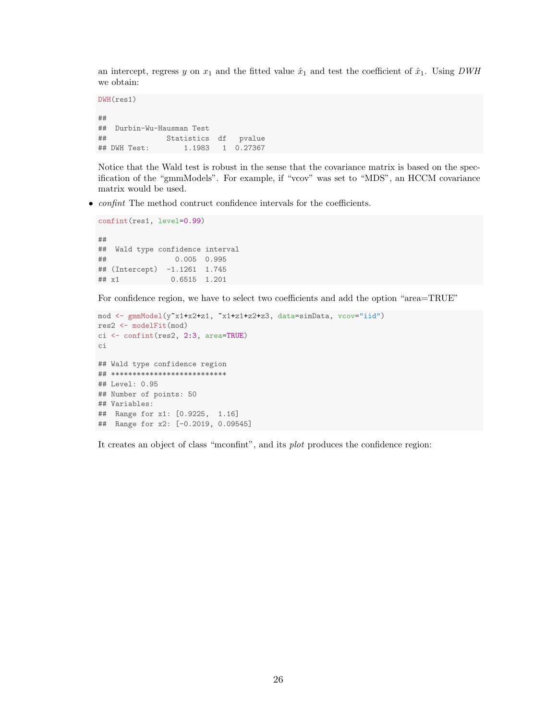an intercept, regress y on  $x_1$  and the fitted value  $\hat{x}_1$  and test the coefficient of  $\hat{x}_1$ . Using DWH we obtain:

```
DWH(res1)
##
## Durbin-Wu-Hausman Test
## Statistics df pvalue
## DWH Test: 1.1983 1 0.27367
```
Notice that the Wald test is robust in the sense that the covariance matrix is based on the specification of the "gmmModels". For example, if "vcov" was set to "MDS", an HCCM covariance matrix would be used.

• confint The method contruct confidence intervals for the coefficients.

```
confint(res1, level=0.99)
##
## Wald type confidence interval
## 0.005 0.995
## (Intercept) -1.1261 1.745
## x1 0.6515 1.201
```
For confidence region, we have to select two coefficients and add the option "area=TRUE"

```
mod <- gmmModel(y~x1+x2+z1, ~x1+z1+z2+z3, data=simData, vcov="iid")
res2 <- modelFit(mod)
ci <- confint(res2, 2:3, area=TRUE)
ci
## Wald type confidence region
## ***************************
## Level: 0.95
## Number of points: 50
## Variables:
## Range for x1: [0.9225, 1.16]
## Range for x2: [-0.2019, 0.09545]
```
It creates an object of class "mconfint", and its plot produces the confidence region: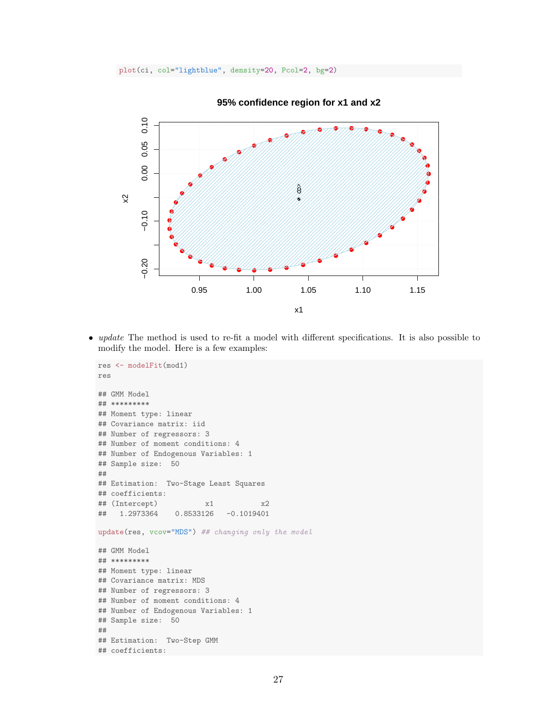plot(ci, col="lightblue", density=20, Pcol=2, bg=2)



**95% confidence region for x1 and x2**

• *update* The method is used to re-fit a model with different specifications. It is also possible to modify the model. Here is a few examples:

```
res <- modelFit(mod1)
res
## GMM Model
## *********
## Moment type: linear
## Covariance matrix: iid
## Number of regressors: 3
## Number of moment conditions: 4
## Number of Endogenous Variables: 1
## Sample size: 50
##
## Estimation: Two-Stage Least Squares
## coefficients:
## (Intercept) x1 x2
## 1.2973364 0.8533126 -0.1019401
update(res, vcov="MDS") ## changing only the model
## GMM Model
## *********
## Moment type: linear
## Covariance matrix: MDS
## Number of regressors: 3
## Number of moment conditions: 4
## Number of Endogenous Variables: 1
## Sample size: 50
##
## Estimation: Two-Step GMM
## coefficients:
```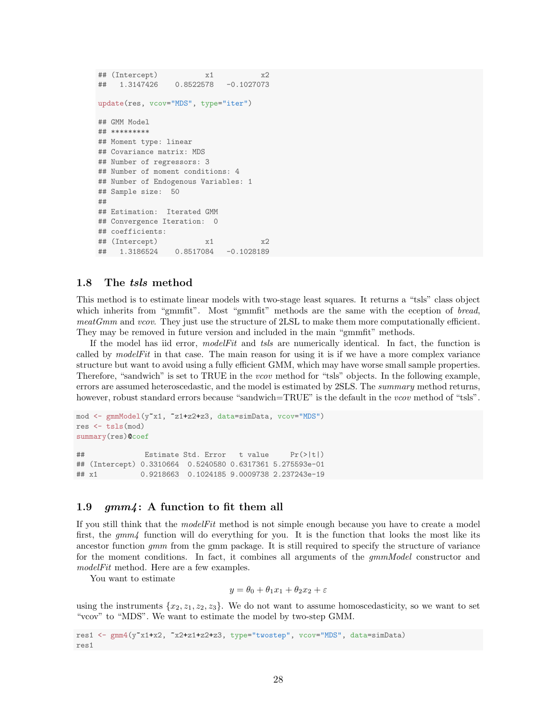```
## (Intercept) x1 x2
## 1.3147426 0.8522578 -0.1027073
update(res, vcov="MDS", type="iter")
## GMM Model
## *********
## Moment type: linear
## Covariance matrix: MDS
## Number of regressors: 3
## Number of moment conditions: 4
## Number of Endogenous Variables: 1
## Sample size: 50
##
## Estimation: Iterated GMM
## Convergence Iteration: 0
## coefficients:
## (Intercept) x1 x2
## 1.3186524 0.8517084 -0.1028189
```
#### <span id="page-27-0"></span>1.8 The tsls method

This method is to estimate linear models with two-stage least squares. It returns a "tsls" class object which inherits from "gmmfit". Most "gmmfit" methods are the same with the eception of bread, meatGmm and vcov. They just use the structure of 2LSL to make them more computationally efficient. They may be removed in future version and included in the main "gmmfit" methods.

If the model has iid error, modelFit and tsls are numerically identical. In fact, the function is called by  $modelFit$  in that case. The main reason for using it is if we have a more complex variance structure but want to avoid using a fully efficient GMM, which may have worse small sample properties. Therefore, "sandwich" is set to TRUE in the *vcov* method for "tsls" objects. In the following example, errors are assumed heteroscedastic, and the model is estimated by 2SLS. The summary method returns, however, robust standard errors because "sandwich=TRUE" is the default in the *vcov* method of "tsls".

```
mod <- gmmModel(y~x1, ~z1+z2+z3, data=simData, vcov="MDS")
res <- tsls(mod)
summary(res)@coef
## Estimate Std. Error t value Pr(>|t|)
## (Intercept) 0.3310664 0.5240580 0.6317361 5.275593e-01
## x1 0.9218663 0.1024185 9.0009738 2.237243e-19
```
### <span id="page-27-1"></span>1.9  $gmm$ : A function to fit them all

If you still think that the modelFit method is not simple enough because you have to create a model first, the  $gmm<sub>4</sub>$  function will do everything for you. It is the function that looks the most like its ancestor function gmm from the gmm package. It is still required to specify the structure of variance for the moment conditions. In fact, it combines all arguments of the  $gmmModel$  constructor and modelFit method. Here are a few examples.

You want to estimate

$$
y = \theta_0 + \theta_1 x_1 + \theta_2 x_2 + \varepsilon
$$

using the instruments  $\{x_2, z_1, z_2, z_3\}$ . We do not want to assume homoscedasticity, so we want to set "vcov" to "MDS". We want to estimate the model by two-step GMM.

```
res1 <- gmm4(y~x1+x2, ~x2+z1+z2+z3, type="twostep", vcov="MDS", data=simData)
res1
```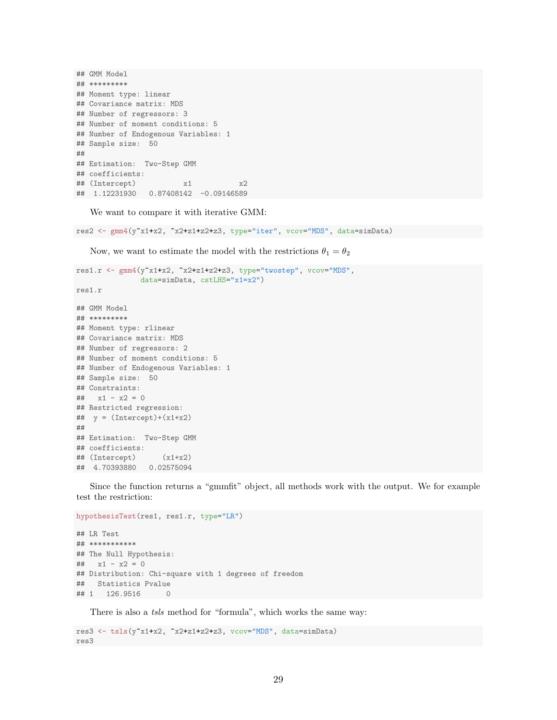```
## GMM Model
## *********
## Moment type: linear
## Covariance matrix: MDS
## Number of regressors: 3
## Number of moment conditions: 5
## Number of Endogenous Variables: 1
## Sample size: 50
##
## Estimation: Two-Step GMM
## coefficients:
## (Intercept) x1 x2
## 1.12231930 0.87408142 -0.09146589
```
We want to compare it with iterative GMM:

res2 <- gmm4(y~x1+x2, ~x2+z1+z2+z3, type="iter", vcov="MDS", data=simData)

Now, we want to estimate the model with the restrictions  $\theta_1 = \theta_2$ 

```
res1.r <- gmm4(y~x1+x2, ~x2+z1+z2+z3, type="twostep", vcov="MDS",
              data=simData, cstLHS="x1=x2")
res1.r
## GMM Model
## *********
## Moment type: rlinear
## Covariance matrix: MDS
## Number of regressors: 2
## Number of moment conditions: 5
## Number of Endogenous Variables: 1
## Sample size: 50
## Constraints:
## x1 - x2 = 0## Restricted regression:
\text{***} y = (Intercept)+(x1+x2)
##
## Estimation: Two-Step GMM
## coefficients:
## (Intercept) (x1+x2)
## 4.70393880 0.02575094
```
Since the function returns a "gmmfit" object, all methods work with the output. We for example test the restriction:

```
hypothesisTest(res1, res1.r, type="LR")
## LR Test
## ***********
## The Null Hypothesis:
\# \# x1 - x2 = 0## Distribution: Chi-square with 1 degrees of freedom
## Statistics Pvalue
## 1 126.9516 0
```
There is also a *tsls* method for "formula", which works the same way:

```
res3 <- tsls(y~x1+x2, ~x2+z1+z2+z3, vcov="MDS", data=simData)
res3
```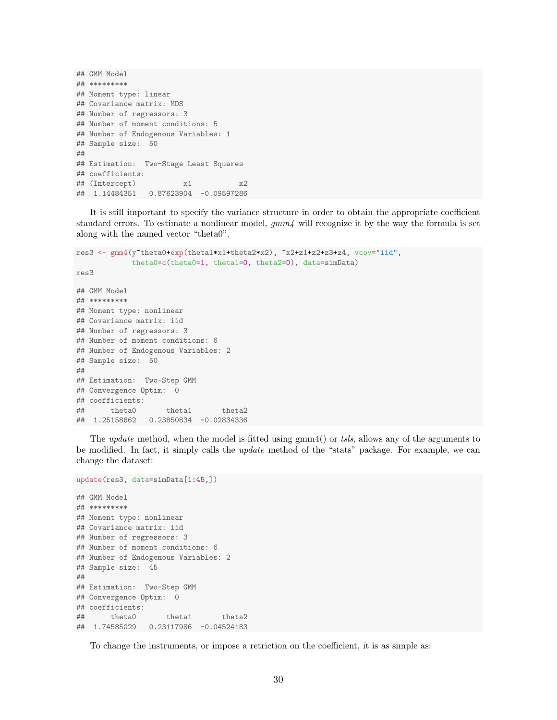```
## GMM Model
## *********
## Moment type: linear
## Covariance matrix: MDS
## Number of regressors: 3
## Number of moment conditions: 5
## Number of Endogenous Variables: 1
## Sample size: 50
##
## Estimation: Two-Stage Least Squares
## coefficients:
## (Intercept) x1 x2
## 1.14484351 0.87623904 -0.09597286
```
It is still important to specify the variance structure in order to obtain the appropriate coefficient standard errors. To estimate a nonlinear model,  $gmm<sub>4</sub>$  will recognize it by the way the formula is set along with the named vector "theta0".

```
res3 <- gmm4(y"theta0+exp(theta1*x1+theta2*x2), "x2+z1+z2+z3+z4, vcov="iid",
            theta0=c(theta0=1, theta1=0, theta2=0), data=simData)
res3
## GMM Model
## *********
## Moment type: nonlinear
## Covariance matrix: iid
## Number of regressors: 3
## Number of moment conditions: 6
## Number of Endogenous Variables: 2
## Sample size: 50
##
## Estimation: Two-Step GMM
## Convergence Optim: 0
## coefficients:
## theta0 theta1 theta2
## 1.25158662 0.23850834 -0.02834336
```
The *update* method, when the model is fitted using gmm4() or tsls, allows any of the arguments to be modified. In fact, it simply calls the update method of the "stats" package. For example, we can change the dataset:

```
update(res3, data=simData[1:45,])
## GMM Model
## *********
## Moment type: nonlinear
## Covariance matrix: iid
## Number of regressors: 3
## Number of moment conditions: 6
## Number of Endogenous Variables: 2
## Sample size: 45
##
## Estimation: Two-Step GMM
## Convergence Optim: 0
## coefficients:
## theta0 theta1 theta2
## 1.74585029 0.23117986 -0.04524183
```
To change the instruments, or impose a retriction on the coefficient, it is as simple as: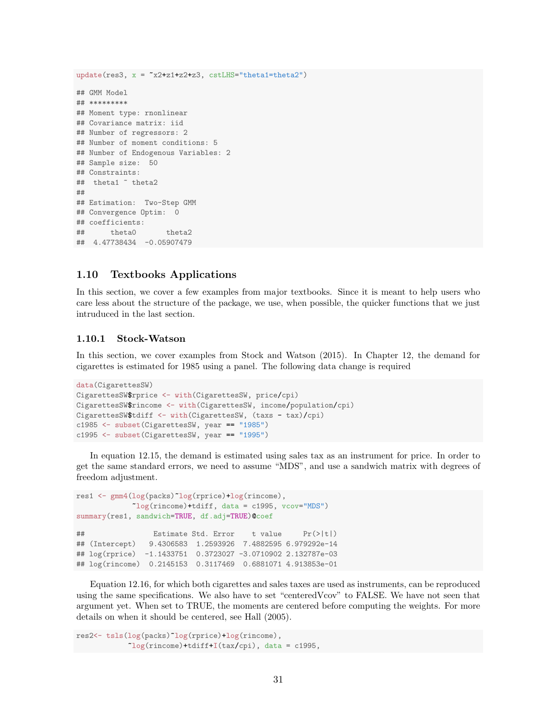update( $res3$ ,  $x = \text{rx2+z1+z2+z3}$ ,  $cstLHS = "theta1=theta2")$ ## GMM Model ## \*\*\*\*\*\*\*\*\* ## Moment type: rnonlinear ## Covariance matrix: iid ## Number of regressors: 2 ## Number of moment conditions: 5 ## Number of Endogenous Variables: 2 ## Sample size: 50 ## Constraints: ## theta1 ~ theta2 ## ## Estimation: Two-Step GMM ## Convergence Optim: 0 ## coefficients: ## theta0 theta2 ## 4.47738434 -0.05907479

### <span id="page-30-0"></span>1.10 Textbooks Applications

In this section, we cover a few examples from major textbooks. Since it is meant to help users who care less about the structure of the package, we use, when possible, the quicker functions that we just intruduced in the last section.

#### <span id="page-30-1"></span>1.10.1 Stock-Watson

In this section, we cover examples from [Stock and Watson](#page-56-2) [\(2015\)](#page-56-2). In Chapter 12, the demand for cigarettes is estimated for 1985 using a panel. The following data change is required

```
data(CigarettesSW)
CigarettesSW$rprice <- with(CigarettesSW, price/cpi)
CigarettesSW$rincome <- with(CigarettesSW, income/population/cpi)
CigarettesSW$tdiff <- with(CigarettesSW, (taxs - tax)/cpi)
c1985 <- subset(CigarettesSW, year == "1985")
c1995 <- subset(CigarettesSW, year == "1995")
```
In equation 12.15, the demand is estimated using sales tax as an instrument for price. In order to get the same standard errors, we need to assume "MDS", and use a sandwich matrix with degrees of freedom adjustment.

```
res1 <- gmm4(log(packs)~log(rprice)+log(rincome),
            ~log(rincome)+tdiff, data = c1995, vcov="MDS")
summary(res1, sandwich=TRUE, df.adj=TRUE)@coef
## Estimate Std. Error t value Pr(>|t|)
## (Intercept) 9.4306583 1.2593926 7.4882595 6.979292e-14
## log(rprice) -1.1433751 0.3723027 -3.0710902 2.132787e-03
## log(rincome) 0.2145153 0.3117469 0.6881071 4.913853e-01
```
Equation 12.16, for which both cigarettes and sales taxes are used as instruments, can be reproduced using the same specifications. We also have to set "centeredVcov" to FALSE. We have not seen that argument yet. When set to TRUE, the moments are centered before computing the weights. For more details on when it should be centered, see [Hall](#page-56-3) [\(2005\)](#page-56-3).

```
res2<- tsls(log(packs)~log(rprice)+log(rincome),
                  \text{log}(\text{rincome})+\text{tdiff}+\text{I}(\text{tax/cpi}), \text{data} = \text{c1995},
```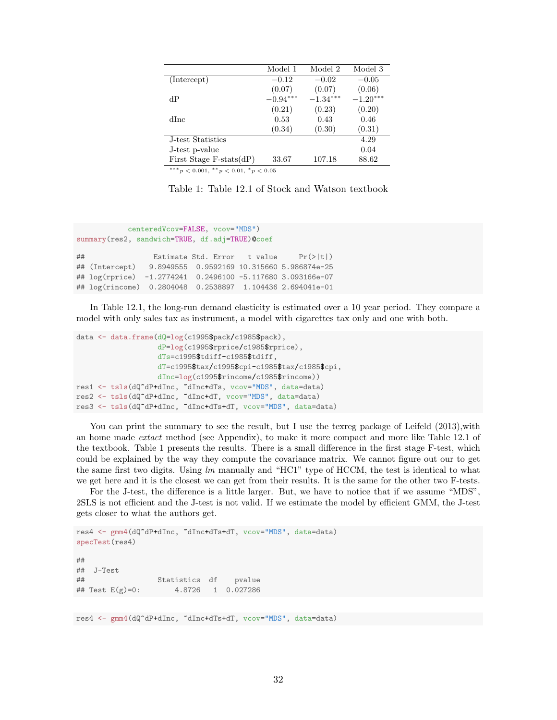|                                                | Model 1    | Model 2    | Model 3    |
|------------------------------------------------|------------|------------|------------|
| (Intercept)                                    | $-0.12$    | $-0.02$    | $-0.05$    |
|                                                | (0.07)     | (0.07)     | (0.06)     |
| dР                                             | $-0.94***$ | $-1.34***$ | $-1.20***$ |
|                                                | (0.21)     | (0.23)     | (0.20)     |
| dInc                                           | 0.53       | 0.43       | 0.46       |
|                                                | (0.34)     | (0.30)     | (0.31)     |
| J-test Statistics                              |            |            | 4.29       |
| J-test p-value                                 |            |            | 0.04       |
| First Stage F-stats $dP$                       | 33.67      | 107.18     | 88.62      |
| *** $p < 0.001$ , ** $p < 0.01$ , * $p < 0.05$ |            |            |            |

<span id="page-31-0"></span>

| Table 1: Table 12.1 of Stock and Watson textbook |
|--------------------------------------------------|
|--------------------------------------------------|

```
centeredVcov=FALSE, vcov="MDS")
summary(res2, sandwich=TRUE, df.adj=TRUE)@coef
## Estimate Std. Error t value Pr(>|t|)
## (Intercept) 9.8949555 0.9592169 10.315660 5.986874e-25
## log(rprice) -1.2774241 0.2496100 -5.117680 3.093166e-07
## log(rincome) 0.2804048 0.2538897 1.104436 2.694041e-01
```
In Table 12.1, the long-run demand elasticity is estimated over a 10 year period. They compare a model with only sales tax as instrument, a model with cigarettes tax only and one with both.

```
data <- data.frame(dQ=log(c1995$pack/c1985$pack),
                   dP=log(c1995$rprice/c1985$rprice),
                   dTs=c1995$tdiff-c1985$tdiff,
                   dT=c1995$tax/c1995$cpi-c1985$tax/c1985$cpi,
                   dInc=log(c1995$rincome/c1985$rincome))
res1 <- tsls(dQ~dP+dInc, ~dInc+dTs, vcov="MDS", data=data)
res2 <- tsls(dQ~dP+dInc, ~dInc+dT, vcov="MDS", data=data)
res3 <- tsls(dQ~dP+dInc, ~dInc+dTs+dT, vcov="MDS", data=data)
```
You can print the summary to see the result, but I use the texreg package of [Leifeld](#page-56-4) [\(2013\)](#page-56-4), with an home made extact method (see Appendix), to make it more compact and more like Table 12.1 of the textbook. Table [1](#page-31-0) presents the results. There is a small difference in the first stage F-test, which could be explained by the way they compute the covariance matrix. We cannot figure out our to get the same first two digits. Using  $lm$  manually and "HC1" type of HCCM, the test is identical to what we get here and it is the closest we can get from their results. It is the same for the other two F-tests.

For the J-test, the difference is a little larger. But, we have to notice that if we assume "MDS", 2SLS is not efficient and the J-test is not valid. If we estimate the model by efficient GMM, the J-test gets closer to what the authors get.

```
res4 <- gmm4(dQ~dP+dInc, ~dInc+dTs+dT, vcov="MDS", data=data)
specTest(res4)
##
## J-Test
## Statistics df pvalue
## Test E(g)=0: 4.8726 1 0.027286
```
res4 <- gmm4(dQ~dP+dInc, ~dInc+dTs+dT, vcov="MDS", data=data)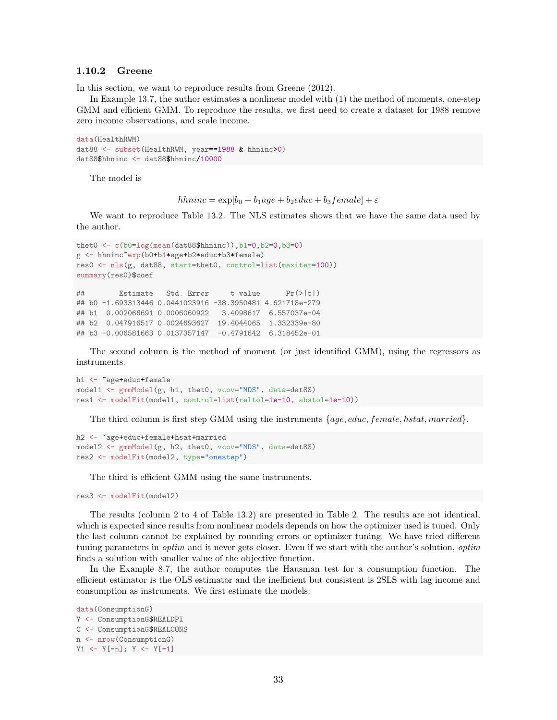#### <span id="page-32-0"></span>1.10.2 Greene

In this section, we want to reproduce results from [Greene](#page-56-5) [\(2012\)](#page-56-5).

In Example 13.7, the author estimates a nonlinear model with (1) the method of moments, one-step GMM and efficient GMM. To reproduce the results, we first need to create a dataset for 1988 remove zero income observations, and scale income.

```
data(HealthRWM)
dat88 <- subset(HealthRWM, year==1988 & hhninc>0)
dat88$hhninc <- dat88$hhninc/10000
```
The model is

hhninc =  $\exp[b_0 + b_1 a_0 e + b_2 e duc + b_3 f$ emale] +  $\varepsilon$ 

We want to reproduce Table 13.2. The NLS estimates shows that we have the same data used by the author.

```
thet0 \leftarrow c(b0=log(mean(data88$hhninc)), b1=0, b2=0, b3=0)g <- hhninc~exp(b0+b1*age+b2*educ+b3*female)
res0 <- nls(g, dat88, start=thet0, control=list(maxiter=100))
summary(res0)$coef
## Estimate Std. Error t value Pr(>|t|)
## b0 -1.693313446 0.0441023916 -38.3950481 4.621718e-279
## b1 0.002066691 0.0006060922 3.4098617 6.557037e-04
## b2 0.047916517 0.0024693627 19.4044065 1.332339e-80
## b3 -0.006581663 0.0137357147 -0.4791642 6.318452e-01
```
The second column is the method of moment (or just identified GMM), using the regressors as instruments.

```
h1 <- "age+educ+female
model1 <- gmmModel(g, h1, thet0, vcov="MDS", data=dat88)
res1 <- modelFit(model1, control=list(reltol=1e-10, abstol=1e-10))
```
The third column is first step GMM using the instruments  $\{age, educ, female, hstat, married\}$ .

```
h2 <- ~age+educ+female+hsat+married
model2 <- gmmModel(g, h2, thet0, vcov="MDS", data=dat88)
res2 <- modelFit(model2, type="onestep")
```
The third is efficient GMM using the same instruments.

res3 <- modelFit(model2)

The results (column 2 to 4 of Table 13.2) are presented in Table [2.](#page-33-0) The results are not identical, which is expected since results from nonlinear models depends on how the optimizer used is tuned. Only the last column cannot be explained by rounding errors or optimizer tuning. We have tried different tuning parameters in *optim* and it never gets closer. Even if we start with the author's solution, *optim* finds a solution with smaller value of the objective function.

In the Example 8.7, the author computes the Hausman test for a consumption function. The efficient estimator is the OLS estimator and the inefficient but consistent is 2SLS with lag income and consumption as instruments. We first estimate the models:

```
data(ConsumptionG)
Y <- ConsumptionG$REALDPI
C <- ConsumptionG$REALCONS
n <- nrow(ConsumptionG)
Y1 <- Y[-n]; Y <- Y[-1]
```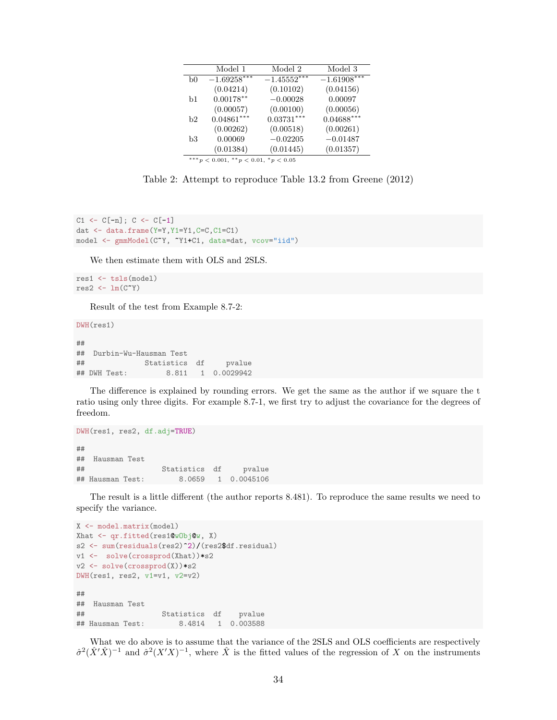|                                                | Model 1       | Model 2       | Model 3       |  |
|------------------------------------------------|---------------|---------------|---------------|--|
| b0                                             | $-1.69258***$ | $-1.45552***$ | $-1.61908***$ |  |
|                                                | (0.04214)     | (0.10102)     | (0.04156)     |  |
| b1                                             | $0.00178***$  | $-0.00028$    | 0.00097       |  |
|                                                | (0.00057)     | (0.00100)     | (0.00056)     |  |
| b2                                             | $0.04861***$  | $0.03731***$  | $0.04688***$  |  |
|                                                | (0.00262)     | (0.00518)     | (0.00261)     |  |
| b3                                             | 0.00069       | $-0.02205$    | $-0.01487$    |  |
|                                                | (0.01384)     | (0.01445)     | (0.01357)     |  |
| *** $p < 0.001$ , ** $p < 0.01$ , * $p < 0.05$ |               |               |               |  |

<span id="page-33-0"></span>Table 2: Attempt to reproduce Table 13.2 from Greene (2012)

```
C1 \leftarrow C[-n]; C \leftarrow C[-1]dat <- data.frame(Y=Y,Y1=Y1,C=C,C1=C1)
model <- gmmModel(C~Y, ~Y1+C1, data=dat, vcov="iid")
```
We then estimate them with OLS and 2SLS.

```
res1 <- tsls(model)
res2 \leftarrow lm(C^{\sim}Y)
```
Result of the test from Example 8.7-2:

DWH(res1)

## ## Durbin-Wu-Hausman Test ## Statistics df pvalue ## DWH Test: 8.811 1 0.0029942

The difference is explained by rounding errors. We get the same as the author if we square the t ratio using only three digits. For example 8.7-1, we first try to adjust the covariance for the degrees of freedom.

```
DWH(res1, res2, df.adj=TRUE)
##
## Hausman Test
## Statistics df pvalue
## Hausman Test: 8.0659 1 0.0045106
```
The result is a little different (the author reports 8.481). To reproduce the same results we need to specify the variance.

```
X <- model.matrix(model)
Xhat <- qr.fitted(res1@wObj@w, X)
s2 <- sum(residuals(res2)^2)/(res2$df.residual)
v1 <- solve(crossprod(Xhat))*s2
v2 <- solve(crossprod(X))*s2
DWH(res1, res2, v1=v1, v2=v2)
##
## Hausman Test
## Statistics df pvalue
## Hausman Test: 8.4814 1 0.003588
```
What we do above is to assume that the variance of the 2SLS and OLS coefficients are respectively  $\hat{\sigma}^2(\hat{X}^{\prime}\hat{X})^{-1}$  and  $\hat{\sigma}^2(X^{\prime}X)^{-1}$ , where  $\hat{X}$  is the fitted values of the regression of X on the instruments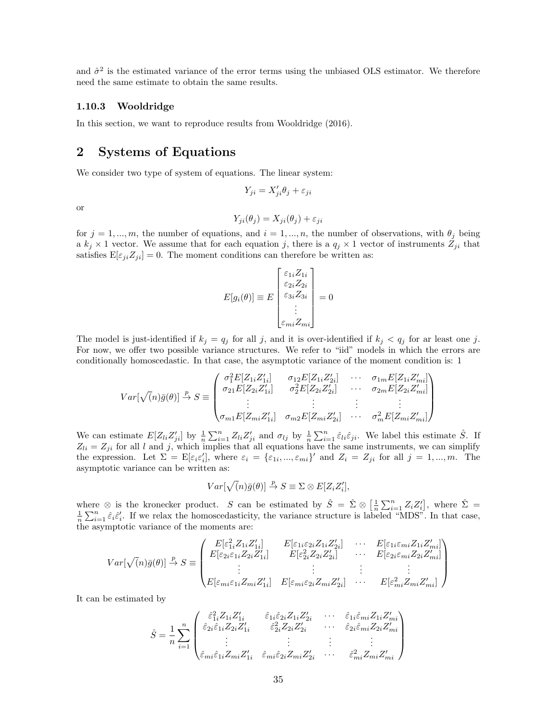and  $\hat{\sigma}^2$  is the estimated variance of the error terms using the unbiased OLS estimator. We therefore need the same estimate to obtain the same results.

#### <span id="page-34-0"></span>1.10.3 Wooldridge

In this section, we want to reproduce results from [Wooldridge](#page-56-6) [\(2016\)](#page-56-6).

### <span id="page-34-1"></span>2 Systems of Equations

We consider two type of system of equations. The linear system:

$$
Y_{ji} = X'_{ji}\theta_j + \varepsilon_{ji}
$$

or

$$
Y_{ji}(\theta_j) = X_{ji}(\theta_j) + \varepsilon_{ji}
$$

for  $j = 1, ..., m$ , the number of equations, and  $i = 1, ..., n$ , the number of observations, with  $\theta_j$  being a  $k_j \times 1$  vector. We assume that for each equation j, there is a  $q_j \times 1$  vector of instruments  $Z_{ji}$  that satisfies  $E[\varepsilon_{ji}Z_{ji}] = 0$ . The moment conditions can therefore be written as:

$$
E[g_i(\theta)] \equiv E \begin{bmatrix} \varepsilon_{1i} Z_{1i} \\ \varepsilon_{2i} Z_{2i} \\ \varepsilon_{3i} Z_{3i} \\ \vdots \\ \varepsilon_{mi} Z_{mi} \end{bmatrix} = 0
$$

The model is just-identified if  $k_j = q_j$  for all j, and it is over-identified if  $k_j < q_j$  for ar least one j. For now, we offer two possible variance structures. We refer to "iid" models in which the errors are conditionally homoscedastic. In that case, the asymptotic variance of the moment condition is: 1

$$
Var[\sqrt{(n)}\bar{g}(\theta)] \stackrel{p}{\rightarrow} S \equiv \begin{pmatrix} \sigma_1^2 E[Z_{1i}Z'_{1i}] & \sigma_{12} E[Z_{1i}Z'_{2i}] & \cdots & \sigma_{1m} E[Z_{1i}Z'_{mi}] \\ \sigma_{21} E[Z_{2i}Z'_{1i}] & \sigma_2^2 E[Z_{2i}Z'_{2i}] & \cdots & \sigma_{2m} E[Z_{2i}Z'_{mi}] \\ \vdots & \vdots & \ddots & \vdots \\ \sigma_{m1} E[Z_{mi}Z'_{1i}] & \sigma_{m2} E[Z_{mi}Z'_{2i}] & \cdots & \sigma_m^2 E[Z_{mi}Z'_{mi}] \end{pmatrix}
$$

We can estimate  $E[Z_{li}Z'_{ji}]$  by  $\frac{1}{n}\sum_{i=1}^n Z_{li}Z'_{ji}$  and  $\sigma_{lj}$  by  $\frac{1}{n}\sum_{i=1}^n \hat{\varepsilon}_{li}\hat{\varepsilon}_{ji}$ . We label this estimate  $\hat{S}$ . If  $Z_{li} = Z_{ji}$  for all l and j, which implies that all equations have the same instruments, we can simplify the expression. Let  $\Sigma = \mathbb{E}[\varepsilon_i \varepsilon'_i]$ , where  $\varepsilon_i = {\varepsilon_{1i}, ..., \varepsilon_{mi}}'$  and  $Z_i = Z_{ji}$  for all  $j = 1, ..., m$ . The asymptotic variance can be written as:

$$
Var[\sqrt(n)\bar{g}(\theta)] \stackrel{p}{\rightarrow} S \equiv \Sigma \otimes E[Z_i Z_i'],
$$

where ⊗ is the kronecker product. S can be estimated by  $\hat{S} = \hat{\Sigma} \otimes \left[\frac{1}{n} \sum_{i=1}^{n} Z_i Z_i'\right]$ , where  $\hat{\Sigma} = \frac{1}{n} \sum_{i=1}^{n} \hat{\epsilon}_i \hat{\epsilon}'_i$ . If we relax the homoscedasticity, the variance structure is labeled "MDS". the asymptotic variance of the moments are:

$$
Var[\sqrt(n)\bar{g}(\theta)] \stackrel{p}{\rightarrow} S \equiv \begin{pmatrix} E[\varepsilon_{1i}^2 Z_{1i} Z'_{1i}] & E[\varepsilon_{1i} \varepsilon_{2i} Z_{1i} Z'_{2i}] & \cdots & E[\varepsilon_{1i} \varepsilon_{mi} Z_{1i} Z'_{mi}] \\ E[\varepsilon_{2i} \varepsilon_{1i} Z_{2i} Z'_{1i}] & E[\varepsilon_{2i}^2 Z_{2i} Z'_{2i}] & \cdots & E[\varepsilon_{2i} \varepsilon_{mi} Z_{2i} Z'_{mi}] \\ \vdots & \vdots & \vdots & \vdots \\ E[\varepsilon_{mi} \varepsilon_{1i} Z_{mi} Z'_{1i}] & E[\varepsilon_{mi} \varepsilon_{2i} Z_{mi} Z'_{2i}] & \cdots & E[\varepsilon_{mi}^2 Z_{mi} Z'_{mi}] \end{pmatrix}
$$

It can be estimated by

$$
\hat{S} = \frac{1}{n} \sum_{i=1}^{n} \begin{pmatrix}\n\hat{\varepsilon}_{1i}^{2} Z_{1i} Z_{1i}' & \hat{\varepsilon}_{1i} \hat{\varepsilon}_{2i} Z_{1i} Z_{2i}' & \cdots & \hat{\varepsilon}_{1i} \hat{\varepsilon}_{mi} Z_{1i} Z_{mi}' \\
\hat{\varepsilon}_{2i} \hat{\varepsilon}_{1i} Z_{2i} Z_{1i}' & \hat{\varepsilon}_{2i}^{2} Z_{2i} Z_{2i}' & \cdots & \hat{\varepsilon}_{2i} \hat{\varepsilon}_{mi} Z_{2i} Z_{mi}' \\
\vdots & \vdots & \vdots & \vdots \\
\hat{\varepsilon}_{mi} \hat{\varepsilon}_{1i} Z_{mi} Z_{1i}' & \hat{\varepsilon}_{mi} \hat{\varepsilon}_{2i} Z_{mi} Z_{2i}' & \cdots & \hat{\varepsilon}_{mi}^{2} Z_{mi} Z_{mi}'\n\end{pmatrix}
$$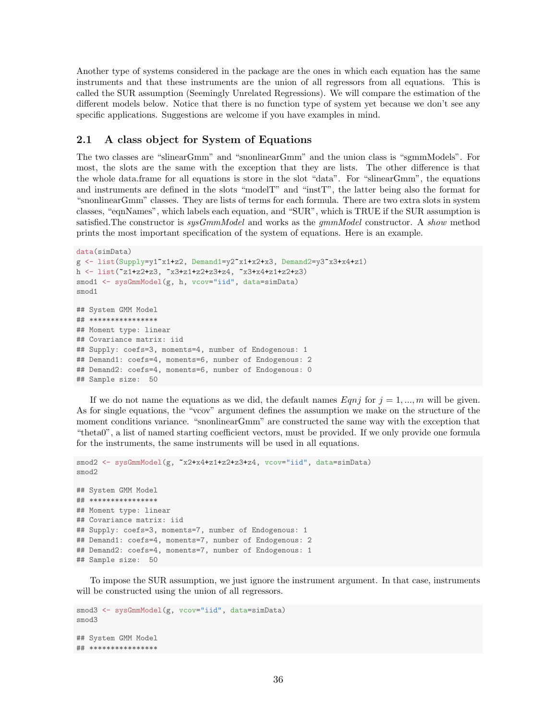Another type of systems considered in the package are the ones in which each equation has the same instruments and that these instruments are the union of all regressors from all equations. This is called the SUR assumption (Seemingly Unrelated Regressions). We will compare the estimation of the different models below. Notice that there is no function type of system yet because we don't see any specific applications. Suggestions are welcome if you have examples in mind.

### <span id="page-35-0"></span>2.1 A class object for System of Equations

The two classes are "slinearGmm" and "snonlinearGmm" and the union class is "sgmmModels". For most, the slots are the same with the exception that they are lists. The other difference is that the whole data.frame for all equations is store in the slot "data". For "slinearGmm", the equations and instruments are defined in the slots "modelT" and "instT", the latter being also the format for "snonlinearGmm" classes. They are lists of terms for each formula. There are two extra slots in system classes, "eqnNames", which labels each equation, and "SUR", which is TRUE if the SUR assumption is satisfied. The constructor is  $sysGmmModel$  and works as the  $qmmModel$  constructor. A show method prints the most important specification of the system of equations. Here is an example.

```
data(simData)
g \leftarrow \text{list(Supply=y1}^*x1+z2, \text{ Demand1=y2}^*x1+x2+x3, \text{ Demand2=y3}^*x3+x4+z1)h <- list(~z1+z2+z3, ~x3+z1+z2+z3+z4, ~x3+x4+z1+z2+z3)
smod1 <- sysGmmModel(g, h, vcov="iid", data=simData)
smod1
## System GMM Model
## ****************
## Moment type: linear
## Covariance matrix: iid
## Supply: coefs=3, moments=4, number of Endogenous: 1
## Demand1: coefs=4, moments=6, number of Endogenous: 2
## Demand2: coefs=4, moments=6, number of Endogenous: 0
## Sample size: 50
```
If we do not name the equations as we did, the default names  $Eqnj$  for  $j = 1, ..., m$  will be given. As for single equations, the "vcov" argument defines the assumption we make on the structure of the moment conditions variance. "snonlinearGmm" are constructed the same way with the exception that "theta0", a list of named starting coefficient vectors, must be provided. If we only provide one formula for the instruments, the same instruments will be used in all equations.

```
smod2 <- sysGmmModel(g, x2+x4+z1+z2+z3+z4, vcov="iid", data=simData)
smod2
## System GMM Model
## ****************
## Moment type: linear
## Covariance matrix: iid
## Supply: coefs=3, moments=7, number of Endogenous: 1
## Demand1: coefs=4, moments=7, number of Endogenous: 2
## Demand2: coefs=4, moments=7, number of Endogenous: 1
## Sample size: 50
```
To impose the SUR assumption, we just ignore the instrument argument. In that case, instruments will be constructed using the union of all regressors.

```
smod3 <- sysGmmModel(g, vcov="iid", data=simData)
smod3
## System GMM Model
## ****************
```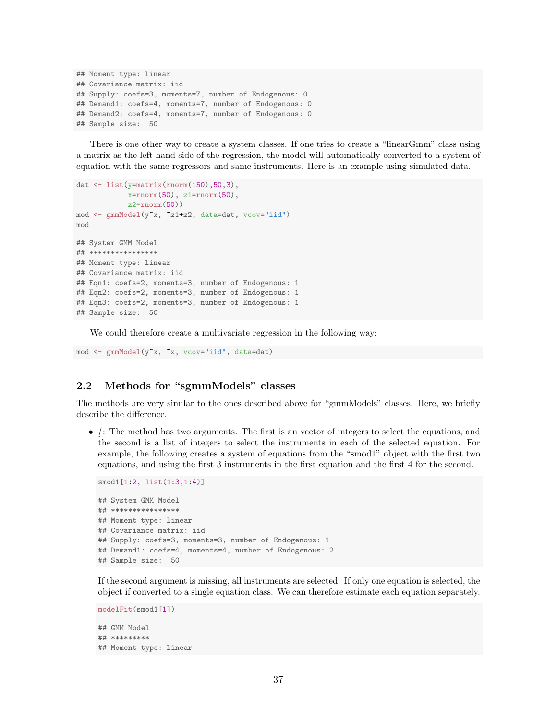```
## Moment type: linear
## Covariance matrix: iid
## Supply: coefs=3, moments=7, number of Endogenous: 0
## Demand1: coefs=4, moments=7, number of Endogenous: 0
## Demand2: coefs=4, moments=7, number of Endogenous: 0
## Sample size: 50
```
There is one other way to create a system classes. If one tries to create a "linearGmm" class using a matrix as the left hand side of the regression, the model will automatically converted to a system of equation with the same regressors and same instruments. Here is an example using simulated data.

```
dat \leftarrow list(y=matrix(rnorm(150),50,3),
            x=rrnorm(50), z1=rrnorm(50),
            z2=rrnorm(50)mod <- gmmModel(y~x, ~z1+z2, data=dat, vcov="iid")
mod
## System GMM Model
## ****************
## Moment type: linear
## Covariance matrix: iid
## Eqn1: coefs=2, moments=3, number of Endogenous: 1
## Eqn2: coefs=2, moments=3, number of Endogenous: 1
## Eqn3: coefs=2, moments=3, number of Endogenous: 1
## Sample size: 50
```
We could therefore create a multivariate regression in the following way:

mod <- gmmModel(y~x, ~x, vcov="iid", data=dat)

### <span id="page-36-0"></span>2.2 Methods for "sgmmModels" classes

The methods are very similar to the ones described above for "gmmModels" classes. Here, we briefly describe the difference.

 $\bullet$  /: The method has two arguments. The first is an vector of integers to select the equations, and the second is a list of integers to select the instruments in each of the selected equation. For example, the following creates a system of equations from the "smod1" object with the first two equations, and using the first 3 instruments in the first equation and the first 4 for the second.

```
smod1[1:2, list(1:3,1:4)]
## System GMM Model
## ****************
## Moment type: linear
## Covariance matrix: iid
## Supply: coefs=3, moments=3, number of Endogenous: 1
## Demand1: coefs=4, moments=4, number of Endogenous: 2
## Sample size: 50
```
If the second argument is missing, all instruments are selected. If only one equation is selected, the object if converted to a single equation class. We can therefore estimate each equation separately.

```
modelFit(smod1[1])
## GMM Model
## *********
## Moment type: linear
```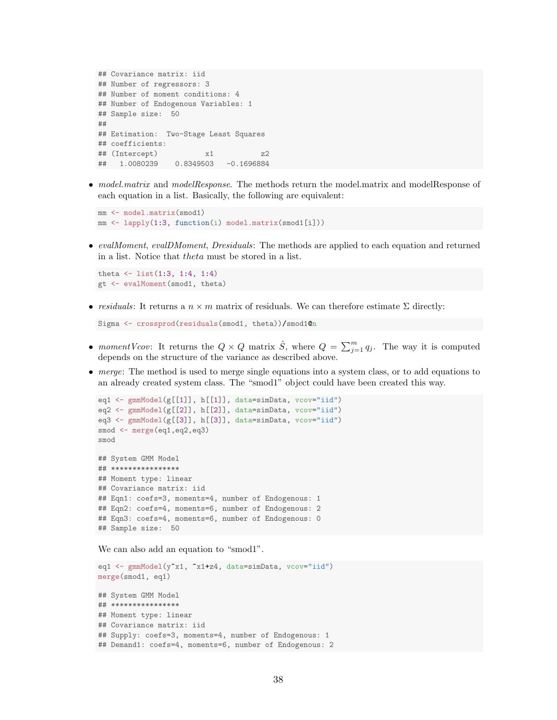```
## Covariance matrix: iid
## Number of regressors: 3
## Number of moment conditions: 4
## Number of Endogenous Variables: 1
## Sample size: 50
##
## Estimation: Two-Stage Least Squares
## coefficients:
## (Intercept) x1 z2
## 1.0080239 0.8349503 -0.1696884
```
• model.matrix and modelResponse. The methods return the model.matrix and modelResponse of each equation in a list. Basically, the following are equivalent:

```
mm <- model.matrix(smod1)
mm <- lapply(1:3, function(i) model.matrix(smod1[i]))
```
• evalMoment, evalDMoment, Dresiduals: The methods are applied to each equation and returned in a list. Notice that theta must be stored in a list.

```
theta \leftarrow list(1:3, 1:4, 1:4)gt <- evalMoment(smod1, theta)
```
• residuals: It returns a  $n \times m$  matrix of residuals. We can therefore estimate  $\Sigma$  directly:

```
Sigma <- crossprod(residuals(smod1, theta))/smod1@n
```
- momentVcov: It returns the  $Q \times Q$  matrix  $\hat{S}$ , where  $Q = \sum_{j=1}^{m} q_j$ . The way it is computed depends on the structure of the variance as described above.
- merge: The method is used to merge single equations into a system class, or to add equations to an already created system class. The "smod1" object could have been created this way.

```
eq1 <- gmmModel(g[[1]], h[[1]], data=simData, vcov="iid")
eq2 <- gmmModel(g[[2]], h[[2]], data=simData, vcov="iid")
eq3 <- gmmModel(g[[3]], h[[3]], data=simData, vcov="iid")
smod <- merge(eq1,eq2,eq3)
smod
## System GMM Model
## ****************
## Moment type: linear
## Covariance matrix: iid
## Eqn1: coefs=3, moments=4, number of Endogenous: 1
## Eqn2: coefs=4, moments=6, number of Endogenous: 2
## Eqn3: coefs=4, moments=6, number of Endogenous: 0
## Sample size: 50
```
We can also add an equation to "smod1".

```
eq1 <- gmmModel(y"x1, "x1+z4, data=simData, vcov="iid")
merge(smod1, eq1)
## System GMM Model
## ****************
## Moment type: linear
## Covariance matrix: iid
## Supply: coefs=3, moments=4, number of Endogenous: 1
## Demand1: coefs=4, moments=6, number of Endogenous: 2
```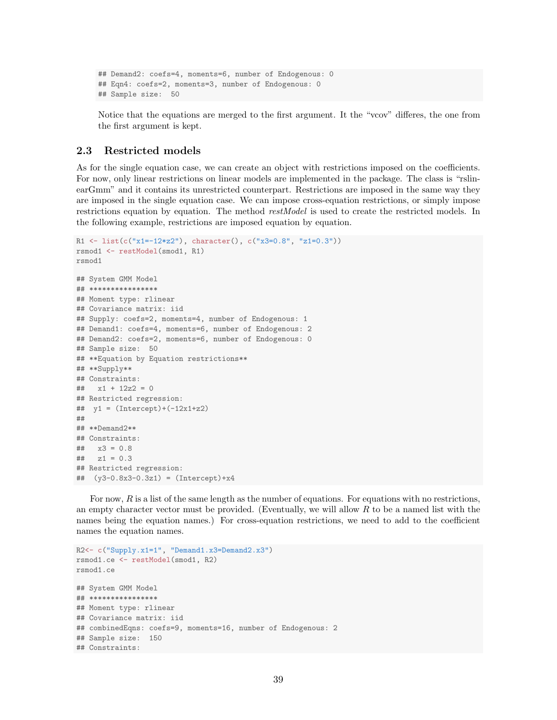```
## Demand2: coefs=4, moments=6, number of Endogenous: 0
## Eqn4: coefs=2, moments=3, number of Endogenous: 0
## Sample size: 50
```
Notice that the equations are merged to the first argument. It the "vcov" differes, the one from the first argument is kept.

### <span id="page-38-0"></span>2.3 Restricted models

As for the single equation case, we can create an object with restrictions imposed on the coefficients. For now, only linear restrictions on linear models are implemented in the package. The class is "rslinearGmm" and it contains its unrestricted counterpart. Restrictions are imposed in the same way they are imposed in the single equation case. We can impose cross-equation restrictions, or simply impose restrictions equation by equation. The method *restModel* is used to create the restricted models. In the following example, restrictions are imposed equation by equation.

```
R1 <- list(c("x1=-12*z2"), character(), c("x3=0.8", "z1=0.3"))
rsmod1 <- restModel(smod1, R1)
rsmod1
## System GMM Model
## ****************
## Moment type: rlinear
## Covariance matrix: iid
## Supply: coefs=2, moments=4, number of Endogenous: 1
## Demand1: coefs=4, moments=6, number of Endogenous: 2
## Demand2: coefs=2, moments=6, number of Endogenous: 0
## Sample size: 50
## **Equation by Equation restrictions**
## **Supply**
## Constraints:
\# \# \frac{1}{2} \frac{1}{2} \frac{1}{2} \frac{1}{2} \frac{1}{2} \frac{1}{2} \frac{1}{2} \frac{1}{2} \frac{1}{2} \frac{1}{2} \frac{1}{2} \frac{1}{2} \frac{1}{2} \frac{1}{2} \frac{1}{2} \frac{1}{2} \frac{1}{2} \frac{1}{2} \frac{1}{2} \frac{1}{2} \frac{1}{2} ## Restricted regression:
## y1 = (Intercept) + (-12x1 + z2)##
## **Demand2**
## Constraints:
## x3 = 0.8
\# z1 = 0.3## Restricted regression:
## (y3-0.8x3-0.3z1) = (Intercept)+x4
```
For now,  $R$  is a list of the same length as the number of equations. For equations with no restrictions, an empty character vector must be provided. (Eventually, we will allow  $R$  to be a named list with the names being the equation names.) For cross-equation restrictions, we need to add to the coefficient names the equation names.

```
R2<- c("Supply.x1=1", "Demand1.x3=Demand2.x3")
rsmod1.ce <- restModel(smod1, R2)
rsmod1.ce
## System GMM Model
## ****************
## Moment type: rlinear
## Covariance matrix: iid
## combinedEqns: coefs=9, moments=16, number of Endogenous: 2
## Sample size: 150
## Constraints:
```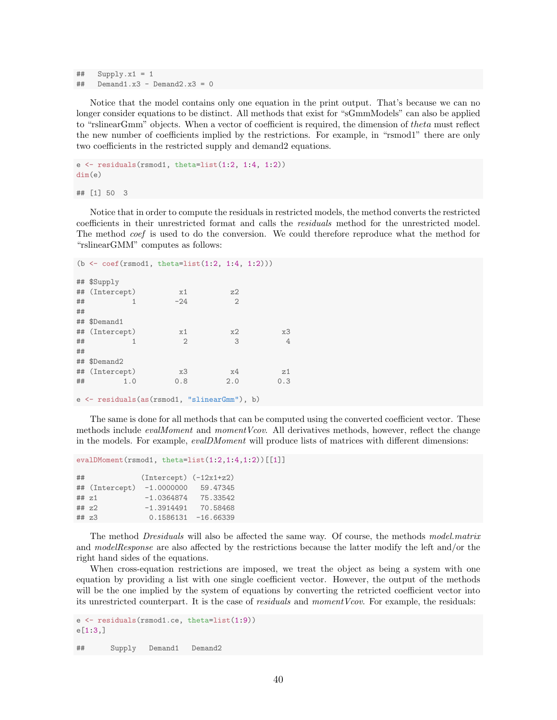```
\# Supply.x1 = 1
\text{#}\# Demand1.x3 - Demand2.x3 = 0
```
Notice that the model contains only one equation in the print output. That's because we can no longer consider equations to be distinct. All methods that exist for "sGmmModels" can also be applied to "rslinearGmm" objects. When a vector of coefficient is required, the dimension of theta must reflect the new number of coefficients implied by the restrictions. For example, in "rsmod1" there are only two coefficients in the restricted supply and demand2 equations.

```
e \leq residuals(rsmod1, theta=list(1:2, 1:4, 1:2))
dim(e)
```
## [1] 50 3

Notice that in order to compute the residuals in restricted models, the method converts the restricted coefficients in their unrestricted format and calls the residuals method for the unrestricted model. The method *coef* is used to do the conversion. We could therefore reproduce what the method for "rslinearGMM" computes as follows:

```
(b <- coef(rsmod1, theta=list(1:2, 1:4, 1:2)))
## $Supply
## (Intercept) x1 z2
\# \# \frac{1}{2} \frac{-24}{2} 2
##
## $Demand1
## (Intercept) x1 x2 x3
## 1 2 3 4
##
## $Demand2
## (Intercept) x3 x4 z1
## 1.0 0.8 2.0 0.3
```
e <- residuals(as(rsmod1, "slinearGmm"), b)

The same is done for all methods that can be computed using the converted coefficient vector. These methods include *evalMoment* and *momentVcov*. All derivatives methods, however, reflect the change in the models. For example, evalDMoment will produce lists of matrices with different dimensions:

```
evalDMoment(rsmod1, theta=list(1:2,1:4,1:2))[[1]]
```

| ## |                | $(Intercept) (-12x1+z2)$ |                        |
|----|----------------|--------------------------|------------------------|
|    | ## (Intercept) | $-1.0000000$             | 59.47345               |
|    | $##$ $z1$      | $-1.0364874$             | 75.33542               |
|    | $##$ $z2$      | $-1.3914491$             | 70.58468               |
|    | ## z3          |                          | $0.1586131 - 16.66339$ |

The method Dresiduals will also be affected the same way. Of course, the methods model.matrix and modelResponse are also affected by the restrictions because the latter modify the left and/or the right hand sides of the equations.

When cross-equation restrictions are imposed, we treat the object as being a system with one equation by providing a list with one single coefficient vector. However, the output of the methods will be the one implied by the system of equations by converting the retricted coefficient vector into its unrestricted counterpart. It is the case of *residuals* and *momentVcov*. For example, the residuals:

```
e <- residuals(rsmod1.ce, theta=list(1:9))
e[1:3,]
```
## Supply Demand1 Demand2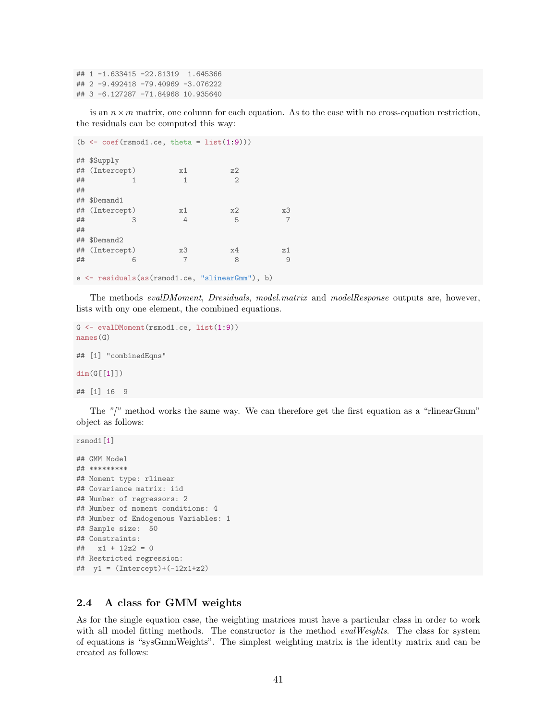## 1 -1.633415 -22.81319 1.645366 ## 2 -9.492418 -79.40969 -3.076222 ## 3 -6.127287 -71.84968 10.935640

is an  $n \times m$  matrix, one column for each equation. As to the case with no cross-equation restriction, the residuals can be computed this way:

```
(b \leftarrow \text{coeff}(\text{rsmooth}.\text{ce}, \text{theta} = \text{list}(1:9)))## $Supply
## (Intercept) x1 z2
\# \# \frac{1}{2} \frac{1}{2} \frac{2}{2}##
## $Demand1
## (Intercept) x1 x2 x3
## 3 4 5 7
##
## $Demand2
## (Intercept) x3 x4 z1
## 6 7 8 9
```
e <- residuals(as(rsmod1.ce, "slinearGmm"), b)

The methods evalDMoment, Dresiduals, model.matrix and modelResponse outputs are, however, lists with ony one element, the combined equations.

```
G <- evalDMoment(rsmod1.ce, list(1:9))
names(G)
## [1] "combinedEqns"
dim(G[[1]])
## [1] 16 9
```
The  $\sqrt[n]{\ }$  method works the same way. We can therefore get the first equation as a "rlinearGmm" object as follows:

```
rsmod1[1]
## GMM Model
## *********
## Moment type: rlinear
## Covariance matrix: iid
## Number of regressors: 2
## Number of moment conditions: 4
## Number of Endogenous Variables: 1
## Sample size: 50
## Constraints:
## x1 + 12z2 = 0
## Restricted regression:
## y1 = (Intercept) + (-12x1 + z2)
```
### <span id="page-40-0"></span>2.4 A class for GMM weights

As for the single equation case, the weighting matrices must have a particular class in order to work with all model fitting methods. The constructor is the method *evalWeights*. The class for system of equations is "sysGmmWeights". The simplest weighting matrix is the identity matrix and can be created as follows: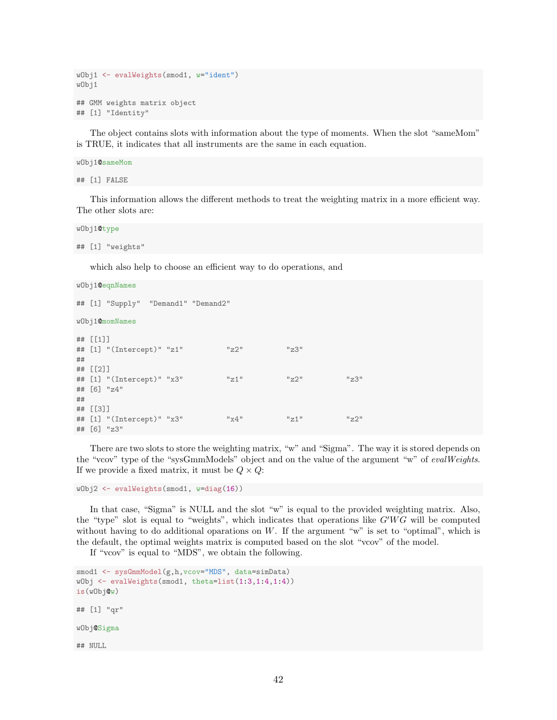```
wObj1 <- evalWeights(smod1, w="ident")
wObj1
## GMM weights matrix object
## [1] "Identity"
```
The object contains slots with information about the type of moments. When the slot "sameMom" is TRUE, it indicates that all instruments are the same in each equation.

```
wObj1@sameMom
## [1] FALSE
```
This information allows the different methods to treat the weighting matrix in a more efficient way. The other slots are:

wObj1@type ## [1] "weights"

which also help to choose an efficient way to do operations, and

```
wObj1@eqnNames
## [1] "Supply" "Demand1" "Demand2"
wObj1@momNames
## [[1]]
## [1] "(Intercept)" "z1" "z2" "z3"
##
## [[2]]
## [1] "(Intercept)" "x3" "z1" "z2" "z3"
## [6] "z4"
##
## [[3]]
## [1] "(Intercept)" "x3" "x4" "z1" "z2"
## [6] "z3"
```
There are two slots to store the weighting matrix, "w" and "Sigma". The way it is stored depends on the "vcov" type of the "sysGmmModels" object and on the value of the argument "w" of evalWeights. If we provide a fixed matrix, it must be  $Q \times Q$ :

```
wObj2 <- evalWeights(smod1, w=diag(16))
```
In that case, "Sigma" is NULL and the slot "w" is equal to the provided weighting matrix. Also, the "type" slot is equal to "weights", which indicates that operations like  $G'WG$  will be computed without having to do additional oparations on  $W$ . If the argument "w" is set to "optimal", which is the default, the optimal weights matrix is computed based on the slot "vcov" of the model.

If "vcov" is equal to "MDS", we obtain the following.

```
smod1 <- sysGmmModel(g,h,vcov="MDS", data=simData)
wObj <- evalWeights(smod1, theta=list(1:3,1:4,1:4))
is(wObj@w)
## [1] "qr"
wObj@Sigma
## NULL
```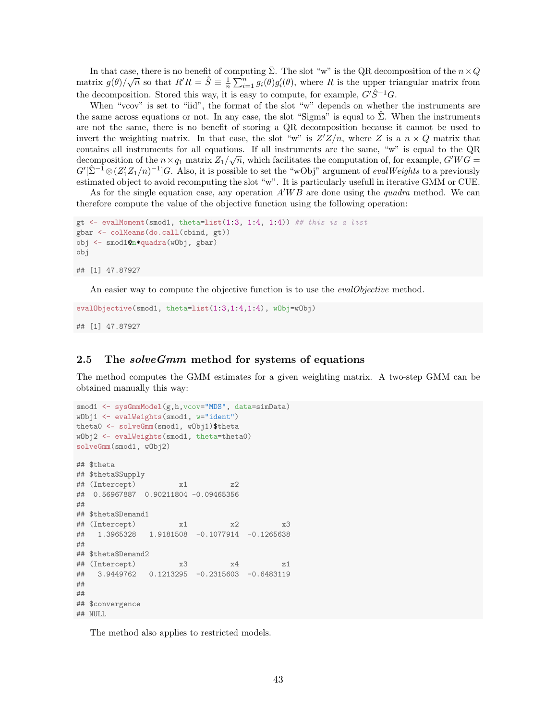In that case, there is no benefit of computing  $\Sigma$ . The slot "w" is the QR decomposition of the  $n \times Q$ in that case, there is no benent of computing 2. The slot we is the QR decomposition of the  $n \times Q$ <br>matrix  $g(\theta)/\sqrt{n}$  so that  $R'R = \hat{S} \equiv \frac{1}{n} \sum_{i=1}^{n} g_i(\theta)g'_i(\theta)$ , where R is the upper triangular matrix from the decomposition. Stored this way, it is easy to compute, for example,  $G'\hat{S}^{-1}G$ .

When "vcov" is set to "iid", the format of the slot "w" depends on whether the instruments are the same across equations or not. In any case, the slot "Sigma" is equal to  $\hat{\Sigma}$ . When the instruments are not the same, there is no benefit of storing a QR decomposition because it cannot be used to invert the weighting matrix. In that case, the slot "w" is  $Z'Z/n$ , where Z is a  $n \times Q$  matrix that contains all instruments for all equations. If all instruments are the same, "w" is equal to the QR decomposition of the  $n \times q_1$  matrix  $Z_1/\sqrt{n}$ , which facilitates the computation of, for example,  $G'WG =$  $G'[\hat{\Sigma}^{-1}\otimes (Z_1'Z_1/n)^{-1}]G.$  Also, it is possible to set the "wObj" argument of *evalWeights* to a previously estimated object to avoid recomputing the slot "w". It is particularly usefull in iterative GMM or CUE.

As for the single equation case, any operation  $A'WB$  are done using the *quadra* method. We can therefore compute the value of the objective function using the following operation:

```
gt \leq evalMoment(smod1, theta=list(1:3, 1:4, 1:4)) ## this is a list
gbar <- colMeans(do.call(cbind, gt))
obj <- smod1@n*quadra(wObj, gbar)
obj
## [1] 47.87927
```
An easier way to compute the objective function is to use the *evalObjective* method.

```
evalObjective(smod1, theta=list(1:3,1:4,1:4), wObj=wObj)
## [1] 47.87927
```
#### <span id="page-42-0"></span>2.5 The *solveGmm* method for systems of equations

The method computes the GMM estimates for a given weighting matrix. A two-step GMM can be obtained manually this way:

```
smod1 <- sysGmmModel(g,h, vcov="MDS", data=simData)
wObj1 <- evalWeights(smod1, w="ident")
theta0 <- solveGmm(smod1, wObj1)$theta
wObj2 <- evalWeights(smod1, theta=theta0)
solveGmm(smod1, wObj2)
## $theta
## $theta$Supply
## (Intercept) x1 z2
## 0.56967887 0.90211804 -0.09465356
##
## $theta$Demand1
## (Intercept) x1 x2 x3
## 1.3965328 1.9181508 -0.1077914 -0.1265638
##
## $theta$Demand2
## (Intercept) x3 x4 z1
## 3.9449762 0.1213295 -0.2315603 -0.6483119
##
##
## $convergence
## NULL
```
The method also applies to restricted models.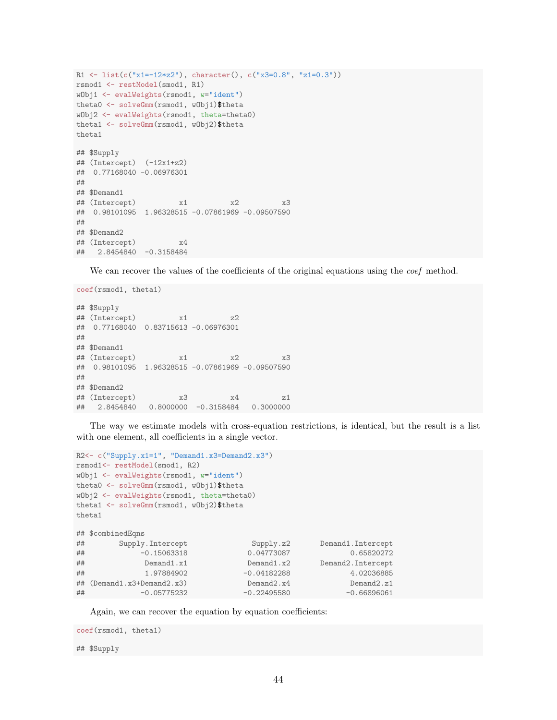```
R1 <- list(c("x1=-12*z2"), character(), c("x3=0.8", "z1=0.3"))
rsmod1 <- restModel(smod1, R1)
wObj1 <- evalWeights(rsmod1, w="ident")
theta0 <- solveGmm(rsmod1, wObj1)$theta
wObj2 <- evalWeights(rsmod1, theta=theta0)
theta1 <- solveGmm(rsmod1, wObj2)$theta
theta1
## $Supply
\## (Intercept) (-12x1+z2)## 0.77168040 -0.06976301
##
## $Demand1
## (Intercept) x1 x2 x3
## 0.98101095 1.96328515 -0.07861969 -0.09507590
##
## $Demand2
## (Intercept) x4
## 2.8454840 -0.3158484
```
We can recover the values of the coefficients of the original equations using the *coef* method.

```
coef(rsmod1, theta1)
## $Supply
## (Intercept) x1 z2
## 0.77168040 0.83715613 -0.06976301
##
## $Demand1
## (Intercept) x1 x2 x3
## 0.98101095 1.96328515 -0.07861969 -0.09507590
##
## $Demand2
## (Intercept) x3 x4 z1
## 2.8454840 0.8000000 -0.3158484 0.3000000
```
The way we estimate models with cross-equation restrictions, is identical, but the result is a list with one element, all coefficients in a single vector.

```
R2<- c("Supply.x1=1", "Demand1.x3=Demand2.x3")
rsmod1<- restModel(smod1, R2)
wObj1 <- evalWeights(rsmod1, w="ident")
theta0 <- solveGmm(rsmod1, wObj1)$theta
wObj2 <- evalWeights(rsmod1, theta=theta0)
theta1 <- solveGmm(rsmod1, wObj2)$theta
theta1
## $combinedEqns
## Supply.Intercept Supply.z2 Demand1.Intercept
## -0.15063318 0.04773087 0.65820272
## Demand1.x1 Demand1.x2 Demand2.Intercept
## 1.97884902 -0.04182288 4.02036885
## (Demand1.x3+Demand2.x3) Demand2.x4 Demand2.z1
## -0.05775232 -0.22495580 -0.66896061
```
Again, we can recover the equation by equation coefficients:

```
coef(rsmod1, theta1)
## $Supply
```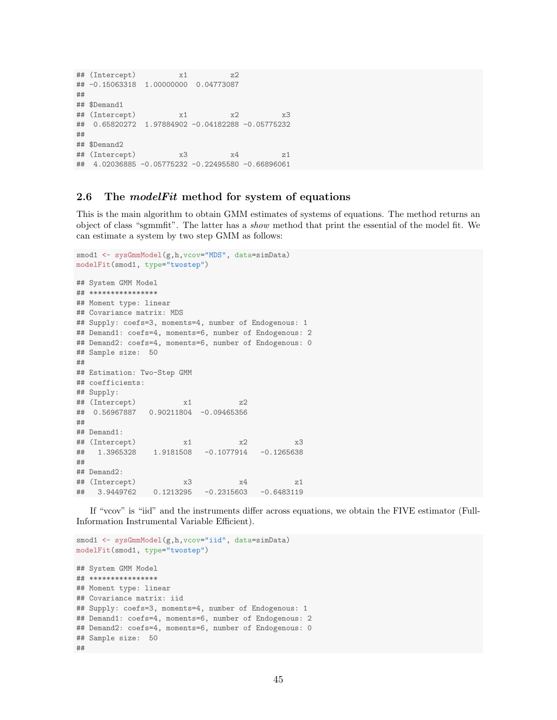```
## (Intercept) x1 z2
## -0.15063318 1.00000000 0.04773087
##
## $Demand1
## (Intercept) x1 x2 x3
## 0.65820272 1.97884902 -0.04182288 -0.05775232
##
## $Demand2
## (Intercept) x3 x4 z1
## 4.02036885 -0.05775232 -0.22495580 -0.66896061
```
#### <span id="page-44-0"></span>2.6 The model Fit method for system of equations

This is the main algorithm to obtain GMM estimates of systems of equations. The method returns an object of class "sgmmfit". The latter has a show method that print the essential of the model fit. We can estimate a system by two step GMM as follows:

```
smod1 <- sysGmmModel(g,h, vcov="MDS", data=simData)
modelFit(smod1, type="twostep")
## System GMM Model
## ****************
## Moment type: linear
## Covariance matrix: MDS
## Supply: coefs=3, moments=4, number of Endogenous: 1
## Demand1: coefs=4, moments=6, number of Endogenous: 2
## Demand2: coefs=4, moments=6, number of Endogenous: 0
## Sample size: 50
##
## Estimation: Two-Step GMM
## coefficients:
## Supply:
## (Intercept) x1 z2
## 0.56967887 0.90211804 -0.09465356
##
## Demand1:
## (Intercept) x1 x2 x3
## 1.3965328 1.9181508 -0.1077914 -0.1265638
##
## Demand2:
## (Intercept) x3 x4 z1
## 3.9449762 0.1213295 -0.2315603 -0.6483119
```
If "vcov" is "iid" and the instruments differ across equations, we obtain the FIVE estimator (Full-Information Instrumental Variable Efficient).

```
smod1 <- sysGmmModel(g,h, vcov="iid", data=simData)
modelFit(smod1, type="twostep")
## System GMM Model
## ****************
## Moment type: linear
## Covariance matrix: iid
## Supply: coefs=3, moments=4, number of Endogenous: 1
## Demand1: coefs=4, moments=6, number of Endogenous: 2
## Demand2: coefs=4, moments=6, number of Endogenous: 0
## Sample size: 50
##
```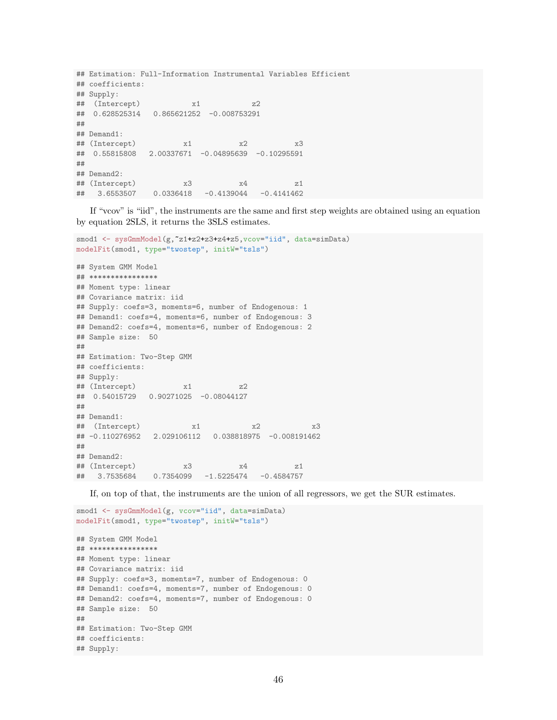```
## Estimation: Full-Information Instrumental Variables Efficient
## coefficients:
## Supply:
## (Intercept) x1 z2
## 0.628525314 0.865621252 -0.008753291
##
## Demand1:
## (Intercept) x1 x2 x3
## 0.55815808 2.00337671 -0.04895639 -0.10295591
##
## Demand2:
## (Intercept) x3 x4 z1
## 3.6553507 0.0336418 -0.4139044 -0.4141462
```
If "vcov" is "iid", the instruments are the same and first step weights are obtained using an equation by equation 2SLS, it returns the 3SLS estimates.

```
smod1 <- sysGmmModel(g, ~z1+z2+z3+z4+z5, vcov="iid", data=simData)
modelFit(smod1, type="twostep", initW="tsls")
## System GMM Model
## ****************
## Moment type: linear
## Covariance matrix: iid
## Supply: coefs=3, moments=6, number of Endogenous: 1
## Demand1: coefs=4, moments=6, number of Endogenous: 3
## Demand2: coefs=4, moments=6, number of Endogenous: 2
## Sample size: 50
##
## Estimation: Two-Step GMM
## coefficients:
## Supply:
## (Intercept) x1 z2
## 0.54015729 0.90271025 -0.08044127
##
## Demand1:
## (Intercept) x1 x2 x3
## -0.110276952 2.029106112 0.038818975 -0.008191462
##
## Demand2:
## (Intercept) x3 x4 z1
## 3.7535684 0.7354099 -1.5225474 -0.4584757
```
If, on top of that, the instruments are the union of all regressors, we get the SUR estimates.

```
smod1 <- sysGmmModel(g, vcov="iid", data=simData)
modelFit(smod1, type="twostep", initW="tsls")
## System GMM Model
## ****************
## Moment type: linear
## Covariance matrix: iid
## Supply: coefs=3, moments=7, number of Endogenous: 0
## Demand1: coefs=4, moments=7, number of Endogenous: 0
## Demand2: coefs=4, moments=7, number of Endogenous: 0
## Sample size: 50
##
## Estimation: Two-Step GMM
## coefficients:
## Supply:
```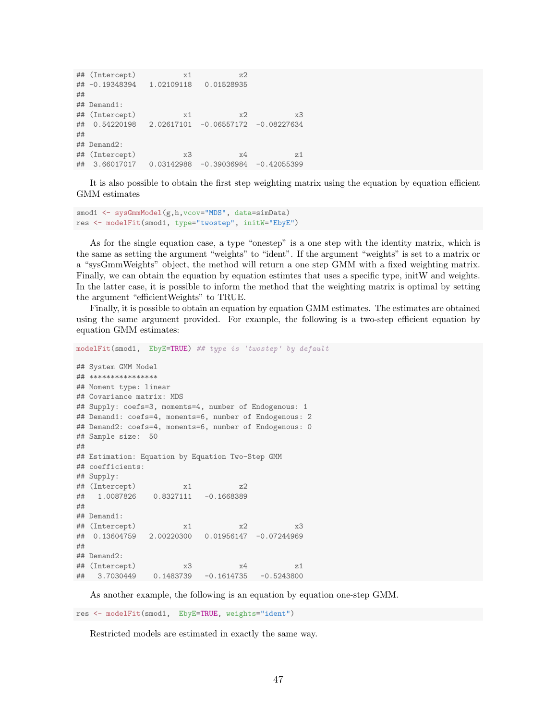```
## (Intercept) x1 z2
## -0.19348394 1.02109118 0.01528935
##
## Demand1:
## (Intercept) x1 x2 x3
## 0.54220198 2.02617101 -0.06557172 -0.08227634
##
## Demand2:
## (Intercept) x3 x4 z1
## 3.66017017 0.03142988 -0.39036984 -0.42055399
```
It is also possible to obtain the first step weighting matrix using the equation by equation efficient GMM estimates

```
smod1 <- sysGmmModel(g,h, vcov="MDS", data=simData)
res <- modelFit(smod1, type="twostep", initW="EbyE")
```
As for the single equation case, a type "onestep" is a one step with the identity matrix, which is the same as setting the argument "weights" to "ident". If the argument "weights" is set to a matrix or a "sysGmmWeights" object, the method will return a one step GMM with a fixed weighting matrix. Finally, we can obtain the equation by equation estimtes that uses a specific type, initW and weights. In the latter case, it is possible to inform the method that the weighting matrix is optimal by setting the argument "efficientWeights" to TRUE.

Finally, it is possible to obtain an equation by equation GMM estimates. The estimates are obtained using the same argument provided. For example, the following is a two-step efficient equation by equation GMM estimates:

```
## System GMM Model
## ****************
## Moment type: linear
## Covariance matrix: MDS
## Supply: coefs=3, moments=4, number of Endogenous: 1
## Demand1: coefs=4, moments=6, number of Endogenous: 2
## Demand2: coefs=4, moments=6, number of Endogenous: 0
## Sample size: 50
##
## Estimation: Equation by Equation Two-Step GMM
## coefficients:
## Supply:
## (Intercept) x1 z2
## 1.0087826 0.8327111 -0.1668389
##
## Demand1:
## (Intercept) x1 x2 x3
## 0.13604759 2.00220300 0.01956147 -0.07244969
##
## Demand2:
## (Intercept) x3 x4 z1
## 3.7030449 0.1483739 -0.1614735 -0.5243800
```
modelFit(smod1, EbyE=TRUE) ## type is 'twostep' by default

As another example, the following is an equation by equation one-step GMM.

res <- modelFit(smod1, EbyE=TRUE, weights="ident")

Restricted models are estimated in exactly the same way.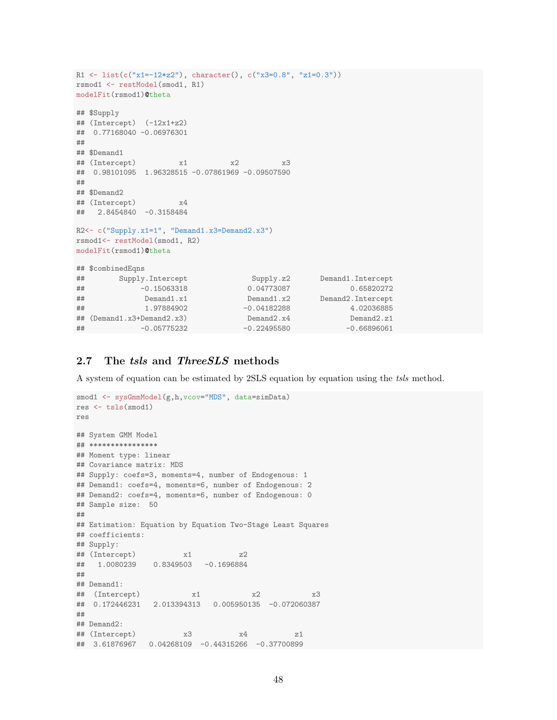```
R1 <- list(c("x1=-12*z2"), character(), c("x3=0.8", "z1=0.3"))
rsmod1 <- restModel(smod1, R1)
modelFit(rsmod1)@theta
## $Supply
\## (Intercept) (-12x1+z2)## 0.77168040 -0.06976301
##
## $Demand1
## (Intercept) x1 x2 x3
## 0.98101095 1.96328515 -0.07861969 -0.09507590
##
## $Demand2
## (Intercept) x4
## 2.8454840 -0.3158484
R2<- c("Supply.x1=1", "Demand1.x3=Demand2.x3")
rsmod1<- restModel(smod1, R2)
modelFit(rsmod1)@theta
## $combinedEqns
## Supply.Intercept Supply.z2 Demand1.Intercept
## -0.15063318 0.04773087 0.65820272
## Demand1.x1 Demand1.x2 Demand2.Intercept
## 1.97884902 -0.04182288 4.02036885
## (Demand1.x3+Demand2.x3) Demand2.x4 Demand2.z1
## -0.05775232 -0.22495580 -0.66896061
```
### <span id="page-47-0"></span>2.7 The tsls and ThreeSLS methods

A system of equation can be estimated by 2SLS equation by equation using the tsls method.

```
smod1 <- sysGmmModel(g,h, vcov="MDS", data=simData)
res <- tsls(smod1)
res
## System GMM Model
## ****************
## Moment type: linear
## Covariance matrix: MDS
## Supply: coefs=3, moments=4, number of Endogenous: 1
## Demand1: coefs=4, moments=6, number of Endogenous: 2
## Demand2: coefs=4, moments=6, number of Endogenous: 0
## Sample size: 50
##
## Estimation: Equation by Equation Two-Stage Least Squares
## coefficients:
## Supply:
## (Intercept) x1 z2
## 1.0080239 0.8349503 -0.1696884
##
## Demand1:
## (Intercept) x1 x2 x3
## 0.172446231 2.013394313 0.005950135 -0.072060387
##
## Demand2:
## (Intercept) x3 x4 z1
## 3.61876967 0.04268109 -0.44315266 -0.37700899
```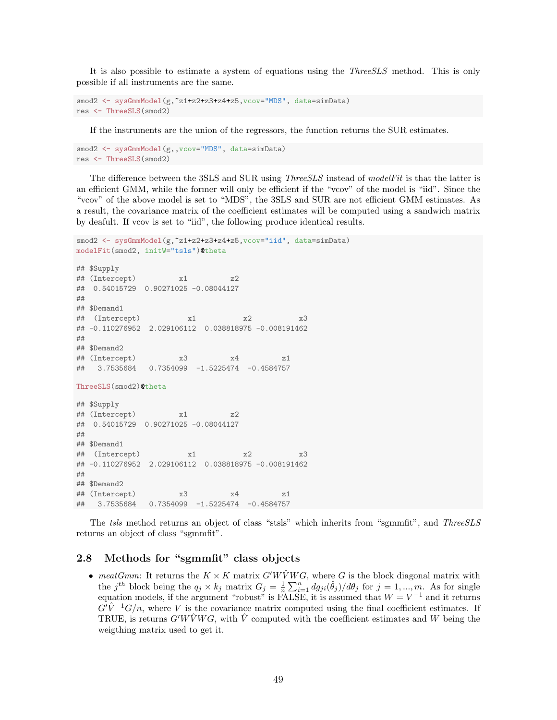It is also possible to estimate a system of equations using the ThreeSLS method. This is only possible if all instruments are the same.

```
smod2 <- sysGmmModel(g, ~z1+z2+z3+z4+z5, vcov="MDS", data=simData)
res <- ThreeSLS(smod2)
```
If the instruments are the union of the regressors, the function returns the SUR estimates.

```
smod2 <- sysGmmModel(g,, vcov="MDS", data=simData)
res <- ThreeSLS(smod2)
```
The difference between the 3SLS and SUR using *ThreeSLS* instead of modelFit is that the latter is an efficient GMM, while the former will only be efficient if the "vcov" of the model is "iid". Since the "vcov" of the above model is set to "MDS", the 3SLS and SUR are not efficient GMM estimates. As a result, the covariance matrix of the coefficient estimates will be computed using a sandwich matrix by deafult. If vcov is set to "iid", the following produce identical results.

```
smod2 <- sysGmmModel(g,"z1+z2+z3+z4+z5, vcov="iid", data=simData)
modelFit(smod2, initW="tsls")@theta
## $Supply
## (Intercept) x1 z2
## 0.54015729 0.90271025 -0.08044127
##
## $Demand1
## (Intercept) x1 x2 x3
## -0.110276952 2.029106112 0.038818975 -0.008191462
##
## $Demand2
## (Intercept) x3 x4 z1
## 3.7535684 0.7354099 -1.5225474 -0.4584757
ThreeSLS(smod2)@theta
## $Supply
## (Intercept) x1 z2
## 0.54015729 0.90271025 -0.08044127
##
## $Demand1
## (Intercept) x1 x2 x3
## -0.110276952 2.029106112 0.038818975 -0.008191462
##
```
## \$Demand2 ## (Intercept) x3 x4 z1 ## 3.7535684 0.7354099 -1.5225474 -0.4584757

The tsls method returns an object of class "stsls" which inherits from "sgmmfit", and ThreeSLS returns an object of class "sgmmfit".

#### <span id="page-48-0"></span>2.8 Methods for "sgmmfit" class objects

• meatGmm: It returns the  $K \times K$  matrix  $G'W\hat{V}WG$ , where G is the block diagonal matrix with the j<sup>th</sup> block being the  $q_j \times k_j$  matrix  $G_j = \frac{1}{n} \sum_{i=1}^n dg_{ji}(\hat{\theta}_j)/d\theta_j$  for  $j = 1, ..., m$ . As for single equation models, if the argument "robust" is FALSE, it is assumed that  $W = V^{-1}$  and it returns  $G\ddot{V}^{-1}G/n$ , where V is the covariance matrix computed using the final coefficient estimates. If TRUE, is returns  $G'W\tilde{V}WG$ , with  $\tilde{V}$  computed with the coefficient estimates and W being the weigthing matrix used to get it.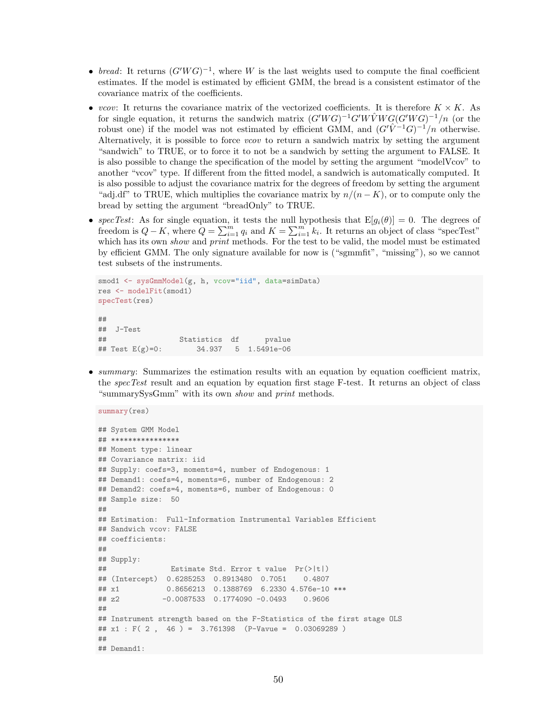- bread: It returns  $(G'WG)^{-1}$ , where W is the last weights used to compute the final coefficient estimates. If the model is estimated by efficient GMM, the bread is a consistent estimator of the covariance matrix of the coefficients.
- vcov: It returns the covariance matrix of the vectorized coefficients. It is therefore  $K \times K$ . As for single equation, it returns the sandwich matrix  $(G'WG)^{-1}G'W\hat{V}WG(G'WG)^{-1}/n$  (or the robust one) if the model was not estimated by efficient GMM, and  $(G'\hat{V}^{-1}G)^{-1}/n$  otherwise. Alternatively, it is possible to force vcov to return a sandwich matrix by setting the argument "sandwich" to TRUE, or to force it to not be a sandwich by setting the argument to FALSE. It is also possible to change the specification of the model by setting the argument "modelVcov" to another "vcov" type. If different from the fitted model, a sandwich is automatically computed. It is also possible to adjust the covariance matrix for the degrees of freedom by setting the argument "adj.df" to TRUE, which multiplies the covariance matrix by  $n/(n - K)$ , or to compute only the bread by setting the argument "breadOnly" to TRUE.
- specTest: As for single equation, it tests the null hypothesis that  $E[g_i(\theta)] = 0$ . The degrees of freedom is  $Q - K$ , where  $Q = \sum_{i=1}^{m} q_i$  and  $K = \sum_{i=1}^{m} k_i$ . It returns an object of class "specTest" which has its own *show* and *print* methods. For the test to be valid, the model must be estimated by efficient GMM. The only signature available for now is ("sgmmfit", "missing"), so we cannot test subsets of the instruments.

```
smod1 <- sysGmmModel(g, h, vcov="iid", data=simData)
res <- modelFit(smod1)
specTest(res)
##
## J-Test
## Statistics df pvalue
## Test E(g)=0: 34.937 5 1.5491e-06
```
• summary: Summarizes the estimation results with an equation by equation coefficient matrix, the *specTest* result and an equation by equation first stage F-test. It returns an object of class "summarySysGmm" with its own show and print methods.

```
summary(res)
## System GMM Model
## ****************
## Moment type: linear
## Covariance matrix: iid
## Supply: coefs=3, moments=4, number of Endogenous: 1
## Demand1: coefs=4, moments=6, number of Endogenous: 2
## Demand2: coefs=4, moments=6, number of Endogenous: 0
## Sample size: 50
##
## Estimation: Full-Information Instrumental Variables Efficient
## Sandwich vcov: FALSE
## coefficients:
##
## Supply:
## Estimate Std. Error t value Pr(>|t|)
## (Intercept) 0.6285253 0.8913480 0.7051 0.4807
## x1 0.8656213 0.1388769 6.2330 4.576e-10 ***
## z2 -0.0087533 0.1774090 -0.0493 0.9606
##
## Instrument strength based on the F-Statistics of the first stage OLS
## x1 : F( 2 , 46 ) = 3.761398 (P-Vavue = 0.03069289 )
##
## Demand1:
```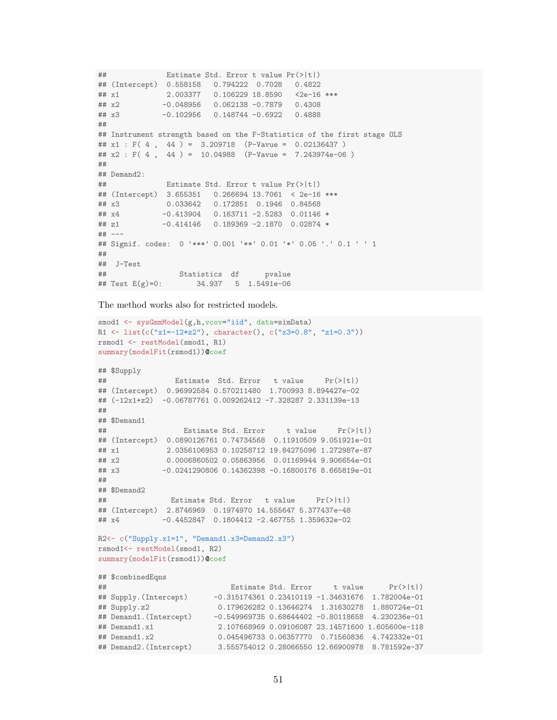```
## Estimate Std. Error t value Pr(>|t|)
## (Intercept) 0.558158 0.794222 0.7028 0.4822
## x1 2.003377 0.106229 18.8590 <2e-16 ***
## x2 -0.048956 0.062138 -0.7879 0.4308
## x3 -0.102956 0.148744 -0.6922 0.4888
##
## Instrument strength based on the F-Statistics of the first stage OLS
## x1 : F( 4 , 44 ) = 3.209718 (P-Vavue = 0.02136437 )
## x2 : F(4, 44) = 10.04988 (P-Vavue = 7.243974e-06)
##
## Demand2:
## Estimate Std. Error t value Pr(>|t|)
## (Intercept) 3.655351 0.266694 13.7061 < 2e-16 ***
## x3 0.033642 0.172851 0.1946 0.84568
## x4 -0.413904 0.163711 -2.5283 0.01146 *
## z1 -0.414146 0.189369 -2.1870 0.02874 *
## ---
## Signif. codes: 0 '***' 0.001 '**' 0.01 '*' 0.05 '.' 0.1 ' ' 1
##
## J-Test
## Statistics df pvalue
## Test E(g)=0: 34.937 5 1.5491e-06
```
The method works also for restricted models.

```
smod1 <- sysGmmModel(g,h,vcov="iid", data=simData)
R1 <- list(c("x1=-12*z2"), character(), c("x3=0.8", "z1=0.3"))
rsmod1 <- restModel(smod1, R1)
summary(modelFit(rsmod1))@coef
## $Supply
## Estimate Std. Error t value Pr(>|t|)
## (Intercept) 0.96992584 0.570211480 1.700993 8.894427e-02
## (-12x1+z2) -0.06787761 0.009262412 -7.328287 2.331139e-13
##
## $Demand1
## Estimate Std. Error t value Pr(>|t|)
## (Intercept) 0.0890126761 0.74734568 0.11910509 9.051921e-01
## x1 2.0356106953 0.10258712 19.84275096 1.272987e-87
## x2 0.0006860502 0.05863956 0.01169944 9.906654e-01
## x3 -0.0241290806 0.14362398 -0.16800176 8.665819e-01
##
## $Demand2
## Estimate Std. Error t value Pr(>|t|)
## (Intercept) 2.8746969 0.1974970 14.555647 5.377437e-48
## x4 -0.4452847 0.1804412 -2.467755 1.359632e-02
R2<- c("Supply.x1=1", "Demand1.x3=Demand2.x3")
rsmod1<- restModel(smod1, R2)
summary(modelFit(rsmod1))@coef
## $combinedEqns
## Estimate Std. Error t value Pr(>|t|)
## Supply.(Intercept) -0.315174361 0.23410119 -1.34631676 1.782004e-01
## Supply.z2 0.179626282 0.13646274 1.31630278 1.880724e-01
## Demand1.(Intercept) -0.549969735 0.68644402 -0.80118658 4.230236e-01
## Demand1.x1 2.107668969 0.09106087 23.14571600 1.605600e-118<br>
## Demand1.x2 0.045496733 0.06357770 0.71560836 4.742332e-01
                        0.045496733 0.06357770 0.71560836 4.742332e-01
## Demand2.(Intercept) 3.555754012 0.28066550 12.66900978 8.781592e-37
```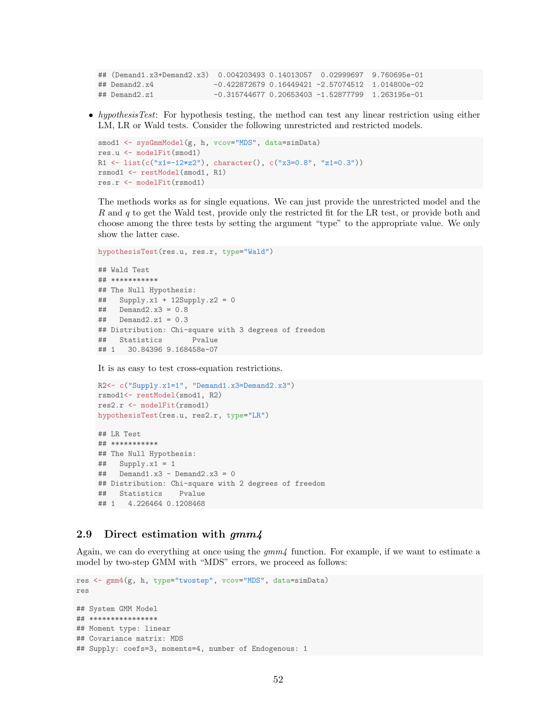```
## (Demand1.x3+Demand2.x3) 0.004203493 0.14013057 0.02999697 9.760695e-01
## Demand2.x4 -0.422872679 0.16449421 -2.57074512 1.014800e-02
## Demand2.z1 -0.315744677 0.20653403 -1.52877799 1.263195e-01
```
• hypothesisTest: For hypothesis testing, the method can test any linear restriction using either LM, LR or Wald tests. Consider the following unrestricted and restricted models.

```
smod1 <- sysGmmModel(g, h, vcov="MDS", data=simData)
res.u <- modelFit(smod1)
R1 <- list(c("x1=-12*z2"), character(), c("x3=0.8", "z1=0.3"))
rsmod1 <- restModel(smod1, R1)
res.r <- modelFit(rsmod1)
```
The methods works as for single equations. We can just provide the unrestricted model and the R and q to get the Wald test, provide only the restricted fit for the LR test, or provide both and choose among the three tests by setting the argument "type" to the appropriate value. We only show the latter case.

```
hypothesisTest(res.u, res.r, type="Wald")
```

```
## Wald Test
## ***********
## The Null Hypothesis:
## Supply.x1 + 12Supply.z2 = 0
## Demand2.x3 = 0.8
\## Demand2.z1 = 0.3
## Distribution: Chi-square with 3 degrees of freedom
## Statistics Pvalue
## 1 30.84396 9.168458e-07
```
It is as easy to test cross-equation restrictions.

```
R2<- c("Supply.x1=1", "Demand1.x3=Demand2.x3")
rsmod1<- restModel(smod1, R2)
res2.r <- modelFit(rsmod1)
hypothesisTest(res.u, res2.r, type="LR")
## LR Test
## ***********
## The Null Hypothesis:
\# Supply.x1 = 1
\text{#}\# Demand1.x3 - Demand2.x3 = 0
## Distribution: Chi-square with 2 degrees of freedom
## Statistics Pvalue
## 1 4.226464 0.1208468
```
### <span id="page-51-0"></span>2.9 Direct estimation with  $gmm4$

Again, we can do everything at once using the  $qmm<sub>4</sub>$  function. For example, if we want to estimate a model by two-step GMM with "MDS" errors, we proceed as follows:

```
res <- gmm4(g, h, type="twostep", vcov="MDS", data=simData)
res
## System GMM Model
## ****************
## Moment type: linear
## Covariance matrix: MDS
## Supply: coefs=3, moments=4, number of Endogenous: 1
```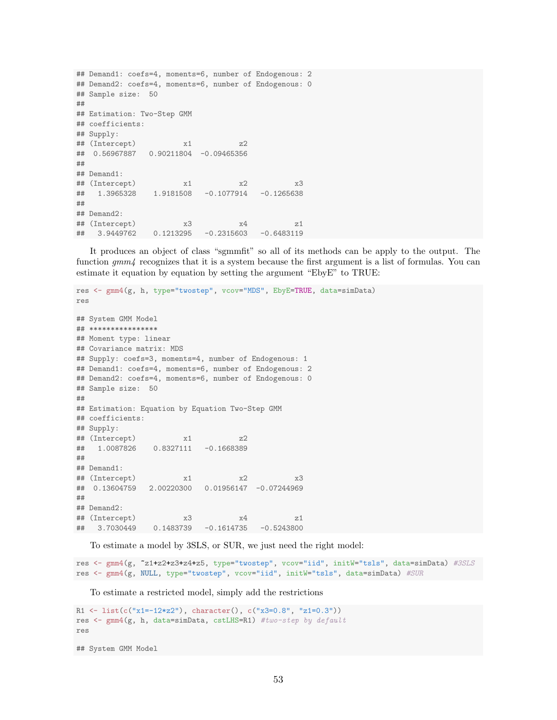```
## Demand1: coefs=4, moments=6, number of Endogenous: 2
## Demand2: coefs=4, moments=6, number of Endogenous: 0
## Sample size: 50
##
## Estimation: Two-Step GMM
## coefficients:
## Supply:
## (Intercept) x1 z2
## 0.56967887 0.90211804 -0.09465356
##
## Demand1:
## (Intercept) x1 x2 x3
## 1.3965328 1.9181508 -0.1077914 -0.1265638
##
## Demand2:
## (Intercept) x3 x4 z1
## 3.9449762 0.1213295 -0.2315603 -0.6483119
```
It produces an object of class "sgmmfit" so all of its methods can be apply to the output. The function  $gmm<sub>4</sub>$  recognizes that it is a system because the first argument is a list of formulas. You can estimate it equation by equation by setting the argument "EbyE" to TRUE:

```
res <- gmm4(g, h, type="twostep", vcov="MDS", EbyE=TRUE, data=simData)
res
## System GMM Model
## ****************
## Moment type: linear
## Covariance matrix: MDS
## Supply: coefs=3, moments=4, number of Endogenous: 1
## Demand1: coefs=4, moments=6, number of Endogenous: 2
## Demand2: coefs=4, moments=6, number of Endogenous: 0
## Sample size: 50
##
## Estimation: Equation by Equation Two-Step GMM
## coefficients:
## Supply:
## (Intercept) x1 z2
## 1.0087826 0.8327111 -0.1668389
##
## Demand1:
## (Intercept) x1 x2 x3
## 0.13604759 2.00220300 0.01956147 -0.07244969
##
## Demand2:
## (Intercept) x3 x4 z1
## 3.7030449 0.1483739 -0.1614735 -0.5243800
```
To estimate a model by 3SLS, or SUR, we just need the right model:

res <- gmm4(g, ~z1+z2+z3+z4+z5, type="twostep", vcov="iid", initW="tsls", data=simData) #3SLS res <- gmm4(g, NULL, type="twostep", vcov="iid", initW="tsls", data=simData) #SUR

To estimate a restricted model, simply add the restrictions

```
R1 <- list(c("x1=-12*z2"), character(), c("x3=0.8", "z1=0.3"))
res <- gmm4(g, h, data=simData, cstLHS=R1) #two-step by default
res
```
## System GMM Model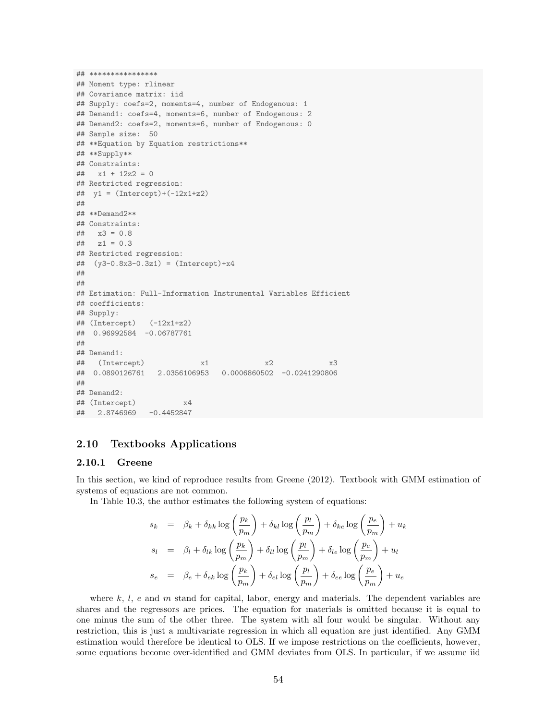```
## ****************
## Moment type: rlinear
## Covariance matrix: iid
## Supply: coefs=2, moments=4, number of Endogenous: 1
## Demand1: coefs=4, moments=6, number of Endogenous: 2
## Demand2: coefs=2, moments=6, number of Endogenous: 0
## Sample size: 50
## **Equation by Equation restrictions**
## **Supply**
## Constraints:
\# \# \frac{1}{2} \frac{1}{2} \frac{1}{2} \frac{1}{2} \frac{1}{2} \frac{1}{2} \frac{1}{2} \frac{1}{2} \frac{1}{2} \frac{1}{2} \frac{1}{2} \frac{1}{2} \frac{1}{2} \frac{1}{2} \frac{1}{2} \frac{1}{2} \frac{1}{2} \frac{1}{2} \frac{1}{2} \frac{1}{2} \frac{1}{2} ## Restricted regression:
## y1 = (Intercept) + (-12x1 + z2)##
## **Demand2**
## Constraints:
## x3 = 0.8\# z1 = 0.3## Restricted regression:
## (y3-0.8x3-0.3z1) = (Intercept)+x4
##
##
## Estimation: Full-Information Instrumental Variables Efficient
## coefficients:
## Supply:
\## (Intercept) (-12x1+z2)## 0.96992584 -0.06787761
##
## Demand1:
## (Intercept) x1 x2 x3
## 0.0890126761 2.0356106953 0.0006860502 -0.0241290806
##
## Demand2:
## (Intercept) x4
## 2.8746969 -0.4452847
```
### <span id="page-53-0"></span>2.10 Textbooks Applications

#### <span id="page-53-1"></span>2.10.1 Greene

In this section, we kind of reproduce results from [Greene](#page-56-5) [\(2012\)](#page-56-5). Textbook with GMM estimation of systems of equations are not common.

In Table 10.3, the author estimates the following system of equations:

$$
s_k = \beta_k + \delta_{kk} \log \left(\frac{p_k}{p_m}\right) + \delta_{kl} \log \left(\frac{p_l}{p_m}\right) + \delta_{ke} \log \left(\frac{p_e}{p_m}\right) + u_k
$$
  
\n
$$
s_l = \beta_l + \delta_{lk} \log \left(\frac{p_k}{p_m}\right) + \delta_{ll} \log \left(\frac{p_l}{p_m}\right) + \delta_{le} \log \left(\frac{p_e}{p_m}\right) + u_l
$$
  
\n
$$
s_e = \beta_e + \delta_{ek} \log \left(\frac{p_k}{p_m}\right) + \delta_{el} \log \left(\frac{p_l}{p_m}\right) + \delta_{ee} \log \left(\frac{p_e}{p_m}\right) + u_e
$$

where  $k, l, e$  and  $m$  stand for capital, labor, energy and materials. The dependent variables are shares and the regressors are prices. The equation for materials is omitted because it is equal to one minus the sum of the other three. The system with all four would be singular. Without any restriction, this is just a multivariate regression in which all equation are just identified. Any GMM estimation would therefore be identical to OLS. If we impose restrictions on the coefficients, however, some equations become over-identified and GMM deviates from OLS. In particular, if we assume iid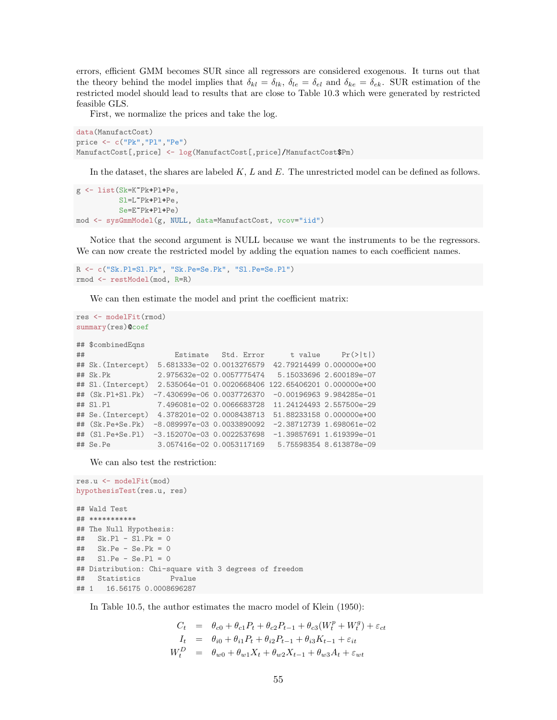errors, efficient GMM becomes SUR since all regressors are considered exogenous. It turns out that the theory behind the model implies that  $\delta_{kl} = \delta_{lk}$ ,  $\delta_{le} = \delta_{el}$  and  $\delta_{ke} = \delta_{ek}$ . SUR estimation of the restricted model should lead to results that are close to Table 10.3 which were generated by restricted feasible GLS.

First, we normalize the prices and take the log.

```
data(ManufactCost)
price <- c("Pk","Pl","Pe")
ManufactCost[,price] <- log(ManufactCost[,price]/ManufactCost$Pm)
```
In the dataset, the shares are labeled K, L and E. The unrestricted model can be defined as follows.

```
g <- list(Sk=K~Pk+Pl+Pe,
          Sl=L~Pk+Pl+Pe,
          Se=E~Pk+Pl+Pe)
mod <- sysGmmModel(g, NULL, data=ManufactCost, vcov="iid")
```
Notice that the second argument is NULL because we want the instruments to be the regressors. We can now create the restricted model by adding the equation names to each coefficient names.

```
R <- c("Sk.Pl=Sl.Pk", "Sk.Pe=Se.Pk", "Sl.Pe=Se.Pl")
rmod <- restModel(mod, R=R)
```
We can then estimate the model and print the coefficient matrix:

```
res <- modelFit(rmod)
summary(res)@coef
## $combinedEqns
## Estimate Std. Error t value Pr(>|t|)
## Sk.(Intercept) 5.681333e-02 0.0013276579 42.79214499 0.000000e+00
## Sk.Pk 2.975632e-02 0.0057775474 5.15033696 2.600189e-07
## Sl.(Intercept) 2.535064e-01 0.0020668406 122.65406201 0.000000e+00
## (Sk.Pl+Sl.Pk) -7.430699e-06 0.0037726370 -0.00196963 9.984285e-01
## Sl.Pl 7.496081e-02 0.0066683728 11.24124493 2.557500e-29
## Se.(Intercept) 4.378201e-02 0.0008438713 51.88233158 0.000000e+00
## (Sk.Pe+Se.Pk) -8.089997e-03 0.0033890092 -2.38712739 1.698061e-02
## (Sl.Pe+Se.Pl) -3.152070e-03 0.0022537698 -1.39857691 1.619399e-01
## Se.Pe 3.057416e-02 0.0053117169 5.75598354 8.613878e-09
```
We can also test the restriction:

```
res.u <- modelFit(mod)
hypothesisTest(res.u, res)
## Wald Test
## ***********
## The Null Hypothesis:
## Sk.Pl - Sl.Pk = 0
## Sk.Pe - Se.Pk = 0
## Sl.Pe - Se.Pl = 0
## Distribution: Chi-square with 3 degrees of freedom
## Statistics Pvalue
## 1 16.56175 0.0008696287
```
In Table 10.5, the author estimates the macro model of [Klein](#page-56-7) [\(1950\)](#page-56-7):

$$
C_t = \theta_{c0} + \theta_{c1}P_t + \theta_{c2}P_{t-1} + \theta_{c3}(W_t^p + W_t^g) + \varepsilon_{ct}
$$
  
\n
$$
I_t = \theta_{i0} + \theta_{i1}P_t + \theta_{i2}P_{t-1} + \theta_{i3}K_{t-1} + \varepsilon_{it}
$$
  
\n
$$
W_t^D = \theta_{w0} + \theta_{w1}X_t + \theta_{w2}X_{t-1} + \theta_{w3}A_t + \varepsilon_{wt}
$$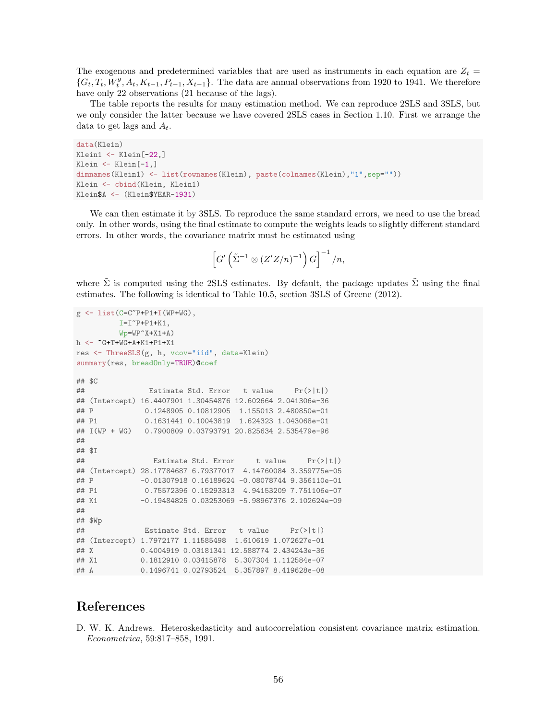The exogenous and predetermined variables that are used as instruments in each equation are  $Z_t =$  $\{G_t, T_t, W_t^g, A_t, K_{t-1}, P_{t-1}, X_{t-1}\}.$  The data are annual observations from 1920 to 1941. We therefore have only 22 observations (21 because of the lags).

The table reports the results for many estimation method. We can reproduce 2SLS and 3SLS, but we only consider the latter because we have covered 2SLS cases in Section [1.10.](#page-30-0) First we arrange the data to get lags and  $A_t$ .

```
data(Klein)
Klein1 <- Klein[-22,]
Klein <- Klein[-1,]
dimnames(Klein1) <- list(rownames(Klein), paste(colnames(Klein),"1",sep=""))
Klein <- cbind(Klein, Klein1)
Klein$A <- (Klein$YEAR-1931)
```
We can then estimate it by 3SLS. To reproduce the same standard errors, we need to use the bread only. In other words, using the final estimate to compute the weights leads to slightly different standard errors. In other words, the covariance matrix must be estimated using

$$
\left[G'\left(\tilde{\Sigma}^{-1}\otimes\left(Z'Z/n\right)^{-1}\right)G\right]^{-1}/n,
$$

where  $\Sigma$  is computed using the 2SLS estimates. By default, the package updates  $\Sigma$  using the final estimates. The following is identical to Table 10.5, section 3SLS of [Greene](#page-56-5) [\(2012\)](#page-56-5).

```
g \leftarrow \text{list}(\text{C=C}^{\star}P + P1 + I(\text{WP}+\text{WG}),I=I^{\sim}P+P1+K1,
         Wp=WP^{\sim}X+X1+A)h <- ~G+T+WG+A+K1+P1+X1
res <- ThreeSLS(g, h, vcov="iid", data=Klein)
summary(res, breadOnly=TRUE)@coef
## $C
## Estimate Std. Error t value Pr(>|t|)
## (Intercept) 16.4407901 1.30454876 12.602664 2.041306e-36
## P 0.1248905 0.10812905 1.155013 2.480850e-01
## P1 0.1631441 0.10043819 1.624323 1.043068e-01
## I(WP + WG) 0.7900809 0.03793791 20.825634 2.535479e-96
##
## $I
## Estimate Std. Error t value Pr(>|t|)
## (Intercept) 28.17784687 6.79377017 4.14760084 3.359775e-05
## P -0.01307918 0.16189624 -0.08078744 9.356110e-01
## P1 0.75572396 0.15293313 4.94153209 7.751106e-07
## K1 -0.19484825 0.03253069 -5.98967376 2.102624e-09
##
## $Wp
## Estimate Std. Error t value Pr(>|t|)
## (Intercept) 1.7972177 1.11585498 1.610619 1.072627e-01
## X 0.4004919 0.03181341 12.588774 2.434243e-36
## X1 0.1812910 0.03415878 5.307304 1.112584e-07
## A 0.1496741 0.02793524 5.357897 8.419628e-08
```
## References

<span id="page-55-0"></span>D. W. K. Andrews. Heteroskedasticity and autocorrelation consistent covariance matrix estimation. Econometrica, 59:817–858, 1991.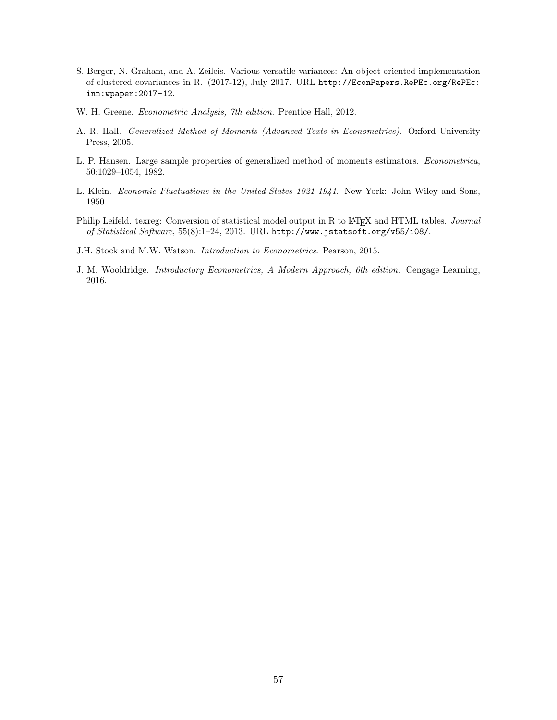- <span id="page-56-1"></span>S. Berger, N. Graham, and A. Zeileis. Various versatile variances: An object-oriented implementation of clustered covariances in R. (2017-12), July 2017. URL [http://EconPapers.RePEc.org/RePEc:](http://EconPapers.RePEc.org/RePEc:inn:wpaper:2017-12) [inn:wpaper:2017-12](http://EconPapers.RePEc.org/RePEc:inn:wpaper:2017-12).
- <span id="page-56-5"></span>W. H. Greene. Econometric Analysis, 7th edition. Prentice Hall, 2012.
- <span id="page-56-3"></span>A. R. Hall. Generalized Method of Moments (Advanced Texts in Econometrics). Oxford University Press, 2005.
- <span id="page-56-0"></span>L. P. Hansen. Large sample properties of generalized method of moments estimators. Econometrica, 50:1029–1054, 1982.
- <span id="page-56-7"></span>L. Klein. Economic Fluctuations in the United-States 1921-1941. New York: John Wiley and Sons, 1950.
- <span id="page-56-4"></span>Philip Leifeld. texreg: Conversion of statistical model output in R to L<sup>AT</sup>EX and HTML tables. Journal of Statistical Software, 55(8):1–24, 2013. URL <http://www.jstatsoft.org/v55/i08/>.
- <span id="page-56-2"></span>J.H. Stock and M.W. Watson. Introduction to Econometrics. Pearson, 2015.
- <span id="page-56-6"></span>J. M. Wooldridge. Introductory Econometrics, A Modern Approach, 6th edition. Cengage Learning, 2016.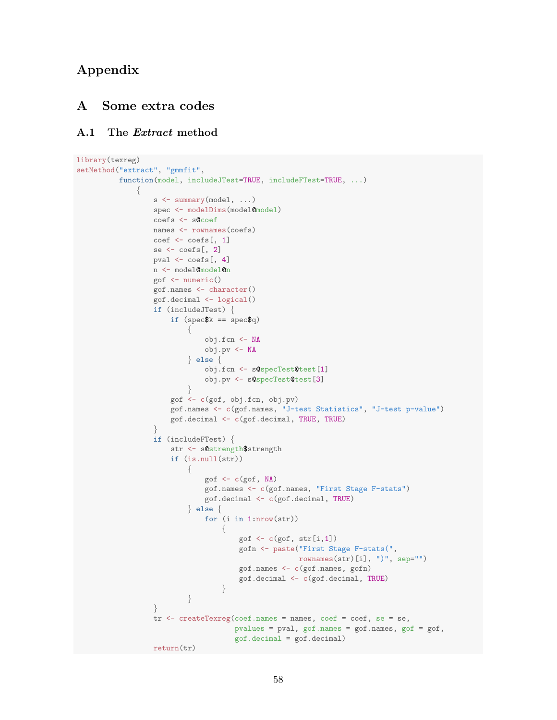## Appendix

## <span id="page-57-0"></span>A Some extra codes

### <span id="page-57-1"></span>A.1 The Extract method

```
library(texreg)
setMethod("extract", "gmmfit",
          function(model, includeJTest=TRUE, includeFTest=TRUE, ...)
              {
                  s <- summary(model, ...)
                  spec <- modelDims(model@model)
                  coefs <- s@coef
                  names <- rownames(coefs)
                  coef <- coefs[, 1]
                  se <- coefs[, 2]
                  pval <- coefs[, 4]
                  n <- model@model@n
                  gof <- numeric()
                  gof.names <- character()
                  gof.decimal <- logical()
                  if (includeJTest) {
                      if (spec$k == spec$q)
                           {
                               obj.fcn <- NA
                               obj.pv <- NA
                           } else {
                               obj.fcn <- s@specTest@test[1]
                               obj.pv <- s@specTest@test[3]
                           }
                      gof <- c(gof, obj.fcn, obj.pv)
                      gof.names <- c(gof.names, "J-test Statistics", "J-test p-value")
                      gof.decimal <- c(gof.decimal, TRUE, TRUE)
                   }
                  if (includeFTest) {
                      str <- s@strength$strength
                      if (is.null(str))
                           {
                               gof \leftarrow c(gof, NA)
                               gof.names <- c(gof.names, "First Stage F-stats")
                               gof.decimal <- c(gof.decimal, TRUE)
                           } else {
                               for (i in 1:nrow(str))
                                   {
                                       gof \leftarrow c(gof, str[i,1])
                                       gofn <- paste("First Stage F-stats(",
                                                     rownames(str)[i], ")", sep="")
                                       gof.names <- c(gof.names, gofn)
                                       gof.decimal <- c(gof.decimal, TRUE)
                                   }
                           }
                  }
                  tr <- createTexreg(coef.names = names, coef = coef, se = se,
                                      pvalues = pval, gof.names = gof.names, gof = gof,
                                      gof.decimal = gof.decimal)
                  return(tr)
```